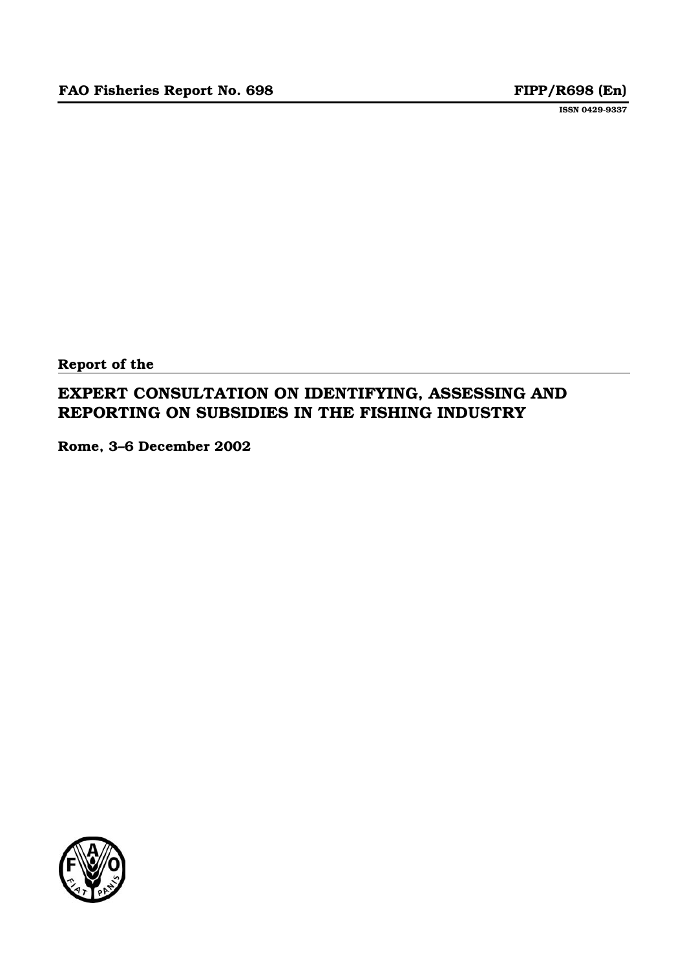**ISSN 0429-9337**

**Report of the**

# **EXPERT CONSULTATION ON IDENTIFYING, ASSESSING AND REPORTING ON SUBSIDIES IN THE FISHING INDUSTRY**

**Rome, 3–6 December 2002**

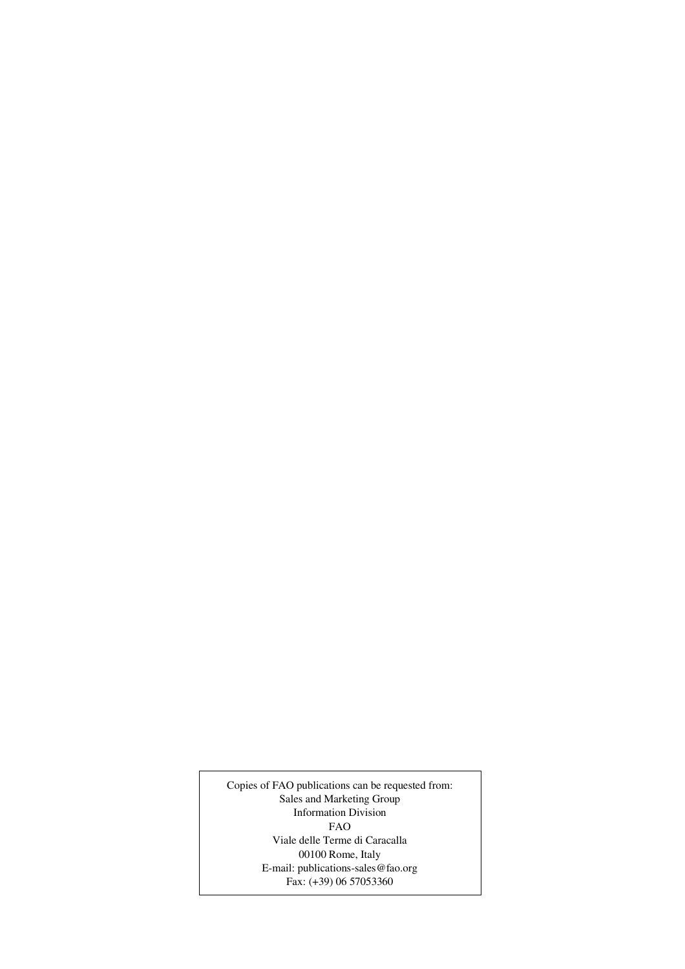Copies of FAO publications can be requested from: Sales and Marketing Group Information Division FAO Viale delle Terme di Caracalla 00100 Rome, Italy E-mail: publications-sales@fao.org Fax: (+39) 06 57053360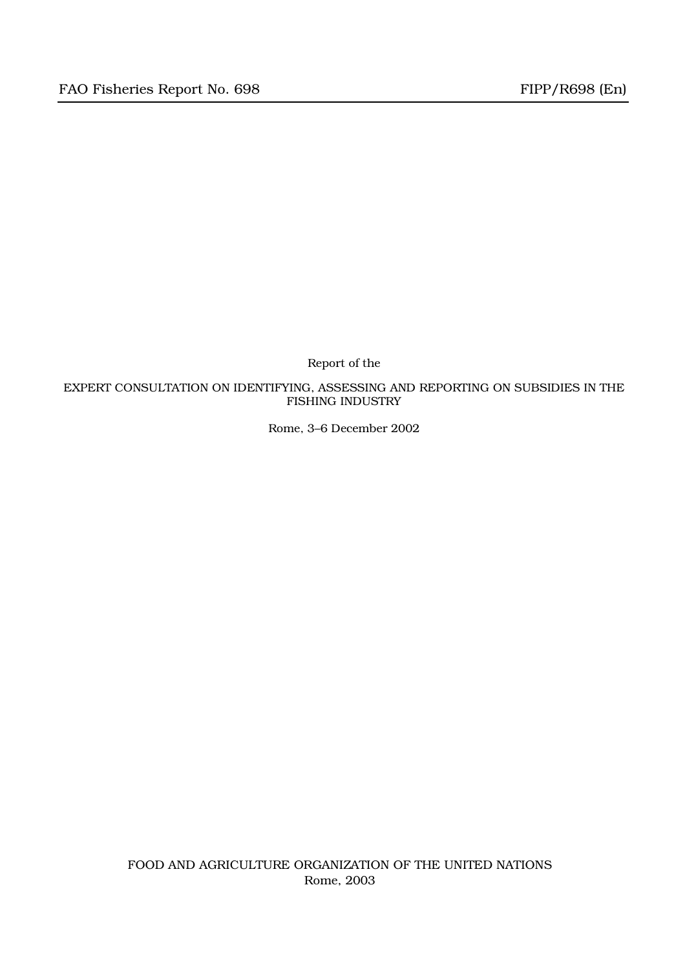Report of the

EXPERT CONSULTATION ON IDENTIFYING, ASSESSING AND REPORTING ON SUBSIDIES IN THE FISHING INDUSTRY

Rome, 3–6 December 2002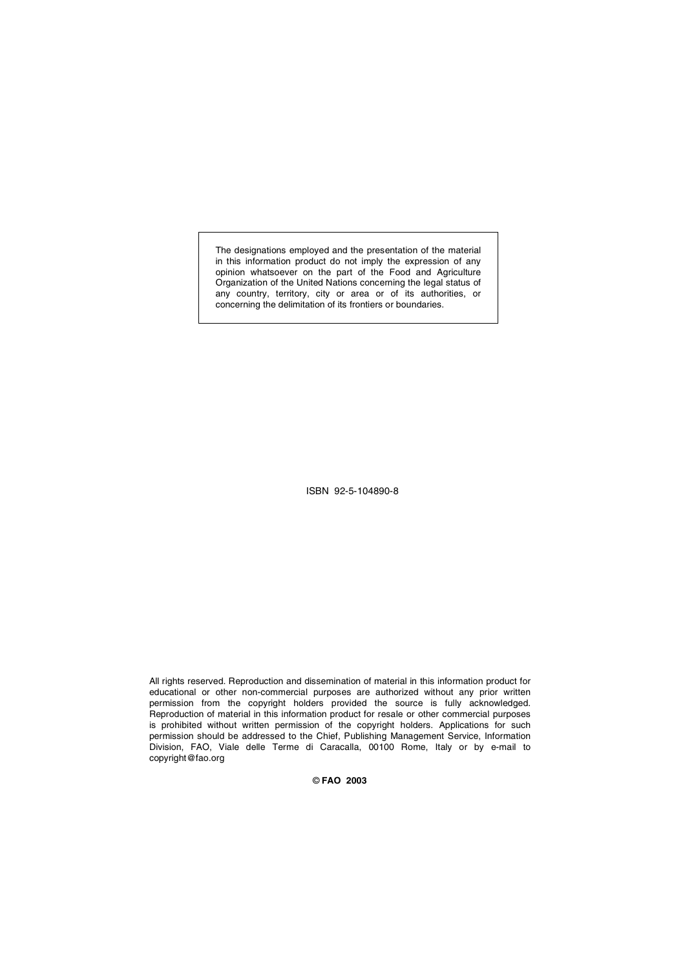The designations employed and the presentation of the material in this information product do not imply the expression of any opinion whatsoever on the part of the Food and Agriculture Organization of the United Nations concerning the legal status of any country, territory, city or area or of its authorities, or concerning the delimitation of its frontiers or boundaries.

ISBN 92-5-104890-8

All rights reserved. Reproduction and dissemination of material in this information product for educational or other non-commercial purposes are authorized without any prior written permission from the copyright holders provided the source is fully acknowledged. Reproduction of material in this information product for resale or other commercial purposes is prohibited without written permission of the copyright holders. Applications for such permission should be addressed to the Chief, Publishing Management Service, Information Division, FAO, Viale delle Terme di Caracalla, 00100 Rome, Italy or by e-mail to copyright@fao.org

© **FAO 2003**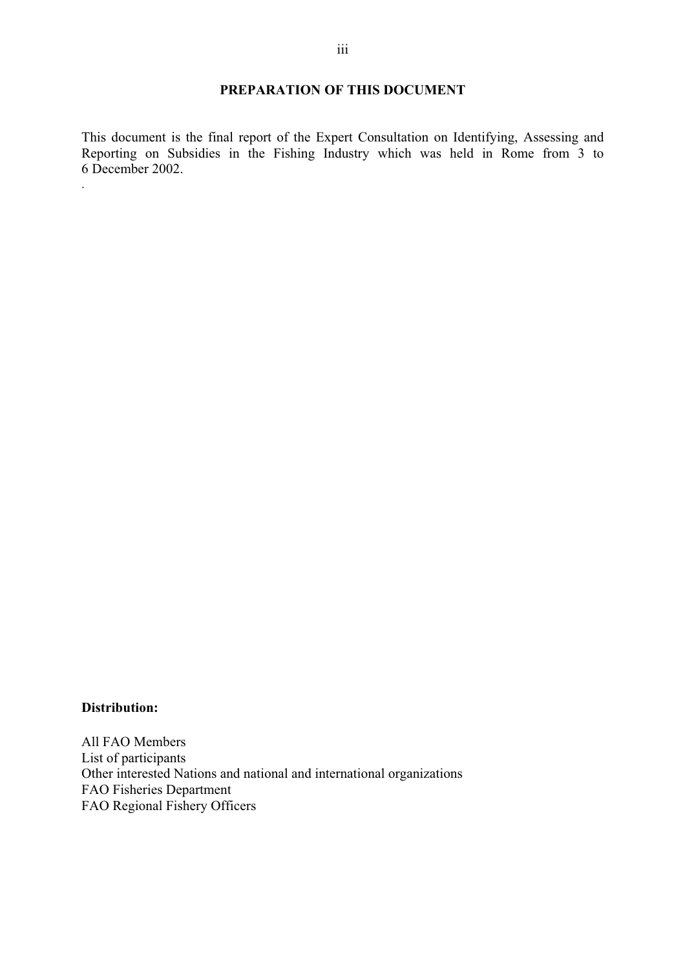# **PREPARATION OF THIS DOCUMENT**

This document is the final report of the Expert Consultation on Identifying, Assessing and Reporting on Subsidies in the Fishing Industry which was held in Rome from 3 to 6 December 2002.

#### **Distribution:**

.

All FAO Members List of participants Other interested Nations and national and international organizations FAO Fisheries Department FAO Regional Fishery Officers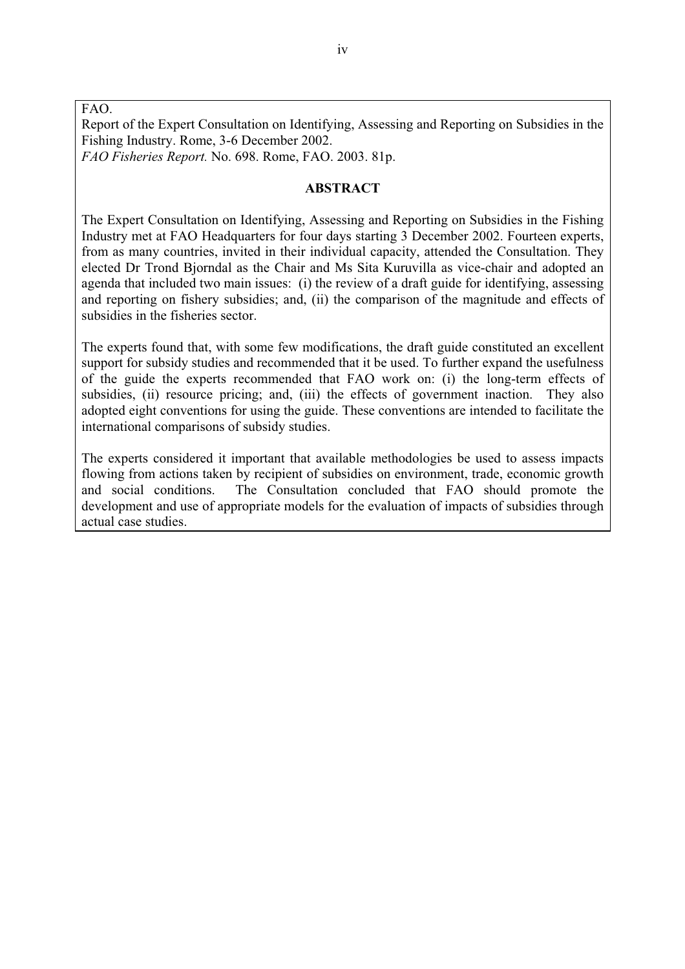FAO.

Report of the Expert Consultation on Identifying, Assessing and Reporting on Subsidies in the Fishing Industry. Rome, 3-6 December 2002.

*FAO Fisheries Report.* No. 698. Rome, FAO. 2003. 81p.

#### **ABSTRACT**

The Expert Consultation on Identifying, Assessing and Reporting on Subsidies in the Fishing Industry met at FAO Headquarters for four days starting 3 December 2002. Fourteen experts, from as many countries, invited in their individual capacity, attended the Consultation. They elected Dr Trond Bjorndal as the Chair and Ms Sita Kuruvilla as vice-chair and adopted an agenda that included two main issues: (i) the review of a draft guide for identifying, assessing and reporting on fishery subsidies; and, (ii) the comparison of the magnitude and effects of subsidies in the fisheries sector.

The experts found that, with some few modifications, the draft guide constituted an excellent support for subsidy studies and recommended that it be used. To further expand the usefulness of the guide the experts recommended that FAO work on: (i) the long-term effects of subsidies, (ii) resource pricing; and, (iii) the effects of government inaction. They also adopted eight conventions for using the guide. These conventions are intended to facilitate the international comparisons of subsidy studies.

The experts considered it important that available methodologies be used to assess impacts flowing from actions taken by recipient of subsidies on environment, trade, economic growth and social conditions. The Consultation concluded that FAO should promote the development and use of appropriate models for the evaluation of impacts of subsidies through actual case studies.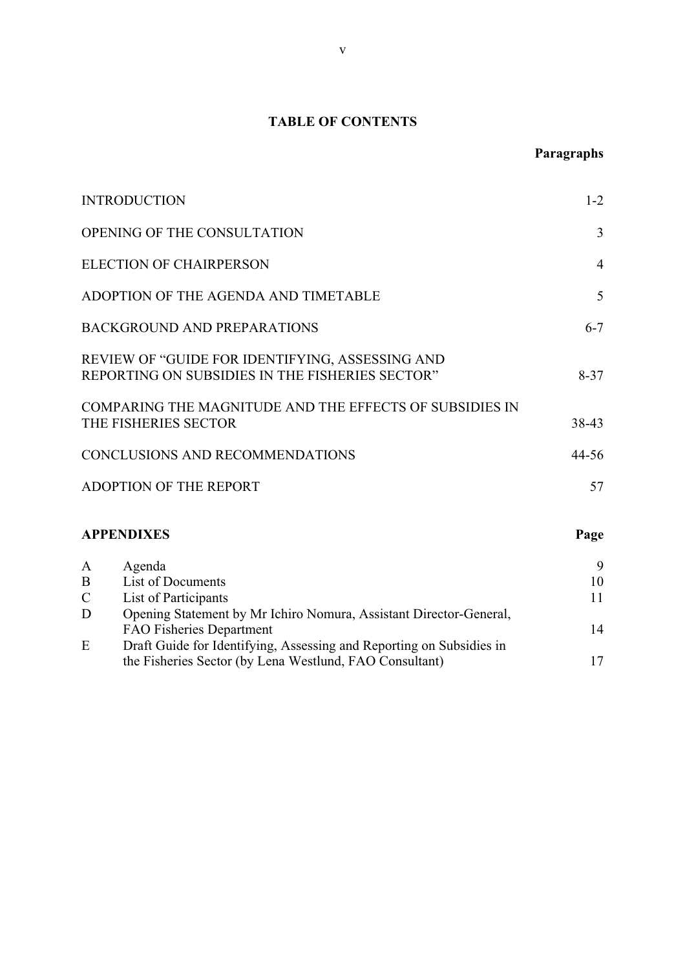# **TABLE OF CONTENTS**

# **Paragraphs**

| <b>INTRODUCTION</b>                                                                                                                                                                         | $1 - 2$             |
|---------------------------------------------------------------------------------------------------------------------------------------------------------------------------------------------|---------------------|
| OPENING OF THE CONSULTATION                                                                                                                                                                 | $\overline{3}$      |
| <b>ELECTION OF CHAIRPERSON</b>                                                                                                                                                              | $\overline{4}$      |
| ADOPTION OF THE AGENDA AND TIMETABLE                                                                                                                                                        | 5                   |
| <b>BACKGROUND AND PREPARATIONS</b>                                                                                                                                                          | $6 - 7$             |
| REVIEW OF "GUIDE FOR IDENTIFYING, ASSESSING AND<br>REPORTING ON SUBSIDIES IN THE FISHERIES SECTOR"                                                                                          | $8 - 37$            |
| COMPARING THE MAGNITUDE AND THE EFFECTS OF SUBSIDIES IN<br>THE FISHERIES SECTOR                                                                                                             | 38-43               |
| CONCLUSIONS AND RECOMMENDATIONS                                                                                                                                                             | $44 - 56$           |
| <b>ADOPTION OF THE REPORT</b>                                                                                                                                                               | 57                  |
| <b>APPENDIXES</b>                                                                                                                                                                           | Page                |
| Agenda<br>A<br>List of Documents<br>B<br>List of Participants<br>$\mathsf{C}$<br>D<br>Opening Statement by Mr Ichiro Nomura, Assistant Director-General,<br><b>FAO Fisheries Department</b> | 9<br>10<br>11<br>14 |
| Draft Guide for Identifying, Assessing and Reporting on Subsidies in<br>E<br>the Fisheries Sector (by Lena Westlund, FAO Consultant)                                                        | 17                  |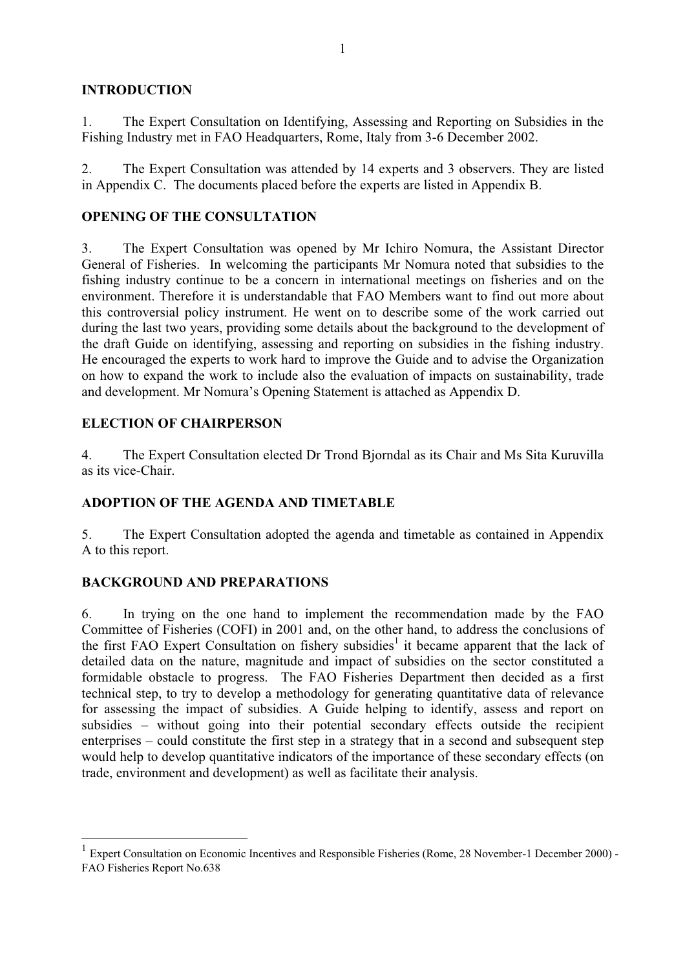# **INTRODUCTION**

1. The Expert Consultation on Identifying, Assessing and Reporting on Subsidies in the Fishing Industry met in FAO Headquarters, Rome, Italy from 3-6 December 2002.

2. The Expert Consultation was attended by 14 experts and 3 observers. They are listed in Appendix C. The documents placed before the experts are listed in Appendix B.

# **OPENING OF THE CONSULTATION**

3. The Expert Consultation was opened by Mr Ichiro Nomura, the Assistant Director General of Fisheries. In welcoming the participants Mr Nomura noted that subsidies to the fishing industry continue to be a concern in international meetings on fisheries and on the environment. Therefore it is understandable that FAO Members want to find out more about this controversial policy instrument. He went on to describe some of the work carried out during the last two years, providing some details about the background to the development of the draft Guide on identifying, assessing and reporting on subsidies in the fishing industry. He encouraged the experts to work hard to improve the Guide and to advise the Organization on how to expand the work to include also the evaluation of impacts on sustainability, trade and development. Mr Nomura's Opening Statement is attached as Appendix D.

# **ELECTION OF CHAIRPERSON**

4. The Expert Consultation elected Dr Trond Bjorndal as its Chair and Ms Sita Kuruvilla as its vice-Chair.

# **ADOPTION OF THE AGENDA AND TIMETABLE**

5. The Expert Consultation adopted the agenda and timetable as contained in Appendix A to this report.

# **BACKGROUND AND PREPARATIONS**

6. In trying on the one hand to implement the recommendation made by the FAO Committee of Fisheries (COFI) in 2001 and, on the other hand, to address the conclusions of the first FAO Expert Consultation on fishery subsidies<sup>1</sup> it became apparent that the lack of detailed data on the nature, magnitude and impact of subsidies on the sector constituted a formidable obstacle to progress. The FAO Fisheries Department then decided as a first technical step, to try to develop a methodology for generating quantitative data of relevance for assessing the impact of subsidies. A Guide helping to identify, assess and report on subsidies – without going into their potential secondary effects outside the recipient enterprises – could constitute the first step in a strategy that in a second and subsequent step would help to develop quantitative indicators of the importance of these secondary effects (on trade, environment and development) as well as facilitate their analysis.

<sup>&</sup>lt;sup>1</sup> Expert Consultation on Economic Incentives and Responsible Fisheries (Rome, 28 November-1 December 2000) -FAO Fisheries Report No.638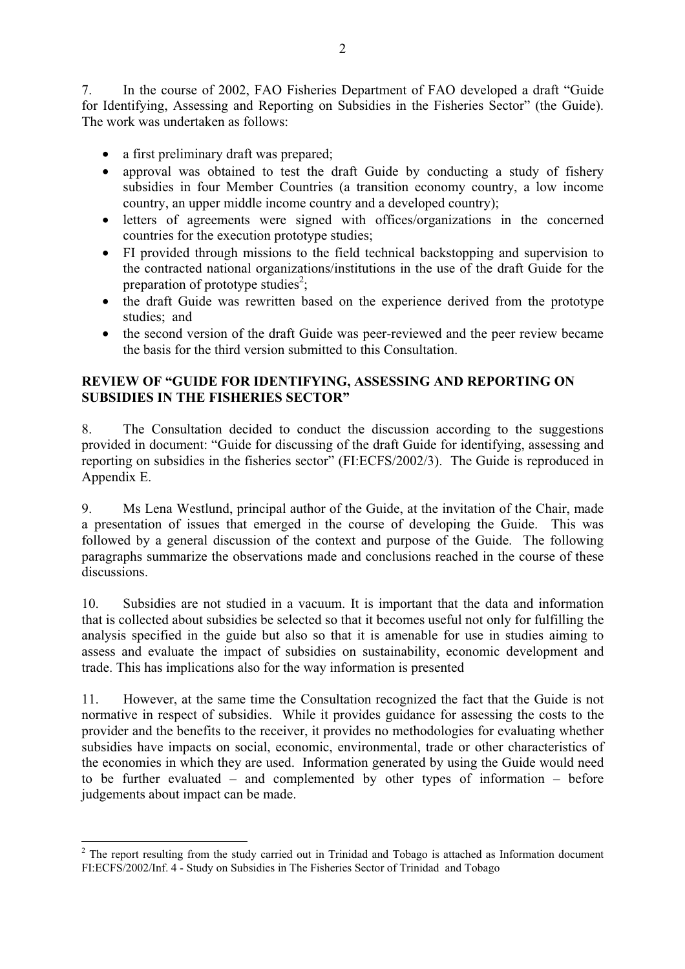7. In the course of 2002, FAO Fisheries Department of FAO developed a draft "Guide for Identifying, Assessing and Reporting on Subsidies in the Fisheries Sector" (the Guide). The work was undertaken as follows:

- a first preliminary draft was prepared;
- approval was obtained to test the draft Guide by conducting a study of fishery subsidies in four Member Countries (a transition economy country, a low income country, an upper middle income country and a developed country);
- letters of agreements were signed with offices/organizations in the concerned countries for the execution prototype studies;
- FI provided through missions to the field technical backstopping and supervision to the contracted national organizations/institutions in the use of the draft Guide for the preparation of prototype studies<sup>2</sup>;
- the draft Guide was rewritten based on the experience derived from the prototype studies; and
- the second version of the draft Guide was peer-reviewed and the peer review became the basis for the third version submitted to this Consultation.

# **REVIEW OF "GUIDE FOR IDENTIFYING, ASSESSING AND REPORTING ON SUBSIDIES IN THE FISHERIES SECTOR"**

8. The Consultation decided to conduct the discussion according to the suggestions provided in document: "Guide for discussing of the draft Guide for identifying, assessing and reporting on subsidies in the fisheries sector" (FI:ECFS/2002/3). The Guide is reproduced in Appendix E.

9. Ms Lena Westlund, principal author of the Guide, at the invitation of the Chair, made a presentation of issues that emerged in the course of developing the Guide. This was followed by a general discussion of the context and purpose of the Guide. The following paragraphs summarize the observations made and conclusions reached in the course of these discussions.

10. Subsidies are not studied in a vacuum. It is important that the data and information that is collected about subsidies be selected so that it becomes useful not only for fulfilling the analysis specified in the guide but also so that it is amenable for use in studies aiming to assess and evaluate the impact of subsidies on sustainability, economic development and trade. This has implications also for the way information is presented

11. However, at the same time the Consultation recognized the fact that the Guide is not normative in respect of subsidies. While it provides guidance for assessing the costs to the provider and the benefits to the receiver, it provides no methodologies for evaluating whether subsidies have impacts on social, economic, environmental, trade or other characteristics of the economies in which they are used. Information generated by using the Guide would need to be further evaluated – and complemented by other types of information – before judgements about impact can be made.

<sup>&</sup>lt;sup>2</sup> The report resulting from the study carried out in Trinidad and Tobago is attached as Information document FI:ECFS/2002/Inf. 4 - Study on Subsidies in The Fisheries Sector of Trinidad and Tobago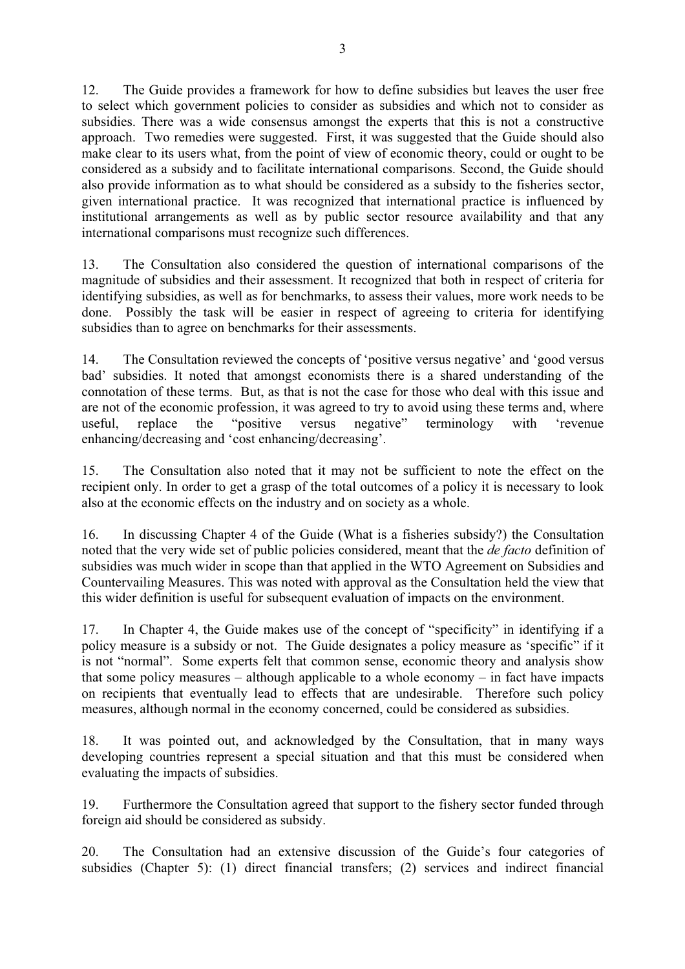12. The Guide provides a framework for how to define subsidies but leaves the user free to select which government policies to consider as subsidies and which not to consider as subsidies. There was a wide consensus amongst the experts that this is not a constructive approach. Two remedies were suggested. First, it was suggested that the Guide should also make clear to its users what, from the point of view of economic theory, could or ought to be considered as a subsidy and to facilitate international comparisons. Second, the Guide should also provide information as to what should be considered as a subsidy to the fisheries sector, given international practice. It was recognized that international practice is influenced by institutional arrangements as well as by public sector resource availability and that any international comparisons must recognize such differences.

13. The Consultation also considered the question of international comparisons of the magnitude of subsidies and their assessment. It recognized that both in respect of criteria for identifying subsidies, as well as for benchmarks, to assess their values, more work needs to be done. Possibly the task will be easier in respect of agreeing to criteria for identifying subsidies than to agree on benchmarks for their assessments.

14. The Consultation reviewed the concepts of 'positive versus negative' and 'good versus bad' subsidies. It noted that amongst economists there is a shared understanding of the connotation of these terms. But, as that is not the case for those who deal with this issue and are not of the economic profession, it was agreed to try to avoid using these terms and, where useful, replace the "positive versus negative" terminology with 'revenue enhancing/decreasing and 'cost enhancing/decreasing'.

15. The Consultation also noted that it may not be sufficient to note the effect on the recipient only. In order to get a grasp of the total outcomes of a policy it is necessary to look also at the economic effects on the industry and on society as a whole.

16. In discussing Chapter 4 of the Guide (What is a fisheries subsidy?) the Consultation noted that the very wide set of public policies considered, meant that the *de facto* definition of subsidies was much wider in scope than that applied in the WTO Agreement on Subsidies and Countervailing Measures. This was noted with approval as the Consultation held the view that this wider definition is useful for subsequent evaluation of impacts on the environment.

17. In Chapter 4, the Guide makes use of the concept of "specificity" in identifying if a policy measure is a subsidy or not. The Guide designates a policy measure as 'specific" if it is not "normal". Some experts felt that common sense, economic theory and analysis show that some policy measures – although applicable to a whole economy – in fact have impacts on recipients that eventually lead to effects that are undesirable. Therefore such policy measures, although normal in the economy concerned, could be considered as subsidies.

18. It was pointed out, and acknowledged by the Consultation, that in many ways developing countries represent a special situation and that this must be considered when evaluating the impacts of subsidies.

19. Furthermore the Consultation agreed that support to the fishery sector funded through foreign aid should be considered as subsidy.

20. The Consultation had an extensive discussion of the Guide's four categories of subsidies (Chapter 5): (1) direct financial transfers; (2) services and indirect financial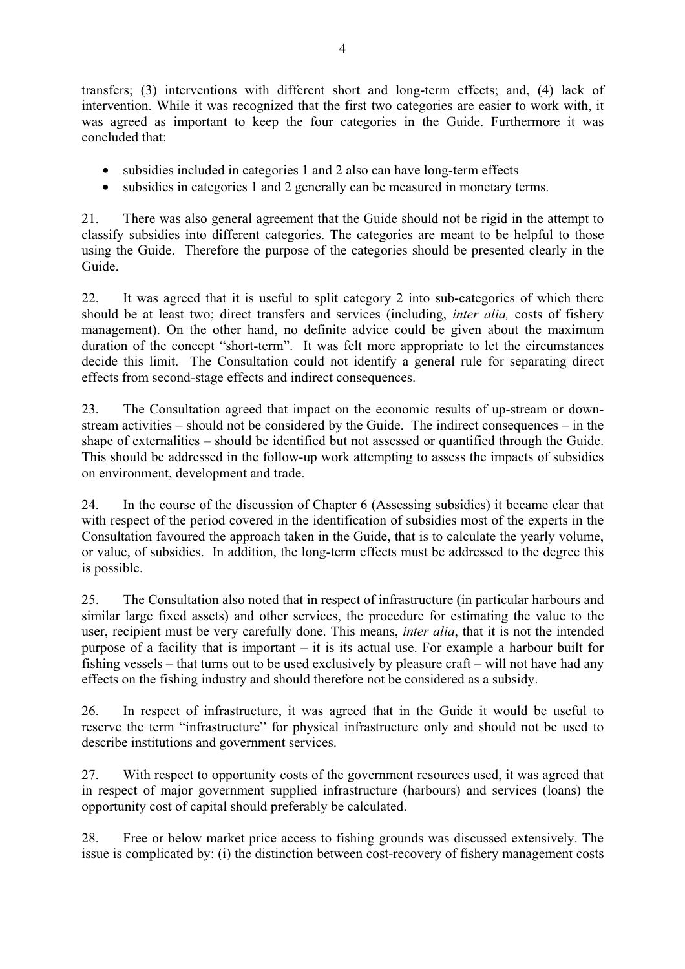transfers; (3) interventions with different short and long-term effects; and, (4) lack of intervention. While it was recognized that the first two categories are easier to work with, it was agreed as important to keep the four categories in the Guide. Furthermore it was concluded that:

- subsidies included in categories 1 and 2 also can have long-term effects
- subsidies in categories 1 and 2 generally can be measured in monetary terms.

21. There was also general agreement that the Guide should not be rigid in the attempt to classify subsidies into different categories. The categories are meant to be helpful to those using the Guide. Therefore the purpose of the categories should be presented clearly in the Guide.

22. It was agreed that it is useful to split category 2 into sub-categories of which there should be at least two; direct transfers and services (including, *inter alia,* costs of fishery management). On the other hand, no definite advice could be given about the maximum duration of the concept "short-term". It was felt more appropriate to let the circumstances decide this limit. The Consultation could not identify a general rule for separating direct effects from second-stage effects and indirect consequences.

23. The Consultation agreed that impact on the economic results of up-stream or downstream activities – should not be considered by the Guide. The indirect consequences – in the shape of externalities – should be identified but not assessed or quantified through the Guide. This should be addressed in the follow-up work attempting to assess the impacts of subsidies on environment, development and trade.

24. In the course of the discussion of Chapter 6 (Assessing subsidies) it became clear that with respect of the period covered in the identification of subsidies most of the experts in the Consultation favoured the approach taken in the Guide, that is to calculate the yearly volume, or value, of subsidies. In addition, the long-term effects must be addressed to the degree this is possible.

25. The Consultation also noted that in respect of infrastructure (in particular harbours and similar large fixed assets) and other services, the procedure for estimating the value to the user, recipient must be very carefully done. This means, *inter alia*, that it is not the intended purpose of a facility that is important – it is its actual use. For example a harbour built for fishing vessels – that turns out to be used exclusively by pleasure craft – will not have had any effects on the fishing industry and should therefore not be considered as a subsidy.

26. In respect of infrastructure, it was agreed that in the Guide it would be useful to reserve the term "infrastructure" for physical infrastructure only and should not be used to describe institutions and government services.

27. With respect to opportunity costs of the government resources used, it was agreed that in respect of major government supplied infrastructure (harbours) and services (loans) the opportunity cost of capital should preferably be calculated.

28. Free or below market price access to fishing grounds was discussed extensively. The issue is complicated by: (i) the distinction between cost-recovery of fishery management costs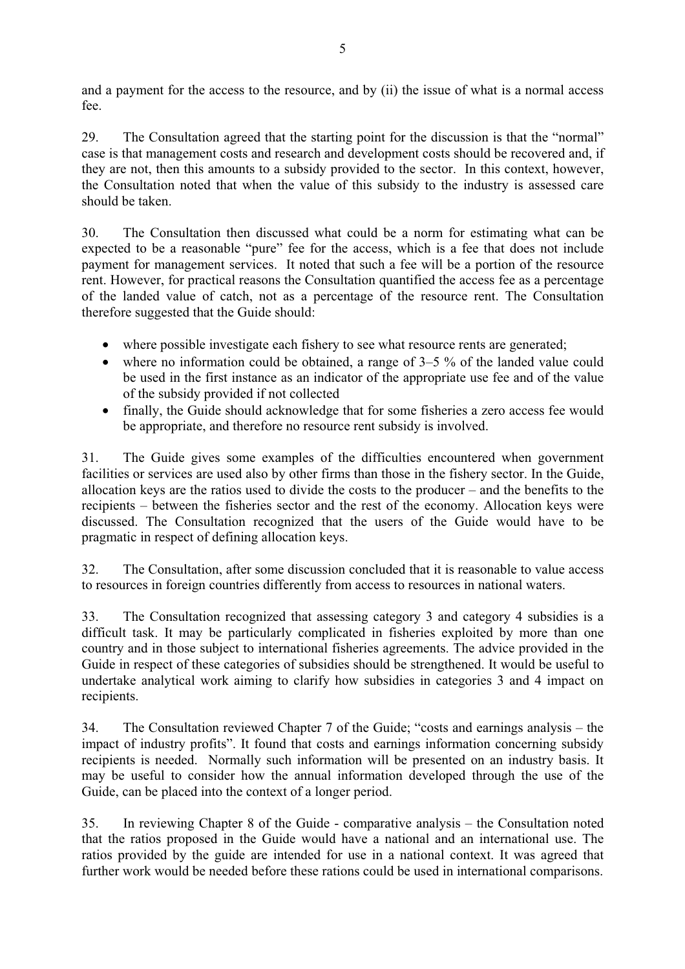and a payment for the access to the resource, and by (ii) the issue of what is a normal access fee.

29. The Consultation agreed that the starting point for the discussion is that the "normal" case is that management costs and research and development costs should be recovered and, if they are not, then this amounts to a subsidy provided to the sector. In this context, however, the Consultation noted that when the value of this subsidy to the industry is assessed care should be taken.

30. The Consultation then discussed what could be a norm for estimating what can be expected to be a reasonable "pure" fee for the access, which is a fee that does not include payment for management services. It noted that such a fee will be a portion of the resource rent. However, for practical reasons the Consultation quantified the access fee as a percentage of the landed value of catch, not as a percentage of the resource rent. The Consultation therefore suggested that the Guide should:

- where possible investigate each fishery to see what resource rents are generated;
- where no information could be obtained, a range of 3–5 % of the landed value could be used in the first instance as an indicator of the appropriate use fee and of the value of the subsidy provided if not collected
- finally, the Guide should acknowledge that for some fisheries a zero access fee would be appropriate, and therefore no resource rent subsidy is involved.

31. The Guide gives some examples of the difficulties encountered when government facilities or services are used also by other firms than those in the fishery sector. In the Guide, allocation keys are the ratios used to divide the costs to the producer – and the benefits to the recipients – between the fisheries sector and the rest of the economy. Allocation keys were discussed. The Consultation recognized that the users of the Guide would have to be pragmatic in respect of defining allocation keys.

32. The Consultation, after some discussion concluded that it is reasonable to value access to resources in foreign countries differently from access to resources in national waters.

33. The Consultation recognized that assessing category 3 and category 4 subsidies is a difficult task. It may be particularly complicated in fisheries exploited by more than one country and in those subject to international fisheries agreements. The advice provided in the Guide in respect of these categories of subsidies should be strengthened. It would be useful to undertake analytical work aiming to clarify how subsidies in categories 3 and 4 impact on recipients.

34. The Consultation reviewed Chapter 7 of the Guide; "costs and earnings analysis – the impact of industry profits". It found that costs and earnings information concerning subsidy recipients is needed. Normally such information will be presented on an industry basis. It may be useful to consider how the annual information developed through the use of the Guide, can be placed into the context of a longer period.

35. In reviewing Chapter 8 of the Guide - comparative analysis – the Consultation noted that the ratios proposed in the Guide would have a national and an international use. The ratios provided by the guide are intended for use in a national context. It was agreed that further work would be needed before these rations could be used in international comparisons.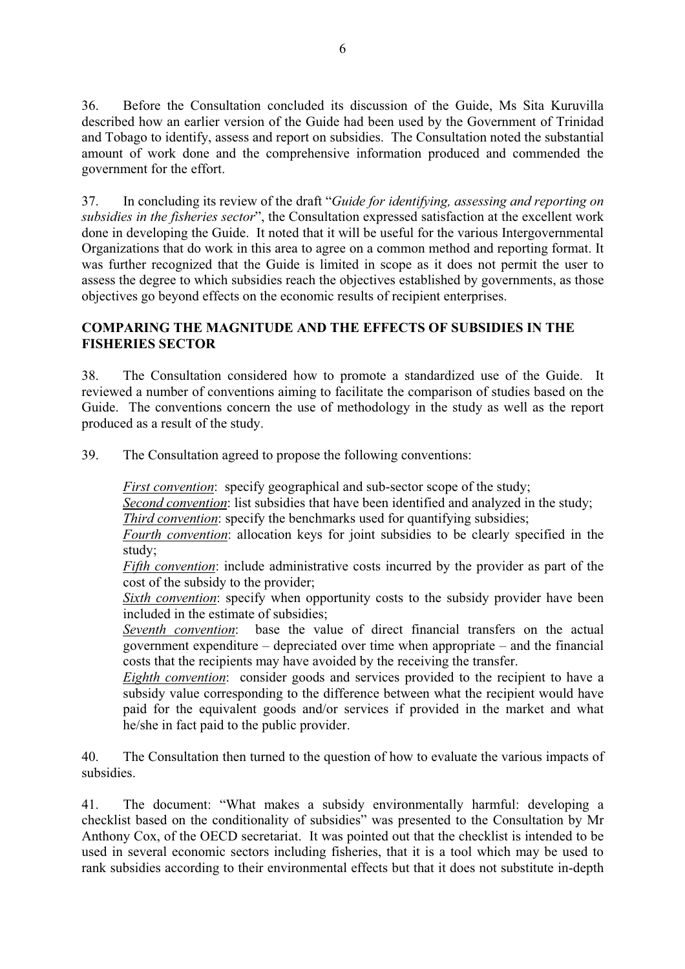36. Before the Consultation concluded its discussion of the Guide, Ms Sita Kuruvilla described how an earlier version of the Guide had been used by the Government of Trinidad and Tobago to identify, assess and report on subsidies. The Consultation noted the substantial amount of work done and the comprehensive information produced and commended the government for the effort.

37. In concluding its review of the draft "*Guide for identifying, assessing and reporting on subsidies in the fisheries sector*", the Consultation expressed satisfaction at the excellent work done in developing the Guide. It noted that it will be useful for the various Intergovernmental Organizations that do work in this area to agree on a common method and reporting format. It was further recognized that the Guide is limited in scope as it does not permit the user to assess the degree to which subsidies reach the objectives established by governments, as those objectives go beyond effects on the economic results of recipient enterprises.

# **COMPARING THE MAGNITUDE AND THE EFFECTS OF SUBSIDIES IN THE FISHERIES SECTOR**

38. The Consultation considered how to promote a standardized use of the Guide. It reviewed a number of conventions aiming to facilitate the comparison of studies based on the Guide. The conventions concern the use of methodology in the study as well as the report produced as a result of the study.

39. The Consultation agreed to propose the following conventions:

*First convention*: specify geographical and sub-sector scope of the study;

*Second convention*: list subsidies that have been identified and analyzed in the study; *Third convention*: specify the benchmarks used for quantifying subsidies;

*Fourth convention*: allocation keys for joint subsidies to be clearly specified in the study;

*Fifth convention*: include administrative costs incurred by the provider as part of the cost of the subsidy to the provider;

*Sixth convention*: specify when opportunity costs to the subsidy provider have been included in the estimate of subsidies;

*Seventh convention*: base the value of direct financial transfers on the actual government expenditure – depreciated over time when appropriate – and the financial costs that the recipients may have avoided by the receiving the transfer.

*Eighth convention*: consider goods and services provided to the recipient to have a subsidy value corresponding to the difference between what the recipient would have paid for the equivalent goods and/or services if provided in the market and what he/she in fact paid to the public provider.

40. The Consultation then turned to the question of how to evaluate the various impacts of subsidies.

41. The document: "What makes a subsidy environmentally harmful: developing a checklist based on the conditionality of subsidies" was presented to the Consultation by Mr Anthony Cox, of the OECD secretariat. It was pointed out that the checklist is intended to be used in several economic sectors including fisheries, that it is a tool which may be used to rank subsidies according to their environmental effects but that it does not substitute in-depth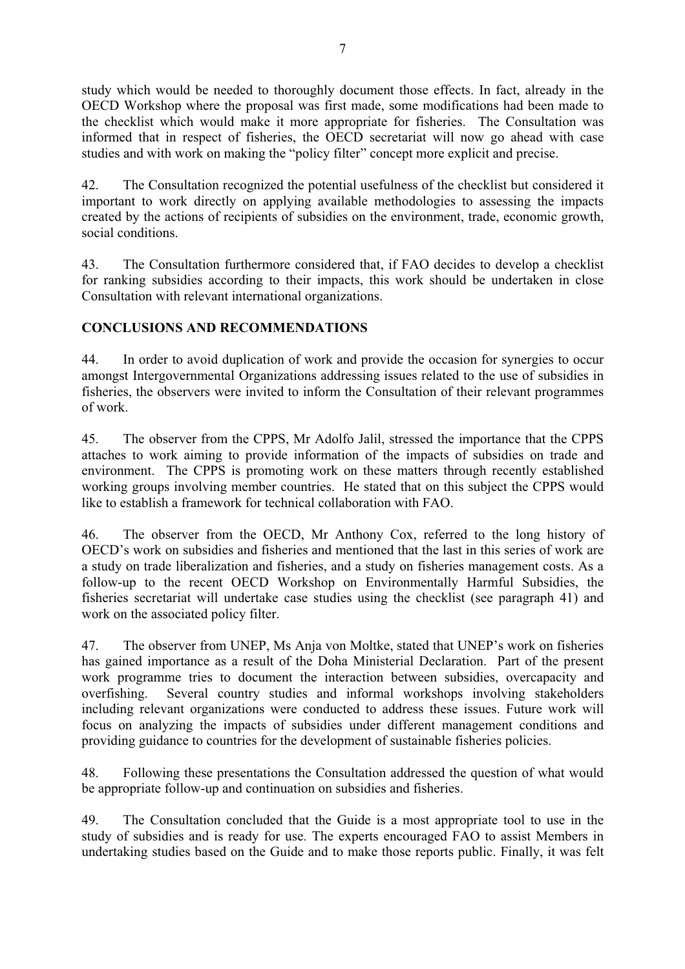study which would be needed to thoroughly document those effects. In fact, already in the OECD Workshop where the proposal was first made, some modifications had been made to the checklist which would make it more appropriate for fisheries. The Consultation was informed that in respect of fisheries, the OECD secretariat will now go ahead with case studies and with work on making the "policy filter" concept more explicit and precise.

42. The Consultation recognized the potential usefulness of the checklist but considered it important to work directly on applying available methodologies to assessing the impacts created by the actions of recipients of subsidies on the environment, trade, economic growth, social conditions.

43. The Consultation furthermore considered that, if FAO decides to develop a checklist for ranking subsidies according to their impacts, this work should be undertaken in close Consultation with relevant international organizations.

# **CONCLUSIONS AND RECOMMENDATIONS**

44. In order to avoid duplication of work and provide the occasion for synergies to occur amongst Intergovernmental Organizations addressing issues related to the use of subsidies in fisheries, the observers were invited to inform the Consultation of their relevant programmes of work.

45. The observer from the CPPS, Mr Adolfo Jalil, stressed the importance that the CPPS attaches to work aiming to provide information of the impacts of subsidies on trade and environment. The CPPS is promoting work on these matters through recently established working groups involving member countries. He stated that on this subject the CPPS would like to establish a framework for technical collaboration with FAO.

46. The observer from the OECD, Mr Anthony Cox, referred to the long history of OECD's work on subsidies and fisheries and mentioned that the last in this series of work are a study on trade liberalization and fisheries, and a study on fisheries management costs. As a follow-up to the recent OECD Workshop on Environmentally Harmful Subsidies, the fisheries secretariat will undertake case studies using the checklist (see paragraph 41) and work on the associated policy filter.

47. The observer from UNEP, Ms Anja von Moltke, stated that UNEP's work on fisheries has gained importance as a result of the Doha Ministerial Declaration. Part of the present work programme tries to document the interaction between subsidies, overcapacity and overfishing. Several country studies and informal workshops involving stakeholders including relevant organizations were conducted to address these issues. Future work will focus on analyzing the impacts of subsidies under different management conditions and providing guidance to countries for the development of sustainable fisheries policies.

48. Following these presentations the Consultation addressed the question of what would be appropriate follow-up and continuation on subsidies and fisheries.

49. The Consultation concluded that the Guide is a most appropriate tool to use in the study of subsidies and is ready for use. The experts encouraged FAO to assist Members in undertaking studies based on the Guide and to make those reports public. Finally, it was felt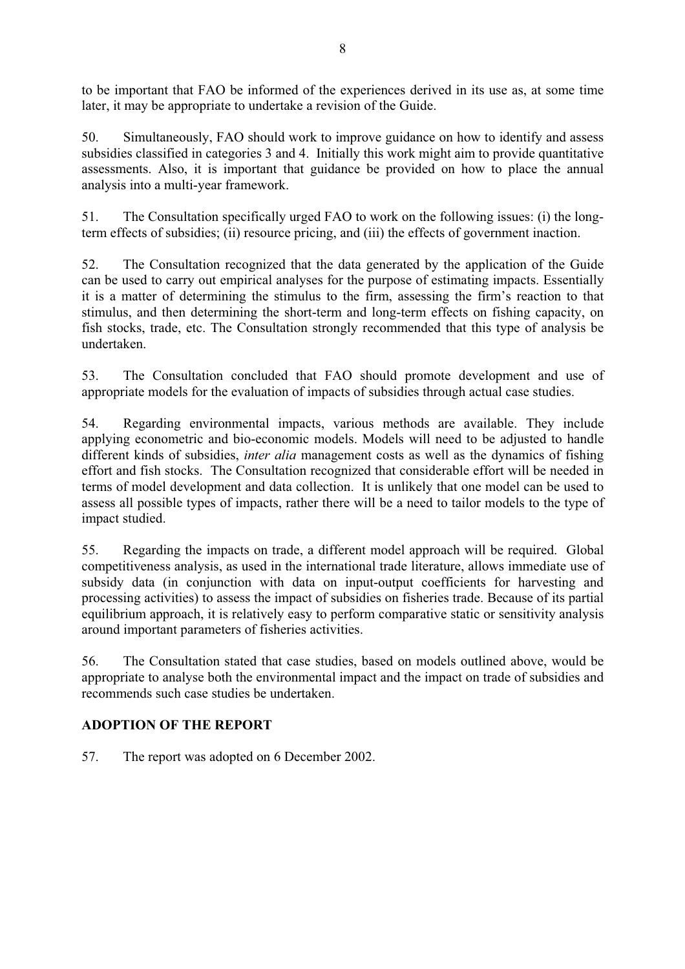to be important that FAO be informed of the experiences derived in its use as, at some time later, it may be appropriate to undertake a revision of the Guide.

50. Simultaneously, FAO should work to improve guidance on how to identify and assess subsidies classified in categories 3 and 4. Initially this work might aim to provide quantitative assessments. Also, it is important that guidance be provided on how to place the annual analysis into a multi-year framework.

51. The Consultation specifically urged FAO to work on the following issues: (i) the longterm effects of subsidies; (ii) resource pricing, and (iii) the effects of government inaction.

52. The Consultation recognized that the data generated by the application of the Guide can be used to carry out empirical analyses for the purpose of estimating impacts. Essentially it is a matter of determining the stimulus to the firm, assessing the firm's reaction to that stimulus, and then determining the short-term and long-term effects on fishing capacity, on fish stocks, trade, etc. The Consultation strongly recommended that this type of analysis be undertaken.

53. The Consultation concluded that FAO should promote development and use of appropriate models for the evaluation of impacts of subsidies through actual case studies.

54. Regarding environmental impacts, various methods are available. They include applying econometric and bio-economic models. Models will need to be adjusted to handle different kinds of subsidies, *inter alia* management costs as well as the dynamics of fishing effort and fish stocks. The Consultation recognized that considerable effort will be needed in terms of model development and data collection. It is unlikely that one model can be used to assess all possible types of impacts, rather there will be a need to tailor models to the type of impact studied.

55. Regarding the impacts on trade, a different model approach will be required. Global competitiveness analysis, as used in the international trade literature, allows immediate use of subsidy data (in conjunction with data on input-output coefficients for harvesting and processing activities) to assess the impact of subsidies on fisheries trade. Because of its partial equilibrium approach, it is relatively easy to perform comparative static or sensitivity analysis around important parameters of fisheries activities.

56. The Consultation stated that case studies, based on models outlined above, would be appropriate to analyse both the environmental impact and the impact on trade of subsidies and recommends such case studies be undertaken.

# **ADOPTION OF THE REPORT**

57. The report was adopted on 6 December 2002.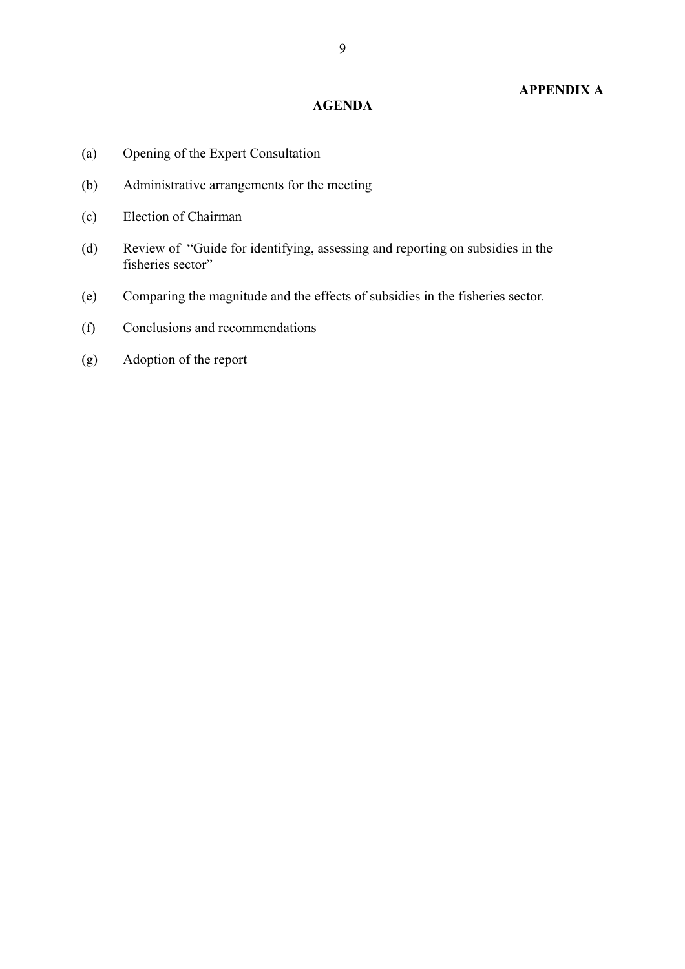# **APPENDIX A**

#### **AGENDA**

- (a) Opening of the Expert Consultation
- (b) Administrative arrangements for the meeting
- (c) Election of Chairman
- (d) Review of "Guide for identifying, assessing and reporting on subsidies in the fisheries sector"
- (e) Comparing the magnitude and the effects of subsidies in the fisheries sector*.*
- (f) Conclusions and recommendations
- (g) Adoption of the report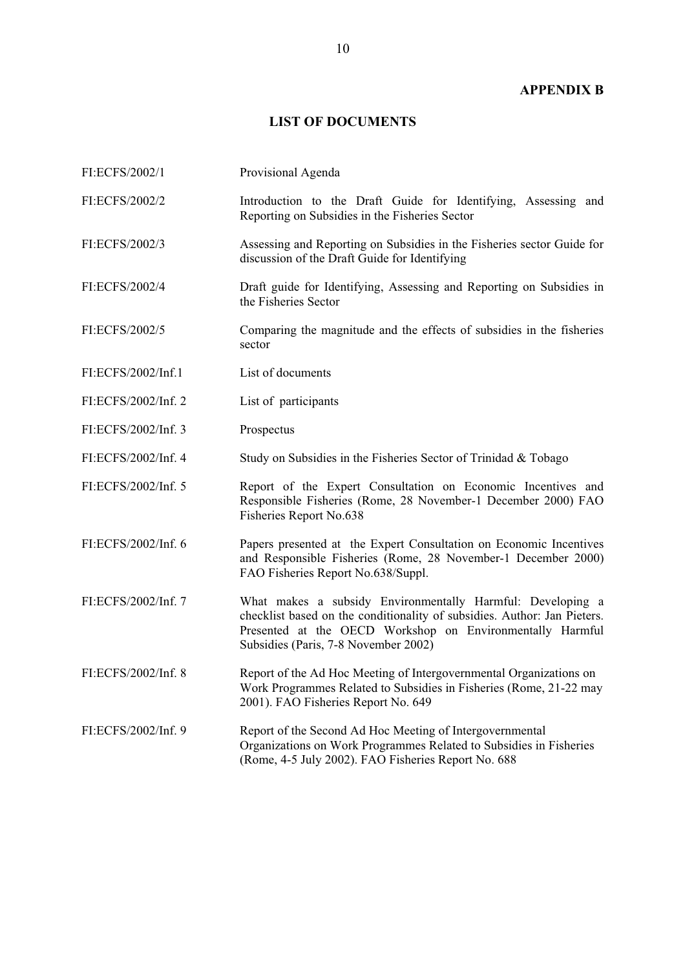## **APPENDIX B**

# **LIST OF DOCUMENTS**

| FI:ECFS/2002/1      | Provisional Agenda                                                                                                                                                                                                                          |
|---------------------|---------------------------------------------------------------------------------------------------------------------------------------------------------------------------------------------------------------------------------------------|
| FI:ECFS/2002/2      | Introduction to the Draft Guide for Identifying, Assessing and<br>Reporting on Subsidies in the Fisheries Sector                                                                                                                            |
| FI:ECFS/2002/3      | Assessing and Reporting on Subsidies in the Fisheries sector Guide for<br>discussion of the Draft Guide for Identifying                                                                                                                     |
| FI:ECFS/2002/4      | Draft guide for Identifying, Assessing and Reporting on Subsidies in<br>the Fisheries Sector                                                                                                                                                |
| FI:ECFS/2002/5      | Comparing the magnitude and the effects of subsidies in the fisheries<br>sector                                                                                                                                                             |
| FI:ECFS/2002/Inf.1  | List of documents                                                                                                                                                                                                                           |
| FI:ECFS/2002/Inf. 2 | List of participants                                                                                                                                                                                                                        |
| FI:ECFS/2002/Inf. 3 | Prospectus                                                                                                                                                                                                                                  |
| FI:ECFS/2002/Inf. 4 | Study on Subsidies in the Fisheries Sector of Trinidad & Tobago                                                                                                                                                                             |
| FI:ECFS/2002/Inf. 5 | Report of the Expert Consultation on Economic Incentives and<br>Responsible Fisheries (Rome, 28 November-1 December 2000) FAO<br>Fisheries Report No.638                                                                                    |
| FI:ECFS/2002/Inf. 6 | Papers presented at the Expert Consultation on Economic Incentives<br>and Responsible Fisheries (Rome, 28 November-1 December 2000)<br>FAO Fisheries Report No.638/Suppl.                                                                   |
| FI:ECFS/2002/Inf. 7 | What makes a subsidy Environmentally Harmful: Developing a<br>checklist based on the conditionality of subsidies. Author: Jan Pieters.<br>Presented at the OECD Workshop on Environmentally Harmful<br>Subsidies (Paris, 7-8 November 2002) |
| FI:ECFS/2002/Inf. 8 | Report of the Ad Hoc Meeting of Intergovernmental Organizations on<br>Work Programmes Related to Subsidies in Fisheries (Rome, 21-22 may<br>2001). FAO Fisheries Report No. 649                                                             |
| FI:ECFS/2002/Inf. 9 | Report of the Second Ad Hoc Meeting of Intergovernmental<br>Organizations on Work Programmes Related to Subsidies in Fisheries<br>(Rome, 4-5 July 2002). FAO Fisheries Report No. 688                                                       |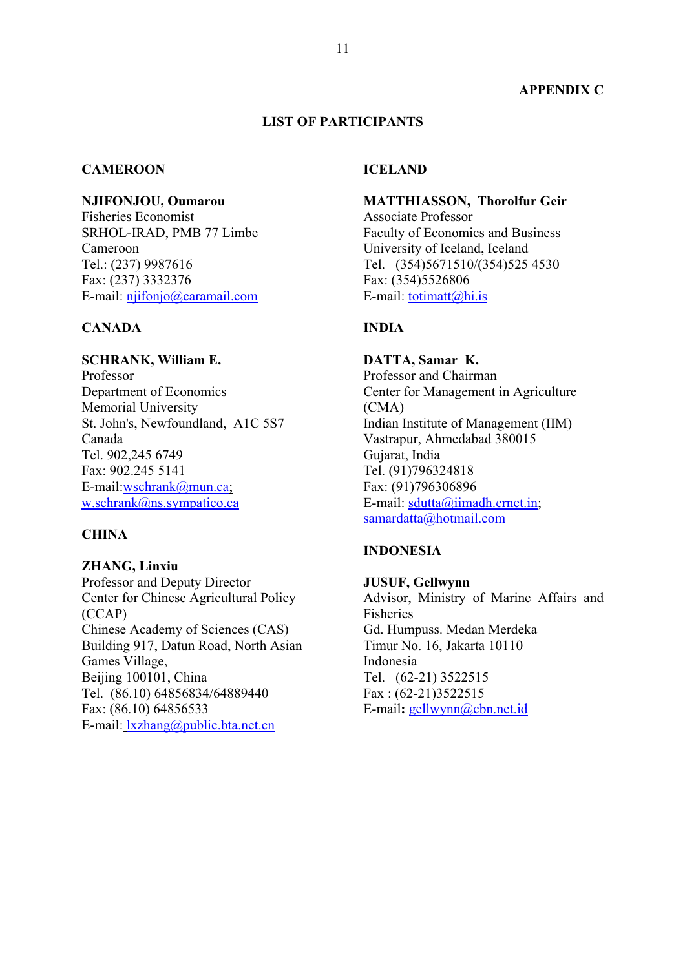## **LIST OF PARTICIPANTS**

#### **CAMEROON**

**NJIFONJOU, Oumarou**

Fisheries Economist SRHOL-IRAD, PMB 77 Limbe Cameroon Tel.: (237) 9987616 Fax: (237) 3332376 E-mail: njifonjo@caramail.com

#### **CANADA**

**SCHRANK, William E.**  Professor Department of Economics Memorial University St. John's, Newfoundland, A1C 5S7 Canada Tel. 902,245 6749 Fax: 902.245 5141 E-mail:wschrank@mun.ca; w.schrank@ns.sympatico.ca

# **CHINA**

**ZHANG, Linxiu**  Professor and Deputy Director Center for Chinese Agricultural Policy (CCAP) Chinese Academy of Sciences (CAS) Building 917, Datun Road, North Asian Games Village, Beijing 100101, China Tel. (86.10) 64856834/64889440 Fax: (86.10) 64856533 E-mail: lxzhang@public.bta.net.cn

#### **ICELAND**

**MATTHIASSON, Thorolfur Geir**  Associate Professor Faculty of Economics and Business University of Iceland, Iceland Tel. (354)5671510/(354)525 4530 Fax: (354)5526806 E-mail:  $totimat( $\omega$ )<sub>hi.is</sub>$ 

# **INDIA**

**DATTA, Samar K.** Professor and Chairman Center for Management in Agriculture (CMA) Indian Institute of Management (IIM) Vastrapur, Ahmedabad 380015 Gujarat, India Tel. (91)796324818 Fax: (91)796306896 E-mail: sdutta@iimadh.ernet.in; samardatta@hotmail.com

#### **INDONESIA**

**JUSUF, Gellwynn**  Advisor, Ministry of Marine Affairs and **Fisheries** Gd. Humpuss. Medan Merdeka Timur No. 16, Jakarta 10110 Indonesia Tel. (62-21) 3522515 Fax : (62-21)3522515 E-mail**:** gellwynn@cbn.net.id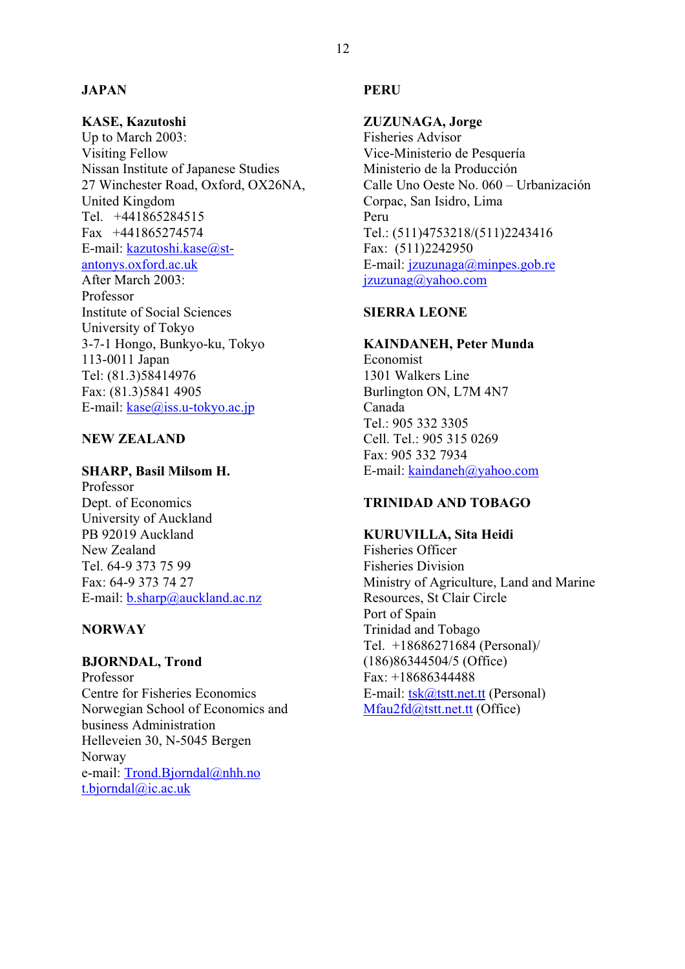## **JAPAN**

# **KASE, Kazutoshi**

Up to March 2003: Visiting Fellow Nissan Institute of Japanese Studies 27 Winchester Road, Oxford, OX26NA, United Kingdom Tel. +441865284515 Fax +441865274574 E-mail: kazutoshi.kase@stantonys.oxford.ac.uk After March 2003: Professor Institute of Social Sciences University of Tokyo 3-7-1 Hongo, Bunkyo-ku, Tokyo 113-0011 Japan Tel: (81.3)58414976 Fax: (81.3)5841 4905 E-mail: kase@iss.u-tokyo.ac.jp

# **NEW ZEALAND**

#### **SHARP, Basil Milsom H.**

Professor Dept. of Economics University of Auckland PB 92019 Auckland New Zealand Tel. 64-9 373 75 99 Fax: 64-9 373 74 27 E-mail: b.sharp@auckland.ac.nz

#### **NORWAY**

#### **BJORNDAL, Trond** Professor

Centre for Fisheries Economics Norwegian School of Economics and business Administration Helleveien 30, N-5045 Bergen Norway e-mail: Trond.Bjorndal@nhh.no t.bjorndal@ic.ac.uk

#### **PERU**

# **ZUZUNAGA, Jorge**

Fisheries Advisor Vice-Ministerio de Pesquería Ministerio de la Producción Calle Uno Oeste No. 060 – Urbanización Corpac, San Isidro, Lima Peru Tel.: (511)4753218/(511)2243416 Fax: (511)2242950 E-mail: jzuzunaga@minpes.gob.re jzuzunag@yahoo.com

## **SIERRA LEONE**

## **KAINDANEH, Peter Munda**

Economist 1301 Walkers Line Burlington ON, L7M 4N7 Canada Tel.: 905 332 3305 Cell. Tel.: 905 315 0269 Fax: 905 332 7934 E-mail: kaindaneh@yahoo.com

# **TRINIDAD AND TOBAGO**

# **KURUVILLA, Sita Heidi**

Fisheries Officer Fisheries Division Ministry of Agriculture, Land and Marine Resources, St Clair Circle Port of Spain Trinidad and Tobago Tel. +18686271684 (Personal)/ (186)86344504/5 (Office) Fax: +18686344488 E-mail: tsk@tstt.net.tt (Personal) Mfau2fd@tstt.net.tt (Office)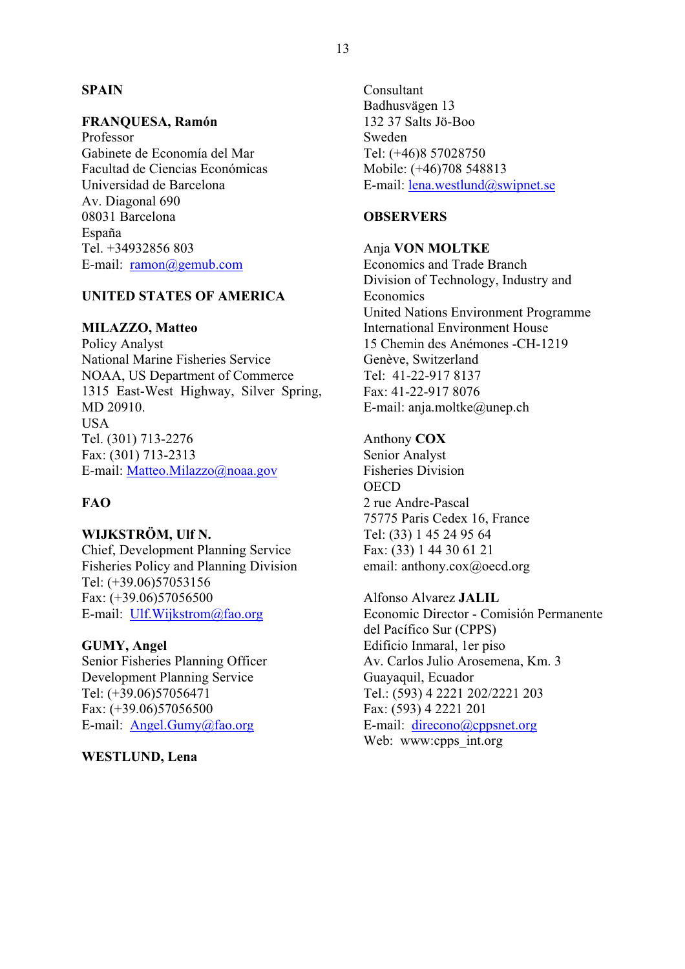## **SPAIN**

#### **FRANQUESA, Ramón**

Professor Gabinete de Economía del Mar Facultad de Ciencias Económicas Universidad de Barcelona Av. Diagonal 690 08031 Barcelona España Tel. +34932856 803 E-mail: ramon@gemub.com

# **UNITED STATES OF AMERICA**

#### **MILAZZO, Matteo**

Policy Analyst National Marine Fisheries Service NOAA, US Department of Commerce 1315 East-West Highway, Silver Spring, MD 20910. **USA** Tel. (301) 713-2276 Fax: (301) 713-2313 E-mail: Matteo.Milazzo@noaa.gov

# **FAO**

#### **WIJKSTRÖM, Ulf N.**

Chief, Development Planning Service Fisheries Policy and Planning Division Tel: (+39.06)57053156 Fax: (+39.06)57056500 E-mail: Ulf.Wijkstrom@fao.org

#### **GUMY, Angel**

Senior Fisheries Planning Officer Development Planning Service Tel: (+39.06)57056471 Fax: (+39.06)57056500 E-mail: Angel.Gumy@fao.org

**WESTLUND, Lena** 

Consultant Badhusvägen 13 132 37 Salts Jö-Boo Sweden Tel: (+46)8 57028750 Mobile: (+46)708 548813 E-mail: lena.westlund@swipnet.se

#### **OBSERVERS**

#### Anja **VON MOLTKE**

Economics and Trade Branch Division of Technology, Industry and Economics United Nations Environment Programme International Environment House 15 Chemin des Anémones -CH-1219 Genève, Switzerland Tel: 41-22-917 8137 Fax: 41-22-917 8076 E-mail: anja.moltke@unep.ch

Anthony **COX** Senior Analyst Fisheries Division **OECD** 2 rue Andre-Pascal 75775 Paris Cedex 16, France Tel: (33) 1 45 24 95 64 Fax: (33) 1 44 30 61 21 email: anthony.cox@oecd.org

Alfonso Alvarez **JALIL** Economic Director - Comisión Permanente del Pacífico Sur (CPPS) Edificio Inmaral, 1er piso Av. Carlos Julio Arosemena, Km. 3 Guayaquil, Ecuador Tel.: (593) 4 2221 202/2221 203 Fax: (593) 4 2221 201 E-mail: direcono@cppsnet.org Web: www:cpps int.org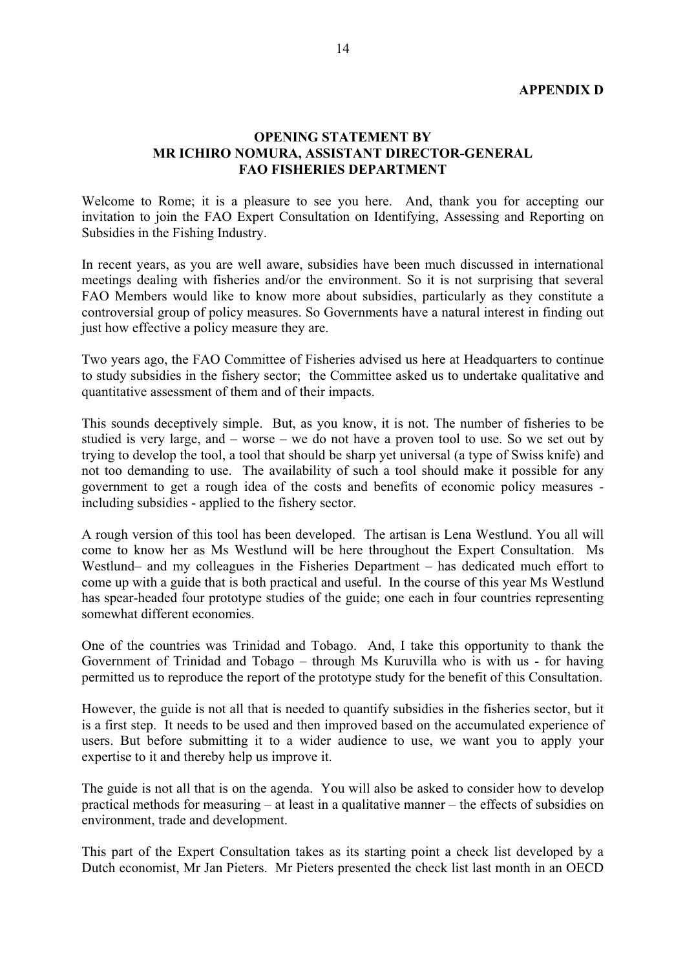#### **OPENING STATEMENT BY MR ICHIRO NOMURA, ASSISTANT DIRECTOR-GENERAL FAO FISHERIES DEPARTMENT**

Welcome to Rome; it is a pleasure to see you here. And, thank you for accepting our invitation to join the FAO Expert Consultation on Identifying, Assessing and Reporting on Subsidies in the Fishing Industry.

In recent years, as you are well aware, subsidies have been much discussed in international meetings dealing with fisheries and/or the environment. So it is not surprising that several FAO Members would like to know more about subsidies, particularly as they constitute a controversial group of policy measures. So Governments have a natural interest in finding out just how effective a policy measure they are.

Two years ago, the FAO Committee of Fisheries advised us here at Headquarters to continue to study subsidies in the fishery sector; the Committee asked us to undertake qualitative and quantitative assessment of them and of their impacts.

This sounds deceptively simple. But, as you know, it is not. The number of fisheries to be studied is very large, and – worse – we do not have a proven tool to use. So we set out by trying to develop the tool, a tool that should be sharp yet universal (a type of Swiss knife) and not too demanding to use. The availability of such a tool should make it possible for any government to get a rough idea of the costs and benefits of economic policy measures including subsidies - applied to the fishery sector.

A rough version of this tool has been developed. The artisan is Lena Westlund. You all will come to know her as Ms Westlund will be here throughout the Expert Consultation. Ms Westlund– and my colleagues in the Fisheries Department – has dedicated much effort to come up with a guide that is both practical and useful. In the course of this year Ms Westlund has spear-headed four prototype studies of the guide; one each in four countries representing somewhat different economies.

One of the countries was Trinidad and Tobago. And, I take this opportunity to thank the Government of Trinidad and Tobago – through Ms Kuruvilla who is with us - for having permitted us to reproduce the report of the prototype study for the benefit of this Consultation.

However, the guide is not all that is needed to quantify subsidies in the fisheries sector, but it is a first step. It needs to be used and then improved based on the accumulated experience of users. But before submitting it to a wider audience to use, we want you to apply your expertise to it and thereby help us improve it.

The guide is not all that is on the agenda. You will also be asked to consider how to develop practical methods for measuring – at least in a qualitative manner – the effects of subsidies on environment, trade and development.

This part of the Expert Consultation takes as its starting point a check list developed by a Dutch economist, Mr Jan Pieters. Mr Pieters presented the check list last month in an OECD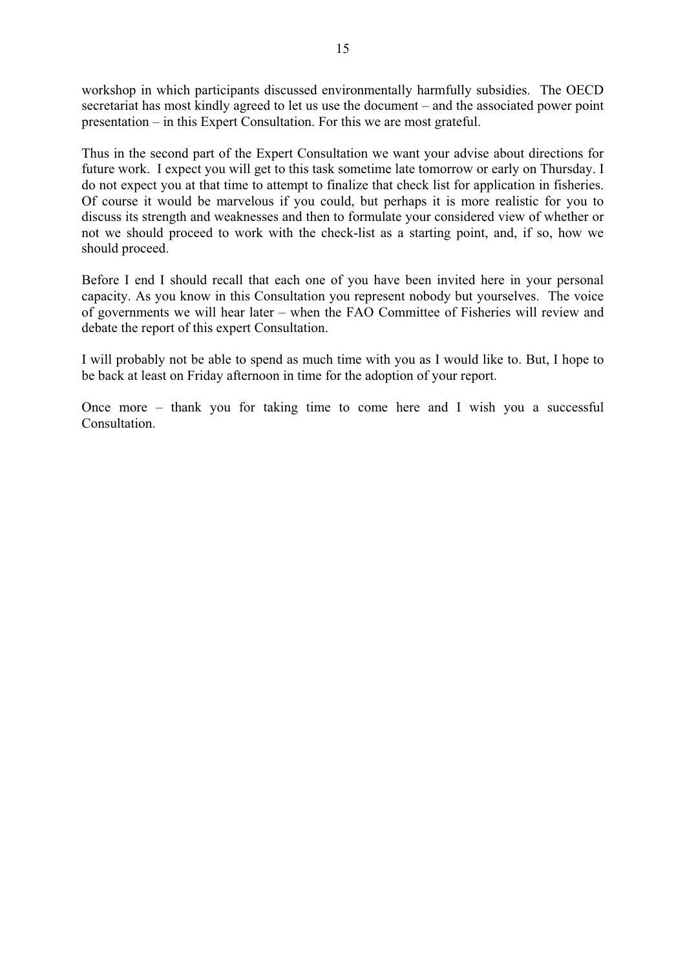workshop in which participants discussed environmentally harmfully subsidies. The OECD secretariat has most kindly agreed to let us use the document – and the associated power point presentation – in this Expert Consultation. For this we are most grateful.

Thus in the second part of the Expert Consultation we want your advise about directions for future work. I expect you will get to this task sometime late tomorrow or early on Thursday. I do not expect you at that time to attempt to finalize that check list for application in fisheries. Of course it would be marvelous if you could, but perhaps it is more realistic for you to discuss its strength and weaknesses and then to formulate your considered view of whether or not we should proceed to work with the check-list as a starting point, and, if so, how we should proceed.

Before I end I should recall that each one of you have been invited here in your personal capacity. As you know in this Consultation you represent nobody but yourselves. The voice of governments we will hear later – when the FAO Committee of Fisheries will review and debate the report of this expert Consultation.

I will probably not be able to spend as much time with you as I would like to. But, I hope to be back at least on Friday afternoon in time for the adoption of your report.

Once more – thank you for taking time to come here and I wish you a successful Consultation.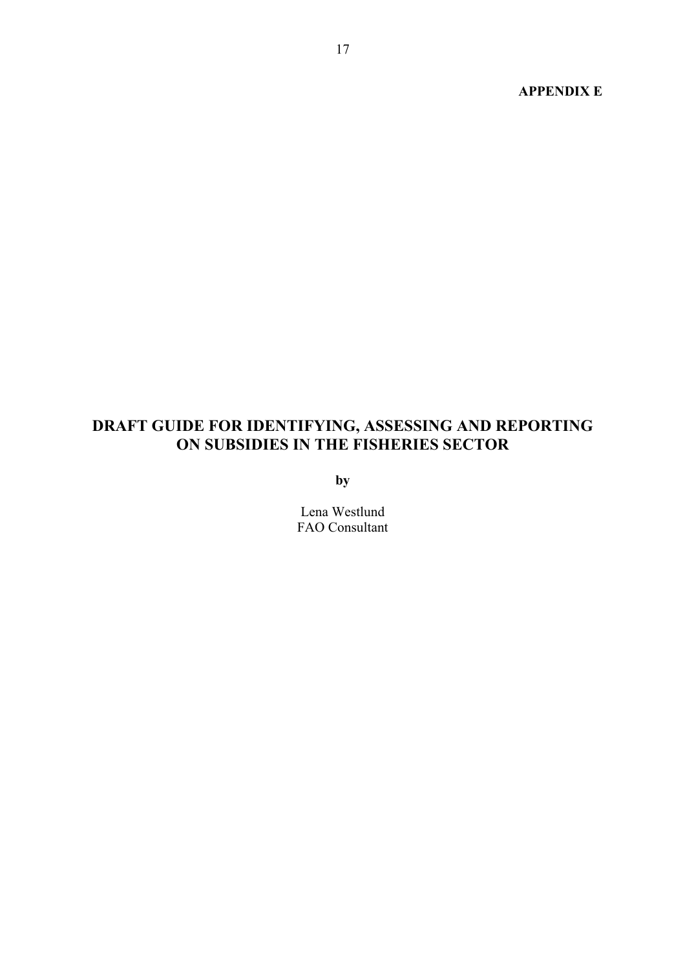#### **APPENDIX E**

# **DRAFT GUIDE FOR IDENTIFYING, ASSESSING AND REPORTING ON SUBSIDIES IN THE FISHERIES SECTOR**

**by**

Lena Westlund FAO Consultant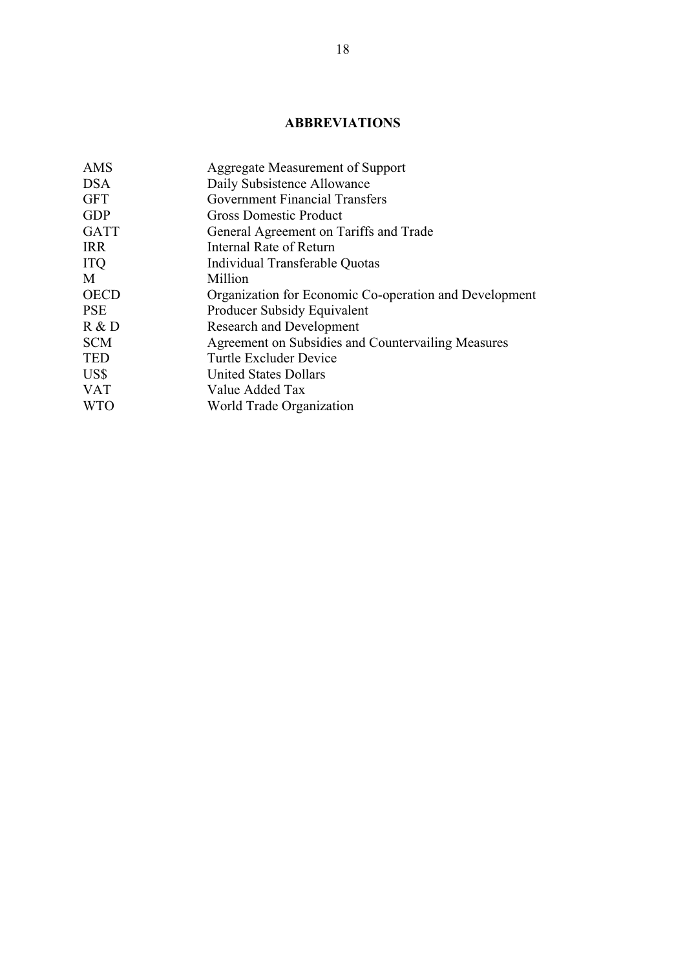# **ABBREVIATIONS**

| AMS         | Aggregate Measurement of Support                       |
|-------------|--------------------------------------------------------|
| <b>DSA</b>  | Daily Subsistence Allowance                            |
| <b>GFT</b>  | <b>Government Financial Transfers</b>                  |
| <b>GDP</b>  | <b>Gross Domestic Product</b>                          |
| <b>GATT</b> | General Agreement on Tariffs and Trade                 |
| <b>IRR</b>  | Internal Rate of Return                                |
| <b>ITQ</b>  | Individual Transferable Quotas                         |
| M           | Million                                                |
| <b>OECD</b> | Organization for Economic Co-operation and Development |
| <b>PSE</b>  | Producer Subsidy Equivalent                            |
| R & D       | <b>Research and Development</b>                        |
| <b>SCM</b>  | Agreement on Subsidies and Countervailing Measures     |
| <b>TED</b>  | Turtle Excluder Device                                 |
| US\$        | <b>United States Dollars</b>                           |
| <b>VAT</b>  | Value Added Tax                                        |
| <b>WTO</b>  | World Trade Organization                               |
|             |                                                        |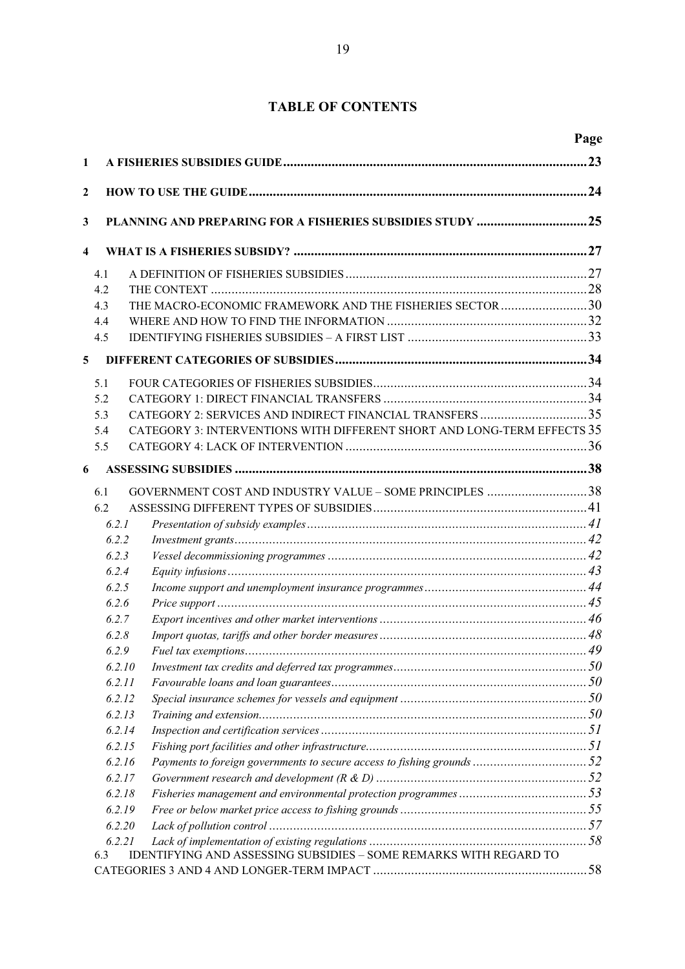# **TABLE OF CONTENTS**

|                         |                  |                                                                         | Page |
|-------------------------|------------------|-------------------------------------------------------------------------|------|
| $\mathbf{1}$            |                  |                                                                         |      |
| $\mathbf{2}$            |                  |                                                                         |      |
|                         |                  |                                                                         |      |
| 3                       |                  | PLANNING AND PREPARING FOR A FISHERIES SUBSIDIES STUDY 25               |      |
| $\overline{\mathbf{4}}$ |                  |                                                                         |      |
|                         | 4.1              |                                                                         |      |
|                         | 4.2              |                                                                         |      |
|                         | 4.3              | THE MACRO-ECONOMIC FRAMEWORK AND THE FISHERIES SECTOR 30                |      |
|                         | 4.4              |                                                                         |      |
|                         | 4.5              |                                                                         |      |
| 5                       |                  |                                                                         |      |
|                         | 5.1              |                                                                         |      |
|                         | 5.2              |                                                                         |      |
|                         | 5.3              | CATEGORY 2: SERVICES AND INDIRECT FINANCIAL TRANSFERS 35                |      |
|                         | 5.4              | CATEGORY 3: INTERVENTIONS WITH DIFFERENT SHORT AND LONG-TERM EFFECTS 35 |      |
|                         | 5.5              |                                                                         |      |
| 6                       |                  |                                                                         |      |
|                         | 6.1              | GOVERNMENT COST AND INDUSTRY VALUE - SOME PRINCIPLES 38                 |      |
|                         | 6.2              |                                                                         |      |
|                         | 6.2.1            |                                                                         |      |
|                         | 6.2.2            |                                                                         |      |
|                         | 6.2.3            |                                                                         |      |
|                         | 6.2.4            |                                                                         |      |
|                         | 6.2.5            |                                                                         |      |
|                         | 6.2.6            |                                                                         |      |
|                         | 6.2.7            |                                                                         |      |
|                         | 6.2.8            |                                                                         |      |
|                         | 6.2.9            |                                                                         |      |
|                         | 6.2.10           |                                                                         |      |
|                         | 6.2.11           |                                                                         |      |
|                         | 6.2.12           |                                                                         |      |
|                         | 6.2.13           |                                                                         |      |
|                         | 6.2.14           |                                                                         |      |
|                         | 6.2.15           |                                                                         |      |
|                         | 6.2.16           |                                                                         |      |
|                         | 6.2.17           |                                                                         |      |
|                         | 6.2.18           |                                                                         |      |
|                         | 6.2.19<br>6.2.20 |                                                                         |      |
|                         | 6.2.21           |                                                                         |      |
|                         | 6.3              | IDENTIFYING AND ASSESSING SUBSIDIES - SOME REMARKS WITH REGARD TO       |      |
|                         |                  |                                                                         |      |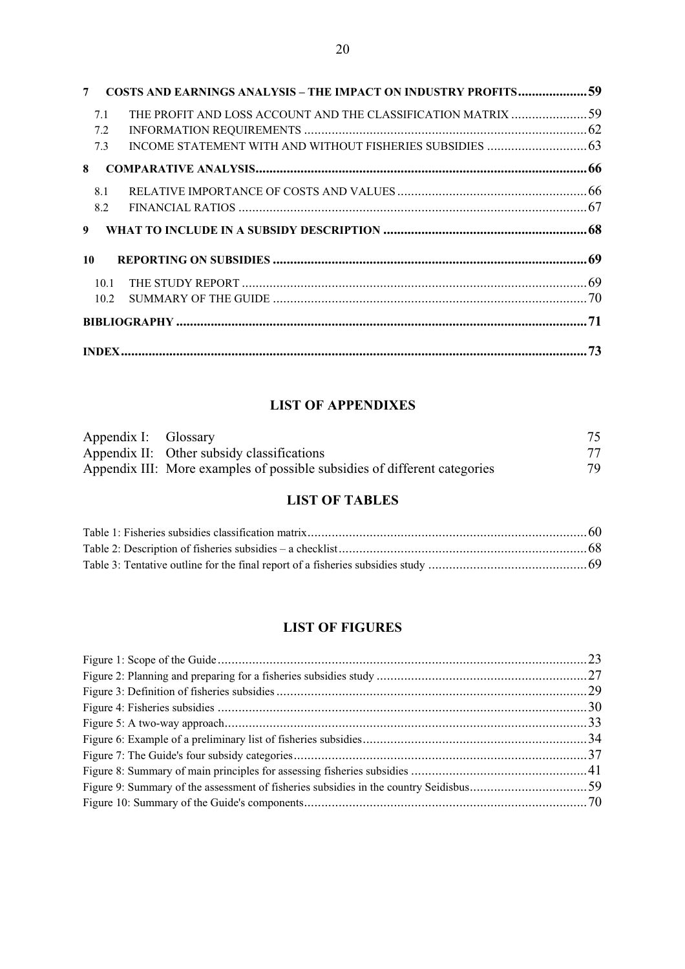| 7  |      | COSTS AND EARNINGS ANALYSIS - THE IMPACT ON INDUSTRY PROFITS59 |  |
|----|------|----------------------------------------------------------------|--|
|    | 7.1  | THE PROFIT AND LOSS ACCOUNT AND THE CLASSIFICATION MATRIX 59   |  |
|    | 7.2  |                                                                |  |
|    | 7.3  |                                                                |  |
| 8  |      |                                                                |  |
|    | 8.1  |                                                                |  |
|    | 8.2  |                                                                |  |
| 9  |      |                                                                |  |
| 10 |      |                                                                |  |
|    | 10.1 |                                                                |  |
|    | 10.2 |                                                                |  |
|    |      |                                                                |  |
|    |      |                                                                |  |

# **LIST OF APPENDIXES**

| Appendix I: Glossary |                                                                           |    |
|----------------------|---------------------------------------------------------------------------|----|
|                      | Appendix II: Other subsidy classifications                                | 77 |
|                      | Appendix III: More examples of possible subsidies of different categories | 79 |

# **LIST OF TABLES**

# **LIST OF FIGURES**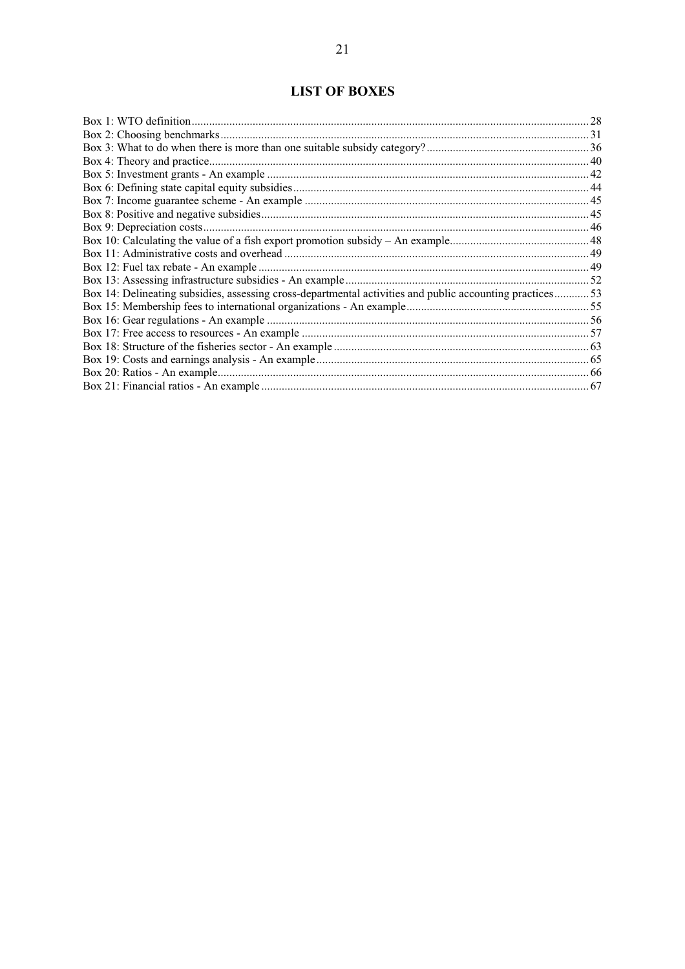# **LIST OF BOXES**

| Box 14: Delineating subsidies, assessing cross-departmental activities and public accounting practices53 |  |
|----------------------------------------------------------------------------------------------------------|--|
|                                                                                                          |  |
|                                                                                                          |  |
|                                                                                                          |  |
|                                                                                                          |  |
|                                                                                                          |  |
|                                                                                                          |  |
|                                                                                                          |  |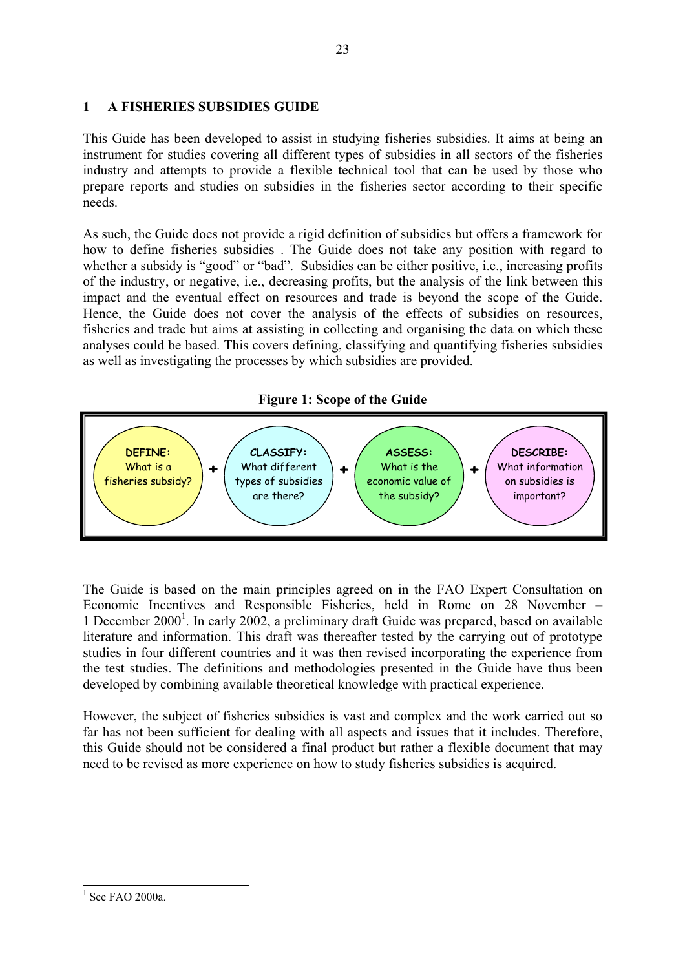## **1 A FISHERIES SUBSIDIES GUIDE**

This Guide has been developed to assist in studying fisheries subsidies. It aims at being an instrument for studies covering all different types of subsidies in all sectors of the fisheries industry and attempts to provide a flexible technical tool that can be used by those who prepare reports and studies on subsidies in the fisheries sector according to their specific needs.

As such, the Guide does not provide a rigid definition of subsidies but offers a framework for how to define fisheries subsidies . The Guide does not take any position with regard to whether a subsidy is "good" or "bad". Subsidies can be either positive, i.e., increasing profits of the industry, or negative, i.e., decreasing profits, but the analysis of the link between this impact and the eventual effect on resources and trade is beyond the scope of the Guide. Hence, the Guide does not cover the analysis of the effects of subsidies on resources, fisheries and trade but aims at assisting in collecting and organising the data on which these analyses could be based. This covers defining, classifying and quantifying fisheries subsidies as well as investigating the processes by which subsidies are provided.

# **Figure 1: Scope of the Guide**



The Guide is based on the main principles agreed on in the FAO Expert Consultation on Economic Incentives and Responsible Fisheries, held in Rome on 28 November – 1 December  $2000<sup>1</sup>$ . In early 2002, a preliminary draft Guide was prepared, based on available literature and information. This draft was thereafter tested by the carrying out of prototype studies in four different countries and it was then revised incorporating the experience from the test studies. The definitions and methodologies presented in the Guide have thus been developed by combining available theoretical knowledge with practical experience.

However, the subject of fisheries subsidies is vast and complex and the work carried out so far has not been sufficient for dealing with all aspects and issues that it includes. Therefore, this Guide should not be considered a final product but rather a flexible document that may need to be revised as more experience on how to study fisheries subsidies is acquired.

 $\overline{a}$  $<sup>1</sup>$  See FAO 2000a.</sup>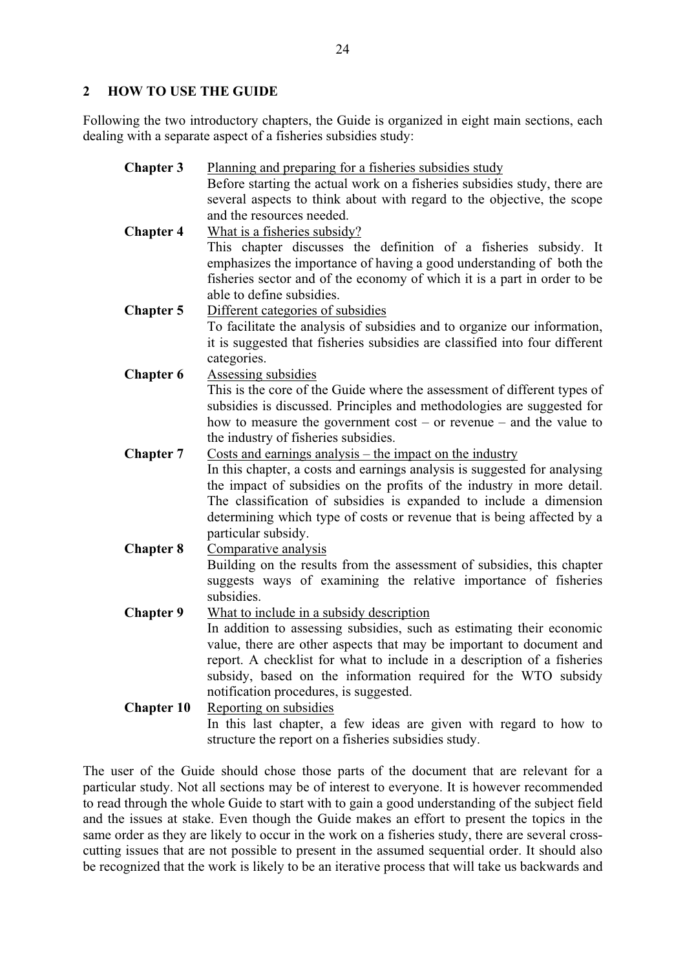## **2 HOW TO USE THE GUIDE**

Following the two introductory chapters, the Guide is organized in eight main sections, each dealing with a separate aspect of a fisheries subsidies study:

| <b>Chapter 3</b>  | Planning and preparing for a fisheries subsidies study                                                                                       |
|-------------------|----------------------------------------------------------------------------------------------------------------------------------------------|
|                   | Before starting the actual work on a fisheries subsidies study, there are                                                                    |
|                   | several aspects to think about with regard to the objective, the scope                                                                       |
|                   | and the resources needed.                                                                                                                    |
| <b>Chapter 4</b>  | What is a fisheries subsidy?                                                                                                                 |
|                   | This chapter discusses the definition of a fisheries subsidy. It                                                                             |
|                   | emphasizes the importance of having a good understanding of both the                                                                         |
|                   | fisheries sector and of the economy of which it is a part in order to be                                                                     |
|                   | able to define subsidies.                                                                                                                    |
| <b>Chapter 5</b>  | Different categories of subsidies                                                                                                            |
|                   | To facilitate the analysis of subsidies and to organize our information,                                                                     |
|                   | it is suggested that fisheries subsidies are classified into four different                                                                  |
|                   | categories.                                                                                                                                  |
| <b>Chapter 6</b>  | Assessing subsidies                                                                                                                          |
|                   | This is the core of the Guide where the assessment of different types of                                                                     |
|                   | subsidies is discussed. Principles and methodologies are suggested for                                                                       |
|                   | how to measure the government $cost - or revenue - and the value to$                                                                         |
|                   | the industry of fisheries subsidies.                                                                                                         |
| <b>Chapter 7</b>  | Costs and earnings analysis $-$ the impact on the industry                                                                                   |
|                   | In this chapter, a costs and earnings analysis is suggested for analysing                                                                    |
|                   | the impact of subsidies on the profits of the industry in more detail.<br>The classification of subsidies is expanded to include a dimension |
|                   | determining which type of costs or revenue that is being affected by a                                                                       |
|                   | particular subsidy.                                                                                                                          |
| <b>Chapter 8</b>  | Comparative analysis                                                                                                                         |
|                   | Building on the results from the assessment of subsidies, this chapter                                                                       |
|                   | suggests ways of examining the relative importance of fisheries                                                                              |
|                   | subsidies.                                                                                                                                   |
| <b>Chapter 9</b>  | What to include in a subsidy description                                                                                                     |
|                   | In addition to assessing subsidies, such as estimating their economic                                                                        |
|                   | value, there are other aspects that may be important to document and                                                                         |
|                   | report. A checklist for what to include in a description of a fisheries                                                                      |
|                   | subsidy, based on the information required for the WTO subsidy                                                                               |
|                   | notification procedures, is suggested.                                                                                                       |
| <b>Chapter 10</b> | Reporting on subsidies                                                                                                                       |
|                   | In this last chapter, a few ideas are given with regard to how to                                                                            |
|                   | structure the report on a fisheries subsidies study.                                                                                         |

The user of the Guide should chose those parts of the document that are relevant for a particular study. Not all sections may be of interest to everyone. It is however recommended to read through the whole Guide to start with to gain a good understanding of the subject field and the issues at stake. Even though the Guide makes an effort to present the topics in the same order as they are likely to occur in the work on a fisheries study, there are several crosscutting issues that are not possible to present in the assumed sequential order. It should also be recognized that the work is likely to be an iterative process that will take us backwards and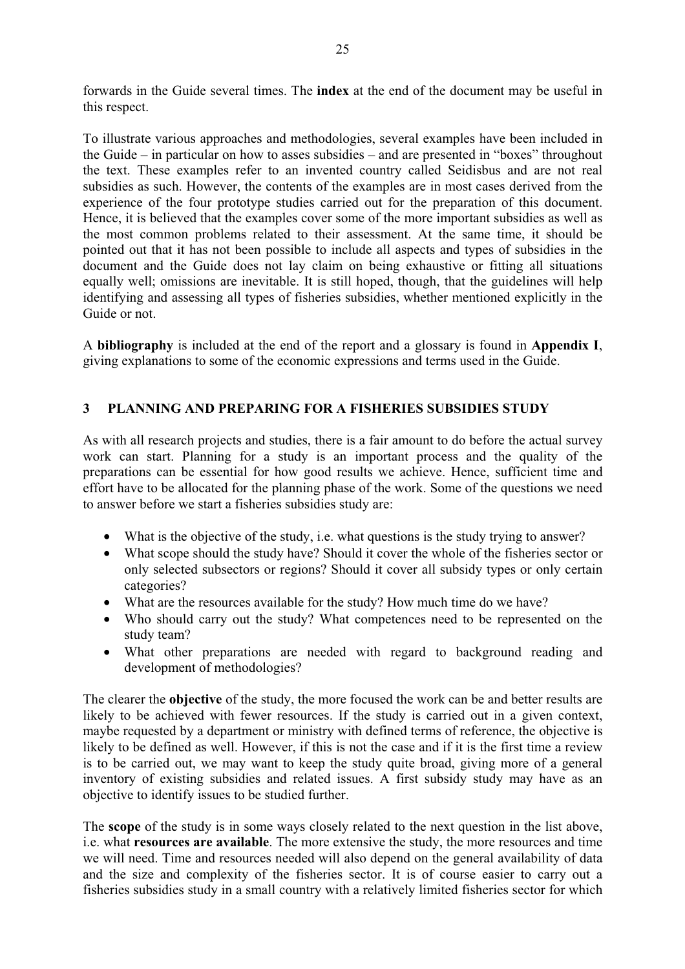forwards in the Guide several times. The **index** at the end of the document may be useful in this respect.

To illustrate various approaches and methodologies, several examples have been included in the Guide – in particular on how to asses subsidies – and are presented in "boxes" throughout the text. These examples refer to an invented country called Seidisbus and are not real subsidies as such. However, the contents of the examples are in most cases derived from the experience of the four prototype studies carried out for the preparation of this document. Hence, it is believed that the examples cover some of the more important subsidies as well as the most common problems related to their assessment. At the same time, it should be pointed out that it has not been possible to include all aspects and types of subsidies in the document and the Guide does not lay claim on being exhaustive or fitting all situations equally well; omissions are inevitable. It is still hoped, though, that the guidelines will help identifying and assessing all types of fisheries subsidies, whether mentioned explicitly in the Guide or not.

A **bibliography** is included at the end of the report and a glossary is found in **Appendix I**, giving explanations to some of the economic expressions and terms used in the Guide.

# **3 PLANNING AND PREPARING FOR A FISHERIES SUBSIDIES STUDY**

As with all research projects and studies, there is a fair amount to do before the actual survey work can start. Planning for a study is an important process and the quality of the preparations can be essential for how good results we achieve. Hence, sufficient time and effort have to be allocated for the planning phase of the work. Some of the questions we need to answer before we start a fisheries subsidies study are:

- What is the objective of the study, i.e. what questions is the study trying to answer?
- What scope should the study have? Should it cover the whole of the fisheries sector or only selected subsectors or regions? Should it cover all subsidy types or only certain categories?
- What are the resources available for the study? How much time do we have?
- Who should carry out the study? What competences need to be represented on the study team?
- What other preparations are needed with regard to background reading and development of methodologies?

The clearer the **objective** of the study, the more focused the work can be and better results are likely to be achieved with fewer resources. If the study is carried out in a given context, maybe requested by a department or ministry with defined terms of reference, the objective is likely to be defined as well. However, if this is not the case and if it is the first time a review is to be carried out, we may want to keep the study quite broad, giving more of a general inventory of existing subsidies and related issues. A first subsidy study may have as an objective to identify issues to be studied further.

The **scope** of the study is in some ways closely related to the next question in the list above, i.e. what **resources are available**. The more extensive the study, the more resources and time we will need. Time and resources needed will also depend on the general availability of data and the size and complexity of the fisheries sector. It is of course easier to carry out a fisheries subsidies study in a small country with a relatively limited fisheries sector for which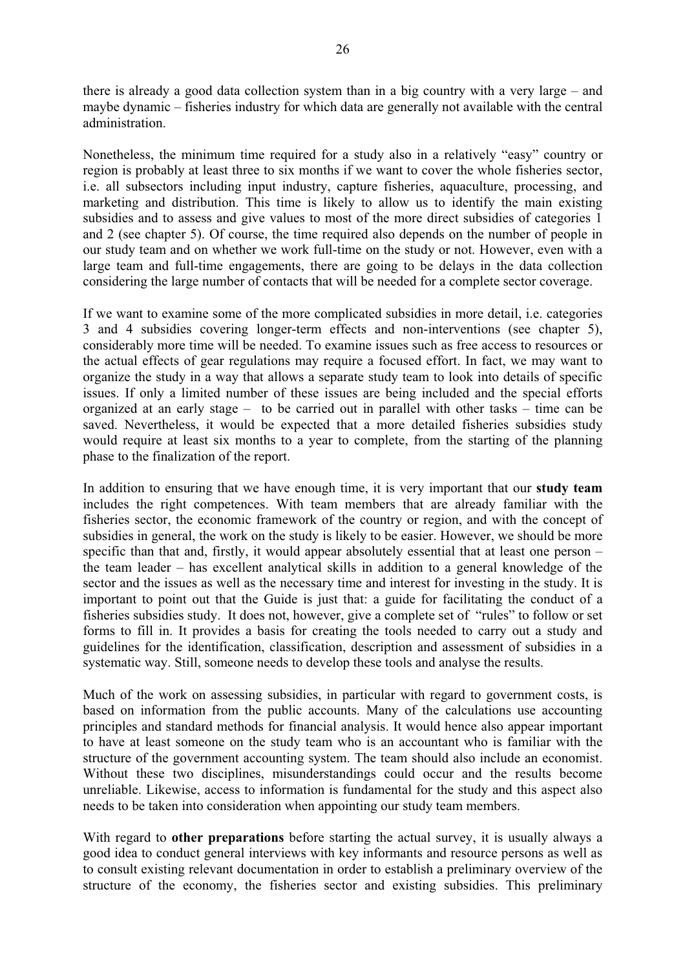there is already a good data collection system than in a big country with a very large – and maybe dynamic – fisheries industry for which data are generally not available with the central administration.

Nonetheless, the minimum time required for a study also in a relatively "easy" country or region is probably at least three to six months if we want to cover the whole fisheries sector, i.e. all subsectors including input industry, capture fisheries, aquaculture, processing, and marketing and distribution. This time is likely to allow us to identify the main existing subsidies and to assess and give values to most of the more direct subsidies of categories 1 and 2 (see chapter 5). Of course, the time required also depends on the number of people in our study team and on whether we work full-time on the study or not. However, even with a large team and full-time engagements, there are going to be delays in the data collection considering the large number of contacts that will be needed for a complete sector coverage.

If we want to examine some of the more complicated subsidies in more detail, i.e. categories 3 and 4 subsidies covering longer-term effects and non-interventions (see chapter 5), considerably more time will be needed. To examine issues such as free access to resources or the actual effects of gear regulations may require a focused effort. In fact, we may want to organize the study in a way that allows a separate study team to look into details of specific issues. If only a limited number of these issues are being included and the special efforts organized at an early stage – to be carried out in parallel with other tasks – time can be saved. Nevertheless, it would be expected that a more detailed fisheries subsidies study would require at least six months to a year to complete, from the starting of the planning phase to the finalization of the report.

In addition to ensuring that we have enough time, it is very important that our **study team**  includes the right competences. With team members that are already familiar with the fisheries sector, the economic framework of the country or region, and with the concept of subsidies in general, the work on the study is likely to be easier. However, we should be more specific than that and, firstly, it would appear absolutely essential that at least one person – the team leader – has excellent analytical skills in addition to a general knowledge of the sector and the issues as well as the necessary time and interest for investing in the study. It is important to point out that the Guide is just that: a guide for facilitating the conduct of a fisheries subsidies study. It does not, however, give a complete set of "rules" to follow or set forms to fill in. It provides a basis for creating the tools needed to carry out a study and guidelines for the identification, classification, description and assessment of subsidies in a systematic way. Still, someone needs to develop these tools and analyse the results.

Much of the work on assessing subsidies, in particular with regard to government costs, is based on information from the public accounts. Many of the calculations use accounting principles and standard methods for financial analysis. It would hence also appear important to have at least someone on the study team who is an accountant who is familiar with the structure of the government accounting system. The team should also include an economist. Without these two disciplines, misunderstandings could occur and the results become unreliable. Likewise, access to information is fundamental for the study and this aspect also needs to be taken into consideration when appointing our study team members.

With regard to **other preparations** before starting the actual survey, it is usually always a good idea to conduct general interviews with key informants and resource persons as well as to consult existing relevant documentation in order to establish a preliminary overview of the structure of the economy, the fisheries sector and existing subsidies. This preliminary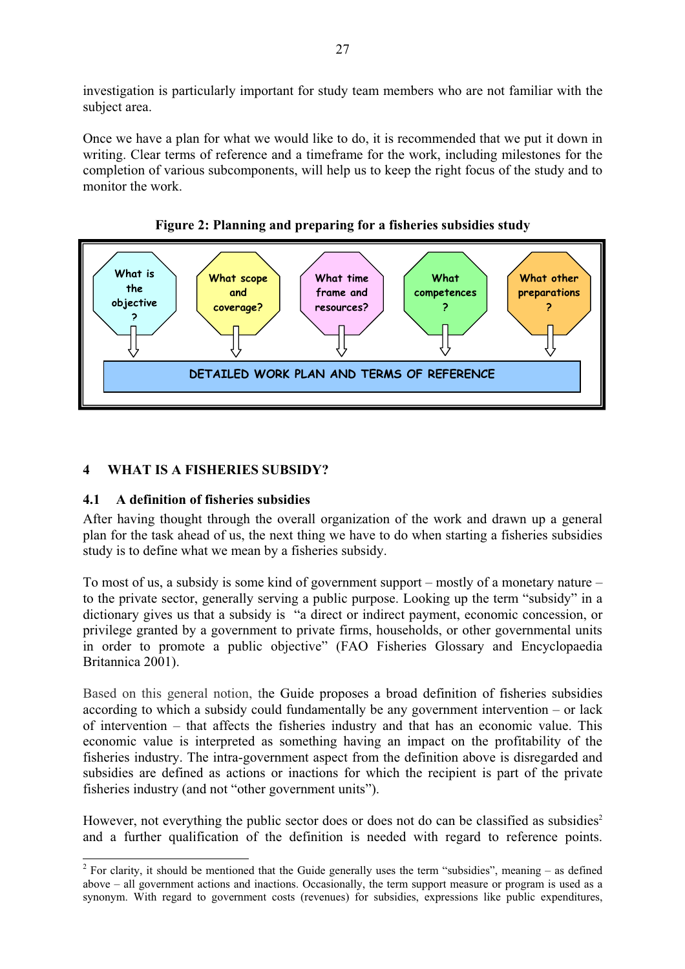investigation is particularly important for study team members who are not familiar with the subject area.

Once we have a plan for what we would like to do, it is recommended that we put it down in writing. Clear terms of reference and a timeframe for the work, including milestones for the completion of various subcomponents, will help us to keep the right focus of the study and to monitor the work.





# **4 WHAT IS A FISHERIES SUBSIDY?**

# **4.1 A definition of fisheries subsidies**

After having thought through the overall organization of the work and drawn up a general plan for the task ahead of us, the next thing we have to do when starting a fisheries subsidies study is to define what we mean by a fisheries subsidy.

To most of us, a subsidy is some kind of government support – mostly of a monetary nature – to the private sector, generally serving a public purpose. Looking up the term "subsidy" in a dictionary gives us that a subsidy is "a direct or indirect payment, economic concession, or privilege granted by a government to private firms, households, or other governmental units in order to promote a public objective" (FAO Fisheries Glossary and Encyclopaedia Britannica 2001).

Based on this general notion, the Guide proposes a broad definition of fisheries subsidies according to which a subsidy could fundamentally be any government intervention – or lack of intervention – that affects the fisheries industry and that has an economic value. This economic value is interpreted as something having an impact on the profitability of the fisheries industry. The intra-government aspect from the definition above is disregarded and subsidies are defined as actions or inactions for which the recipient is part of the private fisheries industry (and not "other government units").

However, not everything the public sector does or does not do can be classified as subsidies<sup>2</sup> and a further qualification of the definition is needed with regard to reference points.

 $2^2$  For clarity, it should be mentioned that the Guide generally uses the term "subsidies", meaning – as defined above – all government actions and inactions. Occasionally, the term support measure or program is used as a synonym. With regard to government costs (revenues) for subsidies, expressions like public expenditures,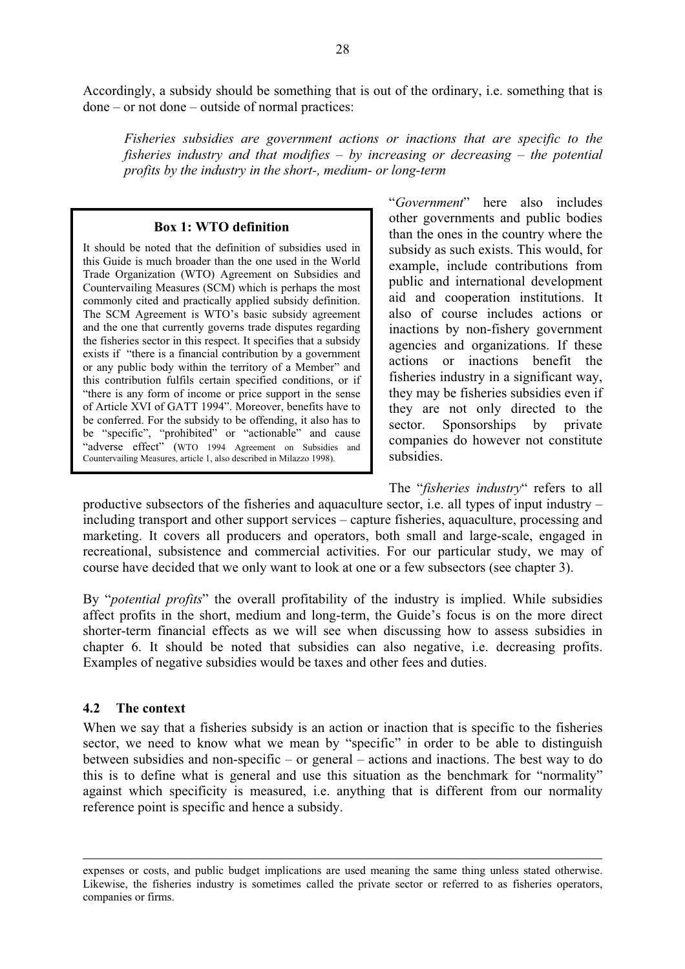Accordingly, a subsidy should be something that is out of the ordinary, i.e. something that is done – or not done – outside of normal practices:

*Fisheries subsidies are government actions or inactions that are specific to the fisheries industry and that modifies – by increasing or decreasing – the potential profits by the industry in the short-, medium- or long-term* 

#### **Box 1: WTO definition**

It should be noted that the definition of subsidies used in this Guide is much broader than the one used in the World Trade Organization (WTO) Agreement on Subsidies and Countervailing Measures (SCM) which is perhaps the most commonly cited and practically applied subsidy definition. The SCM Agreement is WTO's basic subsidy agreement and the one that currently governs trade disputes regarding the fisheries sector in this respect. It specifies that a subsidy exists if "there is a financial contribution by a government or any public body within the territory of a Member" and this contribution fulfils certain specified conditions, or if "there is any form of income or price support in the sense of Article XVI of GATT 1994". Moreover, benefits have to be conferred. For the subsidy to be offending, it also has to be "specific", "prohibited" or "actionable" and cause "adverse effect" (WTO 1994 Agreement on Subsidies and Countervailing Measures, article 1, also described in Milazzo 1998).

"*Government*" here also includes other governments and public bodies than the ones in the country where the subsidy as such exists. This would, for example, include contributions from public and international development aid and cooperation institutions. It also of course includes actions or inactions by non-fishery government agencies and organizations. If these actions or inactions benefit the fisheries industry in a significant way, they may be fisheries subsidies even if they are not only directed to the sector. Sponsorships by private companies do however not constitute subsidies.

The "*fisheries industry*" refers to all productive subsectors of the fisheries and aquaculture sector, i.e. all types of input industry – including transport and other support services – capture fisheries, aquaculture, processing and marketing. It covers all producers and operators, both small and large-scale, engaged in recreational, subsistence and commercial activities. For our particular study, we may of course have decided that we only want to look at one or a few subsectors (see chapter 3).

By "*potential profits*" the overall profitability of the industry is implied. While subsidies affect profits in the short, medium and long-term, the Guide's focus is on the more direct shorter-term financial effects as we will see when discussing how to assess subsidies in chapter 6. It should be noted that subsidies can also negative, i.e. decreasing profits. Examples of negative subsidies would be taxes and other fees and duties.

#### **4.2 The context**

 $\overline{a}$ 

When we say that a fisheries subsidy is an action or inaction that is specific to the fisheries sector, we need to know what we mean by "specific" in order to be able to distinguish between subsidies and non-specific – or general – actions and inactions. The best way to do this is to define what is general and use this situation as the benchmark for "normality" against which specificity is measured, i.e. anything that is different from our normality reference point is specific and hence a subsidy.

expenses or costs, and public budget implications are used meaning the same thing unless stated otherwise. Likewise, the fisheries industry is sometimes called the private sector or referred to as fisheries operators, companies or firms.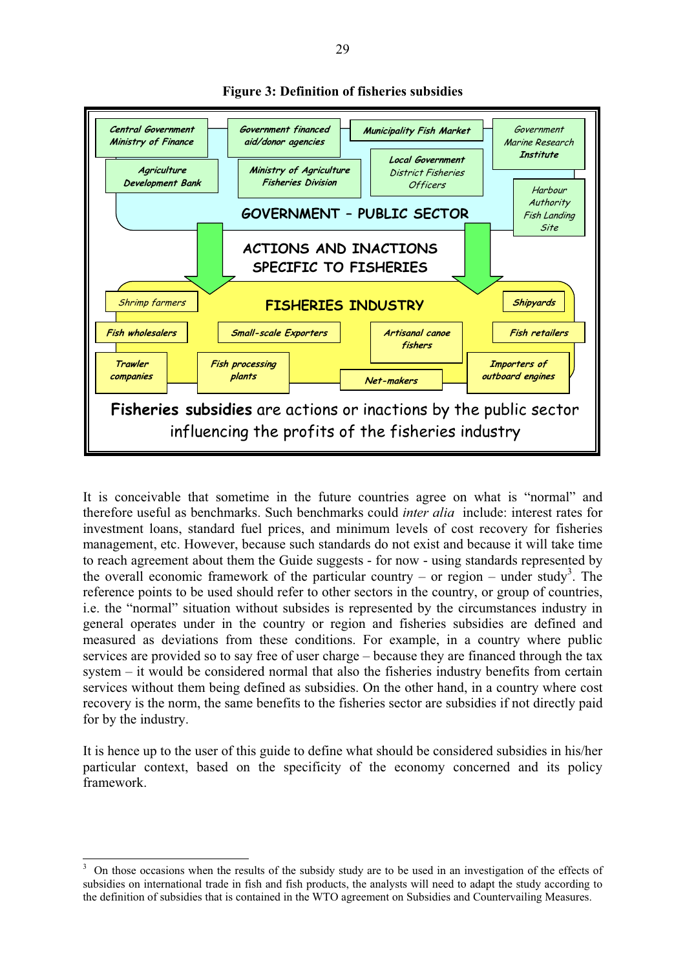

#### **Figure 3: Definition of fisheries subsidies**

It is conceivable that sometime in the future countries agree on what is "normal" and therefore useful as benchmarks. Such benchmarks could *inter alia* include: interest rates for investment loans, standard fuel prices, and minimum levels of cost recovery for fisheries management, etc. However, because such standards do not exist and because it will take time to reach agreement about them the Guide suggests - for now - using standards represented by the overall economic framework of the particular country – or region – under study<sup>3</sup>. The reference points to be used should refer to other sectors in the country, or group of countries, i.e. the "normal" situation without subsides is represented by the circumstances industry in general operates under in the country or region and fisheries subsidies are defined and measured as deviations from these conditions. For example, in a country where public services are provided so to say free of user charge – because they are financed through the tax system – it would be considered normal that also the fisheries industry benefits from certain services without them being defined as subsidies. On the other hand, in a country where cost recovery is the norm, the same benefits to the fisheries sector are subsidies if not directly paid for by the industry.

It is hence up to the user of this guide to define what should be considered subsidies in his/her particular context, based on the specificity of the economy concerned and its policy framework.

<sup>&</sup>lt;sup>3</sup> On those occasions when the results of the subsidy study are to be used in an investigation of the effects of subsidies on international trade in fish and fish products, the analysts will need to adapt the study according to the definition of subsidies that is contained in the WTO agreement on Subsidies and Countervailing Measures.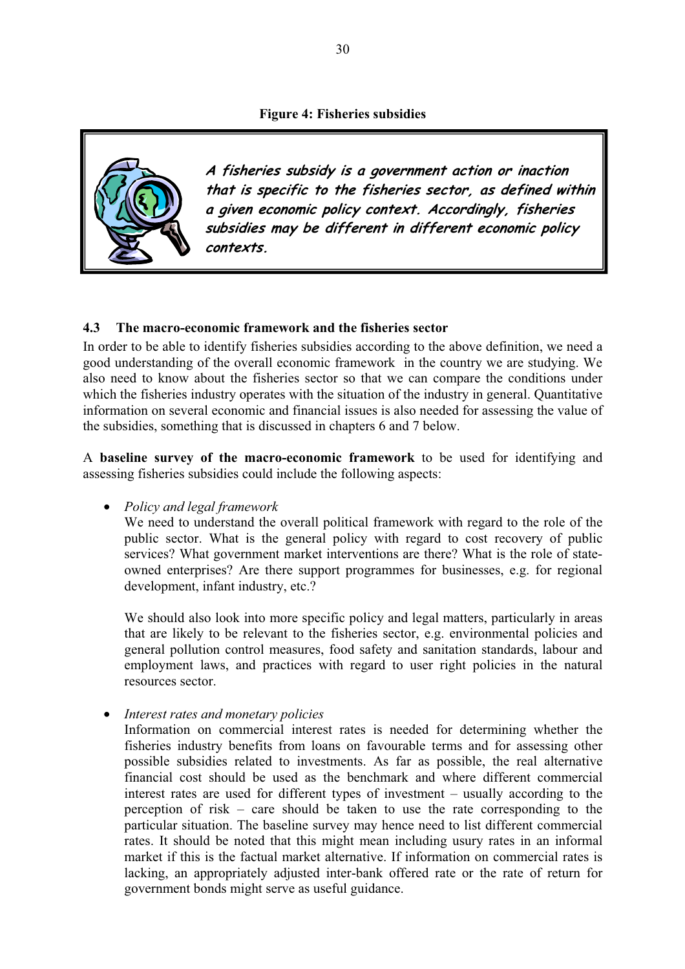

**A fisheries subsidy is a government action or inaction that is specific to the fisheries sector, as defined within a given economic policy context. Accordingly, fisheries subsidies may be different in different economic policy contexts.**

#### **4.3 The macro-economic framework and the fisheries sector**

In order to be able to identify fisheries subsidies according to the above definition, we need a good understanding of the overall economic framework in the country we are studying. We also need to know about the fisheries sector so that we can compare the conditions under which the fisheries industry operates with the situation of the industry in general. Quantitative information on several economic and financial issues is also needed for assessing the value of the subsidies, something that is discussed in chapters 6 and 7 below.

A **baseline survey of the macro-economic framework** to be used for identifying and assessing fisheries subsidies could include the following aspects:

• *Policy and legal framework*

We need to understand the overall political framework with regard to the role of the public sector. What is the general policy with regard to cost recovery of public services? What government market interventions are there? What is the role of stateowned enterprises? Are there support programmes for businesses, e.g. for regional development, infant industry, etc.?

We should also look into more specific policy and legal matters, particularly in areas that are likely to be relevant to the fisheries sector, e.g. environmental policies and general pollution control measures, food safety and sanitation standards, labour and employment laws, and practices with regard to user right policies in the natural resources sector.

• *Interest rates and monetary policies*

Information on commercial interest rates is needed for determining whether the fisheries industry benefits from loans on favourable terms and for assessing other possible subsidies related to investments. As far as possible, the real alternative financial cost should be used as the benchmark and where different commercial interest rates are used for different types of investment – usually according to the perception of risk – care should be taken to use the rate corresponding to the particular situation. The baseline survey may hence need to list different commercial rates. It should be noted that this might mean including usury rates in an informal market if this is the factual market alternative. If information on commercial rates is lacking, an appropriately adjusted inter-bank offered rate or the rate of return for government bonds might serve as useful guidance.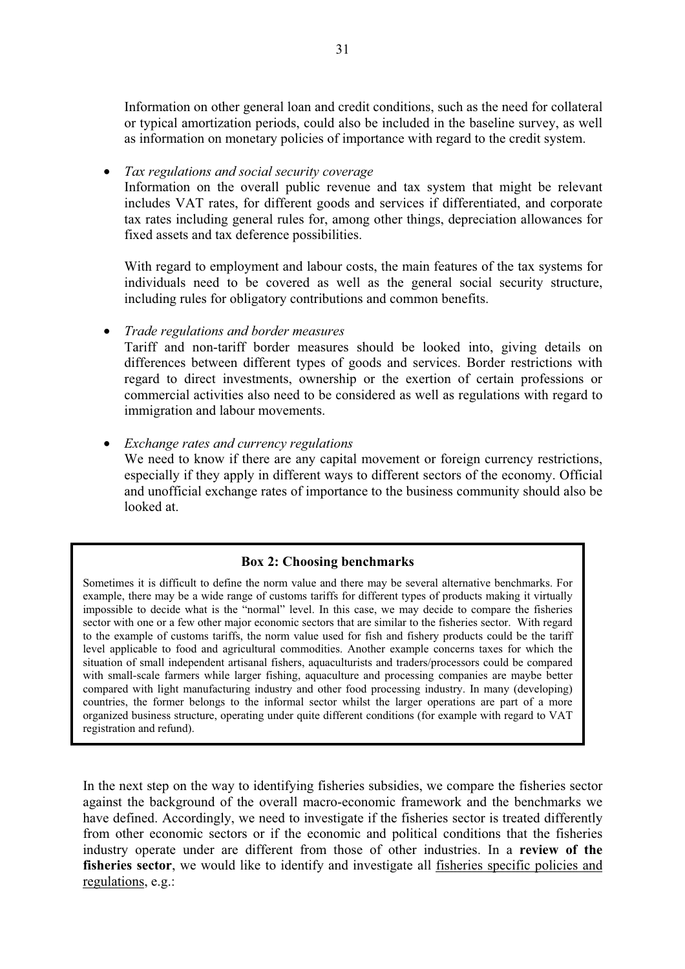Information on other general loan and credit conditions, such as the need for collateral or typical amortization periods, could also be included in the baseline survey, as well as information on monetary policies of importance with regard to the credit system.

• *Tax regulations and social security coverage*

Information on the overall public revenue and tax system that might be relevant includes VAT rates, for different goods and services if differentiated, and corporate tax rates including general rules for, among other things, depreciation allowances for fixed assets and tax deference possibilities.

With regard to employment and labour costs, the main features of the tax systems for individuals need to be covered as well as the general social security structure, including rules for obligatory contributions and common benefits.

• *Trade regulations and border measures*

Tariff and non-tariff border measures should be looked into, giving details on differences between different types of goods and services. Border restrictions with regard to direct investments, ownership or the exertion of certain professions or commercial activities also need to be considered as well as regulations with regard to immigration and labour movements.

• *Exchange rates and currency regulations* We need to know if there are any capital movement or foreign currency restrictions, especially if they apply in different ways to different sectors of the economy. Official and unofficial exchange rates of importance to the business community should also be looked at.

## **Box 2: Choosing benchmarks**

Sometimes it is difficult to define the norm value and there may be several alternative benchmarks. For example, there may be a wide range of customs tariffs for different types of products making it virtually impossible to decide what is the "normal" level. In this case, we may decide to compare the fisheries sector with one or a few other major economic sectors that are similar to the fisheries sector. With regard to the example of customs tariffs, the norm value used for fish and fishery products could be the tariff level applicable to food and agricultural commodities. Another example concerns taxes for which the situation of small independent artisanal fishers, aquaculturists and traders/processors could be compared with small-scale farmers while larger fishing, aquaculture and processing companies are maybe better compared with light manufacturing industry and other food processing industry. In many (developing) countries, the former belongs to the informal sector whilst the larger operations are part of a more organized business structure, operating under quite different conditions (for example with regard to VAT registration and refund).

In the next step on the way to identifying fisheries subsidies, we compare the fisheries sector against the background of the overall macro-economic framework and the benchmarks we have defined. Accordingly, we need to investigate if the fisheries sector is treated differently from other economic sectors or if the economic and political conditions that the fisheries industry operate under are different from those of other industries. In a **review of the fisheries sector**, we would like to identify and investigate all fisheries specific policies and regulations, e.g.: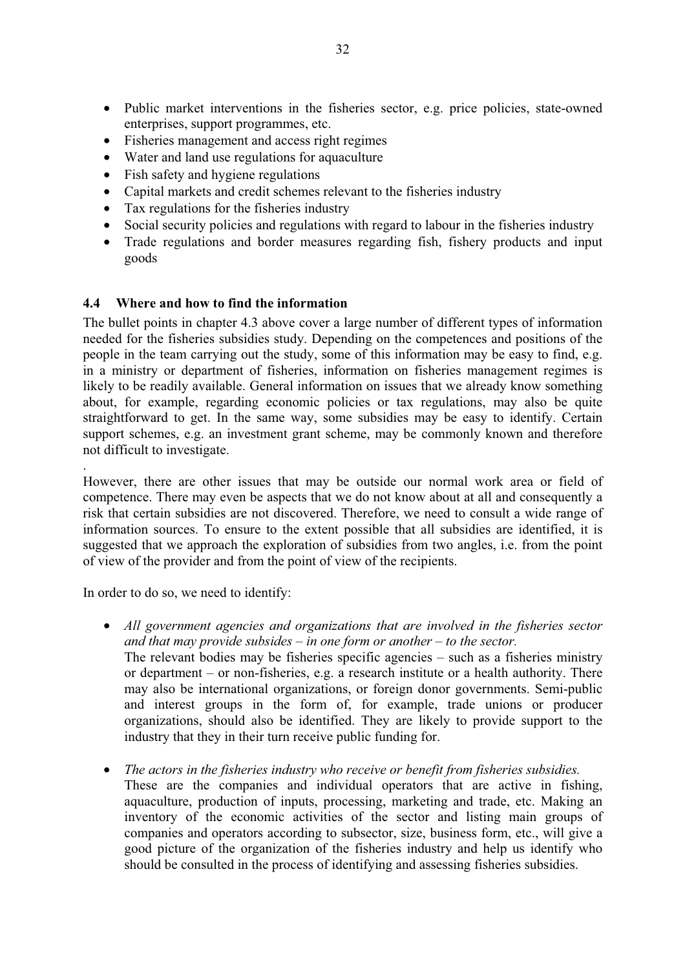- Public market interventions in the fisheries sector, e.g. price policies, state-owned enterprises, support programmes, etc.
- Fisheries management and access right regimes
- Water and land use regulations for aquaculture
- Fish safety and hygiene regulations
- Capital markets and credit schemes relevant to the fisheries industry
- Tax regulations for the fisheries industry
- Social security policies and regulations with regard to labour in the fisheries industry
- Trade regulations and border measures regarding fish, fishery products and input goods

# **4.4 Where and how to find the information**

The bullet points in chapter 4.3 above cover a large number of different types of information needed for the fisheries subsidies study. Depending on the competences and positions of the people in the team carrying out the study, some of this information may be easy to find, e.g. in a ministry or department of fisheries, information on fisheries management regimes is likely to be readily available. General information on issues that we already know something about, for example, regarding economic policies or tax regulations, may also be quite straightforward to get. In the same way, some subsidies may be easy to identify. Certain support schemes, e.g. an investment grant scheme, may be commonly known and therefore not difficult to investigate.

. However, there are other issues that may be outside our normal work area or field of competence. There may even be aspects that we do not know about at all and consequently a risk that certain subsidies are not discovered. Therefore, we need to consult a wide range of information sources. To ensure to the extent possible that all subsidies are identified, it is suggested that we approach the exploration of subsidies from two angles, i.e. from the point of view of the provider and from the point of view of the recipients.

In order to do so, we need to identify:

- *All government agencies and organizations that are involved in the fisheries sector and that may provide subsides – in one form or another – to the sector.*  The relevant bodies may be fisheries specific agencies – such as a fisheries ministry or department – or non-fisheries, e.g. a research institute or a health authority. There may also be international organizations, or foreign donor governments. Semi-public and interest groups in the form of, for example, trade unions or producer organizations, should also be identified. They are likely to provide support to the industry that they in their turn receive public funding for.
- *The actors in the fisheries industry who receive or benefit from fisheries subsidies.* These are the companies and individual operators that are active in fishing, aquaculture, production of inputs, processing, marketing and trade, etc. Making an inventory of the economic activities of the sector and listing main groups of companies and operators according to subsector, size, business form, etc., will give a good picture of the organization of the fisheries industry and help us identify who should be consulted in the process of identifying and assessing fisheries subsidies.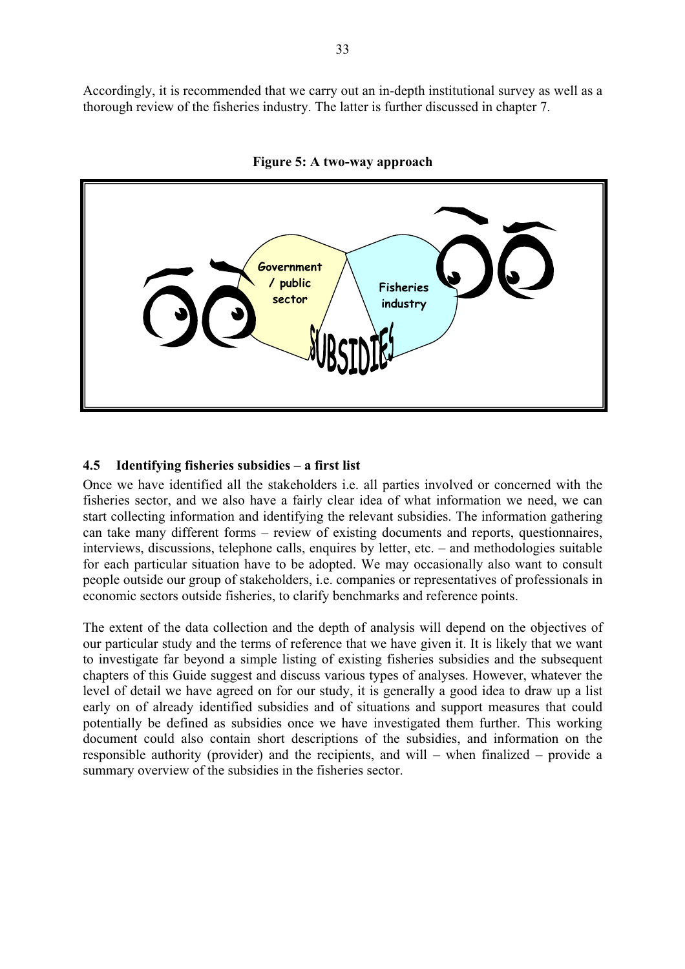Accordingly, it is recommended that we carry out an in-depth institutional survey as well as a thorough review of the fisheries industry. The latter is further discussed in chapter 7.



**Figure 5: A two-way approach** 

### **4.5 Identifying fisheries subsidies – a first list**

Once we have identified all the stakeholders i.e. all parties involved or concerned with the fisheries sector, and we also have a fairly clear idea of what information we need, we can start collecting information and identifying the relevant subsidies. The information gathering can take many different forms – review of existing documents and reports, questionnaires, interviews, discussions, telephone calls, enquires by letter, etc. – and methodologies suitable for each particular situation have to be adopted. We may occasionally also want to consult people outside our group of stakeholders, i.e. companies or representatives of professionals in economic sectors outside fisheries, to clarify benchmarks and reference points.

The extent of the data collection and the depth of analysis will depend on the objectives of our particular study and the terms of reference that we have given it. It is likely that we want to investigate far beyond a simple listing of existing fisheries subsidies and the subsequent chapters of this Guide suggest and discuss various types of analyses. However, whatever the level of detail we have agreed on for our study, it is generally a good idea to draw up a list early on of already identified subsidies and of situations and support measures that could potentially be defined as subsidies once we have investigated them further. This working document could also contain short descriptions of the subsidies, and information on the responsible authority (provider) and the recipients, and will – when finalized – provide a summary overview of the subsidies in the fisheries sector.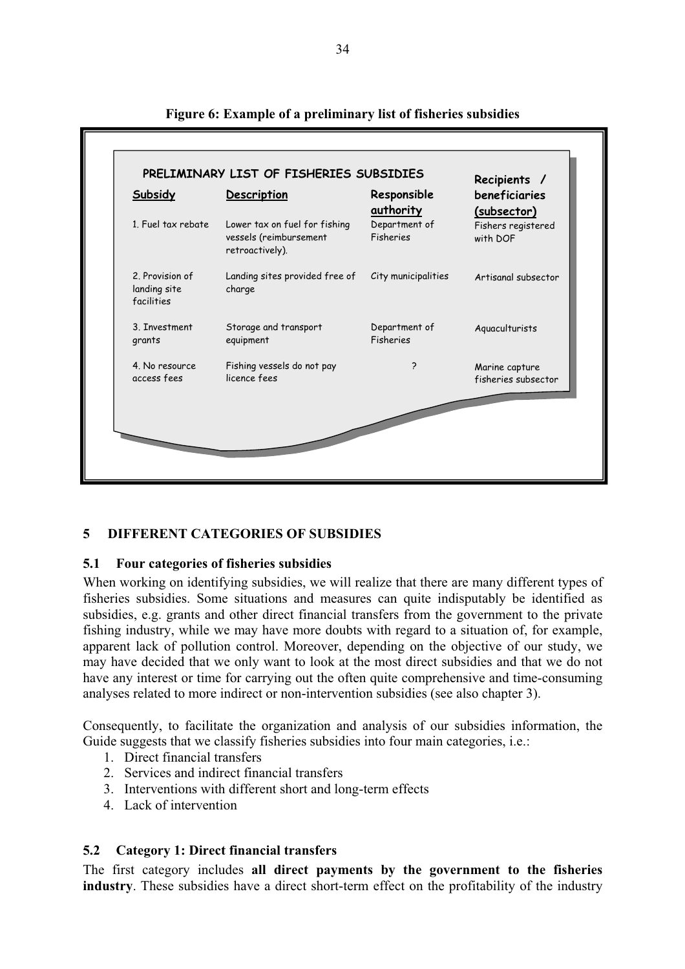| 1. Fuel tax rebate                            | Lower tax on fuel for fishing            | authority           | (subsector)         |
|-----------------------------------------------|------------------------------------------|---------------------|---------------------|
|                                               | vessels (reimbursement                   | Department of       | Fishers registered  |
|                                               | retroactively).                          | Fisheries           | with DOF            |
| 2. Provision of<br>landing site<br>facilities | Landing sites provided free of<br>charge | City municipalities | Artisanal subsector |
| 3. Investment                                 | Storage and transport                    | Department of       | Aquaculturists      |
| grants                                        | equipment                                | Fisheries           |                     |
| 4. No resource                                | Fishing vessels do not pay               | 2                   | Marine capture      |
| access fees                                   | licence fees                             |                     | fisheries subsector |

**Figure 6: Example of a preliminary list of fisheries subsidies** 

# **5 DIFFERENT CATEGORIES OF SUBSIDIES**

### **5.1 Four categories of fisheries subsidies**

When working on identifying subsidies, we will realize that there are many different types of fisheries subsidies. Some situations and measures can quite indisputably be identified as subsidies, e.g. grants and other direct financial transfers from the government to the private fishing industry, while we may have more doubts with regard to a situation of, for example, apparent lack of pollution control. Moreover, depending on the objective of our study, we may have decided that we only want to look at the most direct subsidies and that we do not have any interest or time for carrying out the often quite comprehensive and time-consuming analyses related to more indirect or non-intervention subsidies (see also chapter 3).

Consequently, to facilitate the organization and analysis of our subsidies information, the Guide suggests that we classify fisheries subsidies into four main categories, i.e.:

- 1. Direct financial transfers
- 2. Services and indirect financial transfers
- 3. Interventions with different short and long-term effects
- 4. Lack of intervention

# **5.2 Category 1: Direct financial transfers**

The first category includes **all direct payments by the government to the fisheries industry**. These subsidies have a direct short-term effect on the profitability of the industry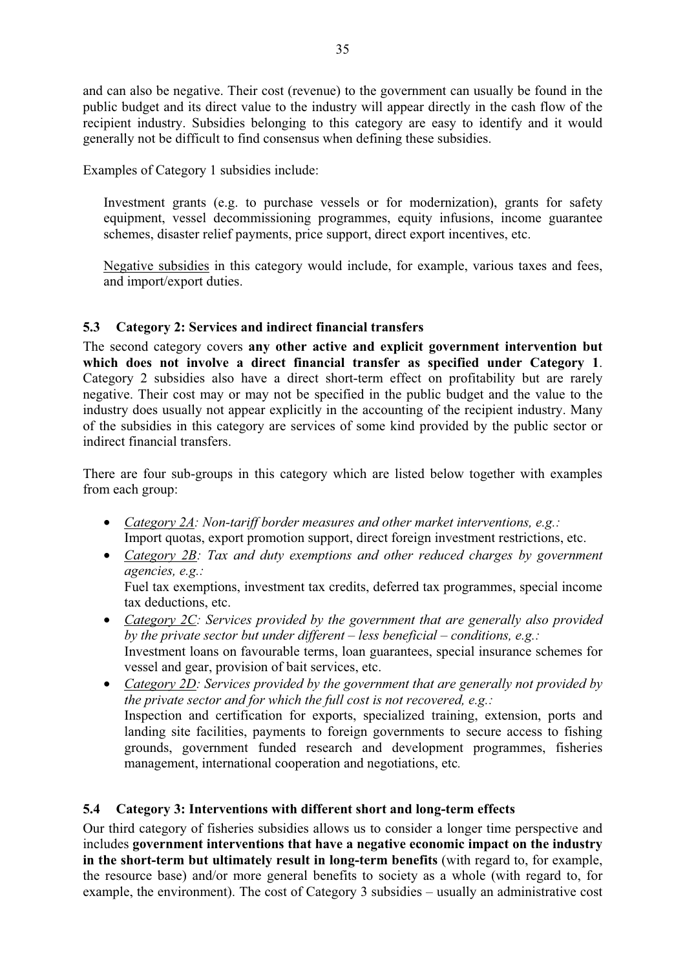and can also be negative. Their cost (revenue) to the government can usually be found in the public budget and its direct value to the industry will appear directly in the cash flow of the recipient industry. Subsidies belonging to this category are easy to identify and it would generally not be difficult to find consensus when defining these subsidies.

Examples of Category 1 subsidies include:

Investment grants (e.g. to purchase vessels or for modernization), grants for safety equipment, vessel decommissioning programmes, equity infusions, income guarantee schemes, disaster relief payments, price support, direct export incentives, etc.

Negative subsidies in this category would include, for example, various taxes and fees, and import/export duties.

# **5.3 Category 2: Services and indirect financial transfers**

The second category covers **any other active and explicit government intervention but which does not involve a direct financial transfer as specified under Category 1**. Category 2 subsidies also have a direct short-term effect on profitability but are rarely negative. Their cost may or may not be specified in the public budget and the value to the industry does usually not appear explicitly in the accounting of the recipient industry. Many of the subsidies in this category are services of some kind provided by the public sector or indirect financial transfers.

There are four sub-groups in this category which are listed below together with examples from each group:

- *Category 2A: Non-tariff border measures and other market interventions, e.g.:*  Import quotas, export promotion support, direct foreign investment restrictions, etc.
- *Category 2B: Tax and duty exemptions and other reduced charges by government agencies, e.g.:*

Fuel tax exemptions, investment tax credits, deferred tax programmes, special income tax deductions, etc.

- *Category 2C: Services provided by the government that are generally also provided by the private sector but under different – less beneficial – conditions, e.g.:*  Investment loans on favourable terms, loan guarantees, special insurance schemes for vessel and gear, provision of bait services, etc.
- *Category 2D: Services provided by the government that are generally not provided by the private sector and for which the full cost is not recovered, e.g.:*  Inspection and certification for exports, specialized training, extension, ports and landing site facilities, payments to foreign governments to secure access to fishing grounds, government funded research and development programmes, fisheries management, international cooperation and negotiations, etc*.*

# **5.4 Category 3: Interventions with different short and long-term effects**

Our third category of fisheries subsidies allows us to consider a longer time perspective and includes **government interventions that have a negative economic impact on the industry in the short-term but ultimately result in long-term benefits** (with regard to, for example, the resource base) and/or more general benefits to society as a whole (with regard to, for example, the environment). The cost of Category 3 subsidies – usually an administrative cost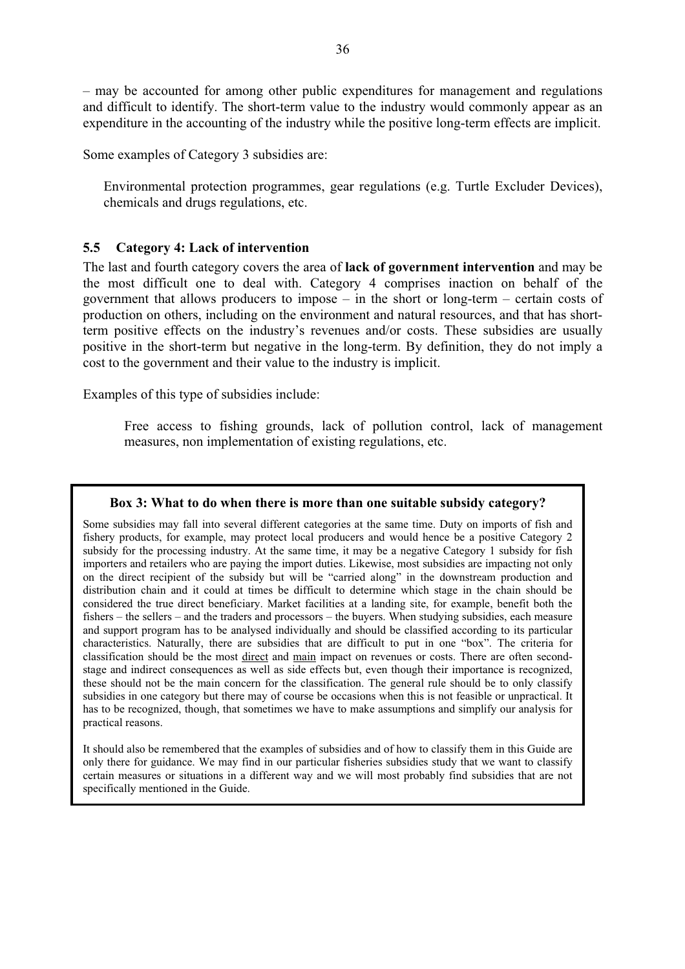– may be accounted for among other public expenditures for management and regulations and difficult to identify. The short-term value to the industry would commonly appear as an expenditure in the accounting of the industry while the positive long-term effects are implicit.

Some examples of Category 3 subsidies are:

Environmental protection programmes, gear regulations (e.g. Turtle Excluder Devices), chemicals and drugs regulations, etc.

### **5.5 Category 4: Lack of intervention**

The last and fourth category covers the area of **lack of government intervention** and may be the most difficult one to deal with. Category 4 comprises inaction on behalf of the government that allows producers to impose – in the short or long-term – certain costs of production on others, including on the environment and natural resources, and that has shortterm positive effects on the industry's revenues and/or costs. These subsidies are usually positive in the short-term but negative in the long-term. By definition, they do not imply a cost to the government and their value to the industry is implicit.

Examples of this type of subsidies include:

Free access to fishing grounds, lack of pollution control, lack of management measures, non implementation of existing regulations, etc.

#### **Box 3: What to do when there is more than one suitable subsidy category?**

Some subsidies may fall into several different categories at the same time. Duty on imports of fish and fishery products, for example, may protect local producers and would hence be a positive Category 2 subsidy for the processing industry. At the same time, it may be a negative Category 1 subsidy for fish importers and retailers who are paying the import duties. Likewise, most subsidies are impacting not only on the direct recipient of the subsidy but will be "carried along" in the downstream production and distribution chain and it could at times be difficult to determine which stage in the chain should be considered the true direct beneficiary. Market facilities at a landing site, for example, benefit both the fishers – the sellers – and the traders and processors – the buyers. When studying subsidies, each measure and support program has to be analysed individually and should be classified according to its particular characteristics. Naturally, there are subsidies that are difficult to put in one "box". The criteria for classification should be the most direct and main impact on revenues or costs. There are often secondstage and indirect consequences as well as side effects but, even though their importance is recognized, these should not be the main concern for the classification. The general rule should be to only classify subsidies in one category but there may of course be occasions when this is not feasible or unpractical. It has to be recognized, though, that sometimes we have to make assumptions and simplify our analysis for practical reasons.

It should also be remembered that the examples of subsidies and of how to classify them in this Guide are only there for guidance. We may find in our particular fisheries subsidies study that we want to classify certain measures or situations in a different way and we will most probably find subsidies that are not specifically mentioned in the Guide.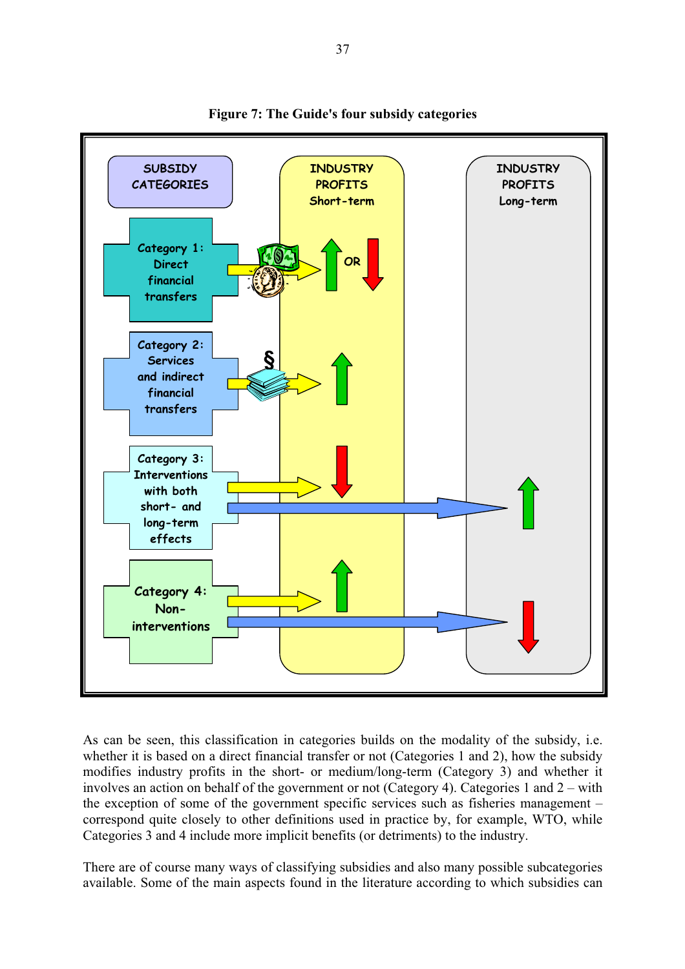

**Figure 7: The Guide's four subsidy categories** 

As can be seen, this classification in categories builds on the modality of the subsidy, i.e. whether it is based on a direct financial transfer or not (Categories 1 and 2), how the subsidy modifies industry profits in the short- or medium/long-term (Category 3) and whether it involves an action on behalf of the government or not (Category 4). Categories 1 and 2 – with the exception of some of the government specific services such as fisheries management – correspond quite closely to other definitions used in practice by, for example, WTO, while Categories 3 and 4 include more implicit benefits (or detriments) to the industry.

There are of course many ways of classifying subsidies and also many possible subcategories available. Some of the main aspects found in the literature according to which subsidies can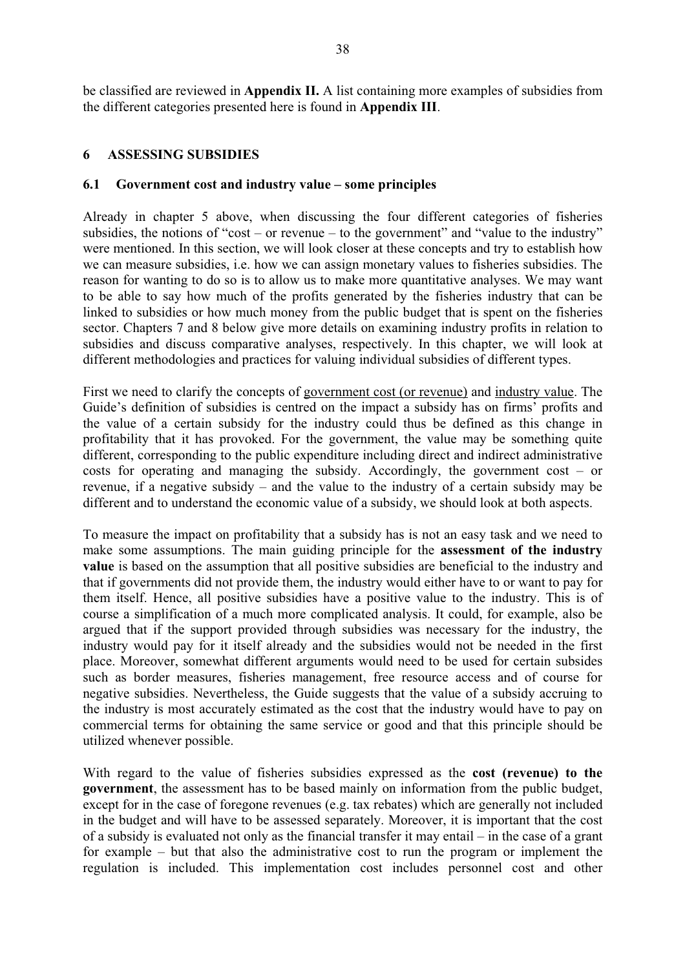be classified are reviewed in **Appendix II.** A list containing more examples of subsidies from the different categories presented here is found in **Appendix III**.

### **6 ASSESSING SUBSIDIES**

### **6.1 Government cost and industry value – some principles**

Already in chapter 5 above, when discussing the four different categories of fisheries subsidies, the notions of "cost – or revenue – to the government" and "value to the industry" were mentioned. In this section, we will look closer at these concepts and try to establish how we can measure subsidies, i.e. how we can assign monetary values to fisheries subsidies. The reason for wanting to do so is to allow us to make more quantitative analyses. We may want to be able to say how much of the profits generated by the fisheries industry that can be linked to subsidies or how much money from the public budget that is spent on the fisheries sector. Chapters 7 and 8 below give more details on examining industry profits in relation to subsidies and discuss comparative analyses, respectively. In this chapter, we will look at different methodologies and practices for valuing individual subsidies of different types.

First we need to clarify the concepts of government cost (or revenue) and industry value. The Guide's definition of subsidies is centred on the impact a subsidy has on firms' profits and the value of a certain subsidy for the industry could thus be defined as this change in profitability that it has provoked. For the government, the value may be something quite different, corresponding to the public expenditure including direct and indirect administrative costs for operating and managing the subsidy. Accordingly, the government cost – or revenue, if a negative subsidy – and the value to the industry of a certain subsidy may be different and to understand the economic value of a subsidy, we should look at both aspects.

To measure the impact on profitability that a subsidy has is not an easy task and we need to make some assumptions. The main guiding principle for the **assessment of the industry value** is based on the assumption that all positive subsidies are beneficial to the industry and that if governments did not provide them, the industry would either have to or want to pay for them itself. Hence, all positive subsidies have a positive value to the industry. This is of course a simplification of a much more complicated analysis. It could, for example, also be argued that if the support provided through subsidies was necessary for the industry, the industry would pay for it itself already and the subsidies would not be needed in the first place. Moreover, somewhat different arguments would need to be used for certain subsides such as border measures, fisheries management, free resource access and of course for negative subsidies. Nevertheless, the Guide suggests that the value of a subsidy accruing to the industry is most accurately estimated as the cost that the industry would have to pay on commercial terms for obtaining the same service or good and that this principle should be utilized whenever possible.

With regard to the value of fisheries subsidies expressed as the **cost (revenue) to the government**, the assessment has to be based mainly on information from the public budget, except for in the case of foregone revenues (e.g. tax rebates) which are generally not included in the budget and will have to be assessed separately. Moreover, it is important that the cost of a subsidy is evaluated not only as the financial transfer it may entail – in the case of a grant for example – but that also the administrative cost to run the program or implement the regulation is included. This implementation cost includes personnel cost and other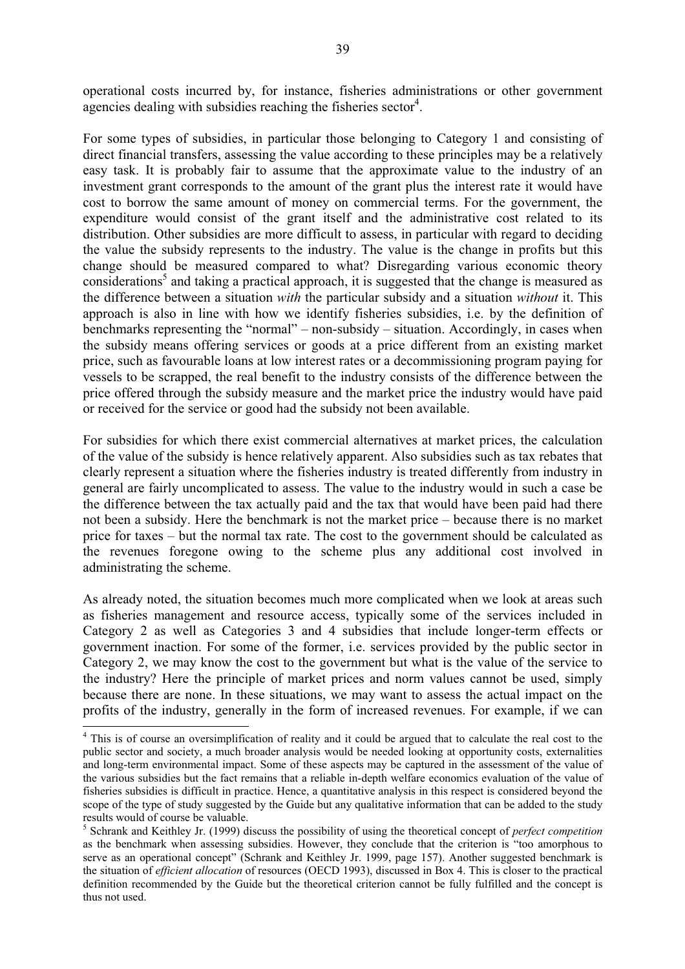operational costs incurred by, for instance, fisheries administrations or other government agencies dealing with subsidies reaching the fisheries sector<sup>4</sup>.

For some types of subsidies, in particular those belonging to Category 1 and consisting of direct financial transfers, assessing the value according to these principles may be a relatively easy task. It is probably fair to assume that the approximate value to the industry of an investment grant corresponds to the amount of the grant plus the interest rate it would have cost to borrow the same amount of money on commercial terms. For the government, the expenditure would consist of the grant itself and the administrative cost related to its distribution. Other subsidies are more difficult to assess, in particular with regard to deciding the value the subsidy represents to the industry. The value is the change in profits but this change should be measured compared to what? Disregarding various economic theory considerations<sup>5</sup> and taking a practical approach, it is suggested that the change is measured as the difference between a situation *with* the particular subsidy and a situation *without* it. This approach is also in line with how we identify fisheries subsidies, i.e. by the definition of benchmarks representing the "normal" – non-subsidy – situation. Accordingly, in cases when the subsidy means offering services or goods at a price different from an existing market price, such as favourable loans at low interest rates or a decommissioning program paying for vessels to be scrapped, the real benefit to the industry consists of the difference between the price offered through the subsidy measure and the market price the industry would have paid or received for the service or good had the subsidy not been available.

For subsidies for which there exist commercial alternatives at market prices, the calculation of the value of the subsidy is hence relatively apparent. Also subsidies such as tax rebates that clearly represent a situation where the fisheries industry is treated differently from industry in general are fairly uncomplicated to assess. The value to the industry would in such a case be the difference between the tax actually paid and the tax that would have been paid had there not been a subsidy. Here the benchmark is not the market price – because there is no market price for taxes – but the normal tax rate. The cost to the government should be calculated as the revenues foregone owing to the scheme plus any additional cost involved in administrating the scheme.

As already noted, the situation becomes much more complicated when we look at areas such as fisheries management and resource access, typically some of the services included in Category 2 as well as Categories 3 and 4 subsidies that include longer-term effects or government inaction. For some of the former, i.e. services provided by the public sector in Category 2, we may know the cost to the government but what is the value of the service to the industry? Here the principle of market prices and norm values cannot be used, simply because there are none. In these situations, we may want to assess the actual impact on the profits of the industry, generally in the form of increased revenues. For example, if we can

 $\overline{a}$ 

<sup>&</sup>lt;sup>4</sup> This is of course an oversimplification of reality and it could be argued that to calculate the real cost to the public sector and society, a much broader analysis would be needed looking at opportunity costs, externalities and long-term environmental impact. Some of these aspects may be captured in the assessment of the value of the various subsidies but the fact remains that a reliable in-depth welfare economics evaluation of the value of fisheries subsidies is difficult in practice. Hence, a quantitative analysis in this respect is considered beyond the scope of the type of study suggested by the Guide but any qualitative information that can be added to the study results would of course be valuable.

<sup>5</sup> Schrank and Keithley Jr. (1999) discuss the possibility of using the theoretical concept of *perfect competition* as the benchmark when assessing subsidies. However, they conclude that the criterion is "too amorphous to serve as an operational concept" (Schrank and Keithley Jr. 1999, page 157). Another suggested benchmark is the situation of *efficient allocation* of resources (OECD 1993), discussed in Box 4. This is closer to the practical definition recommended by the Guide but the theoretical criterion cannot be fully fulfilled and the concept is thus not used.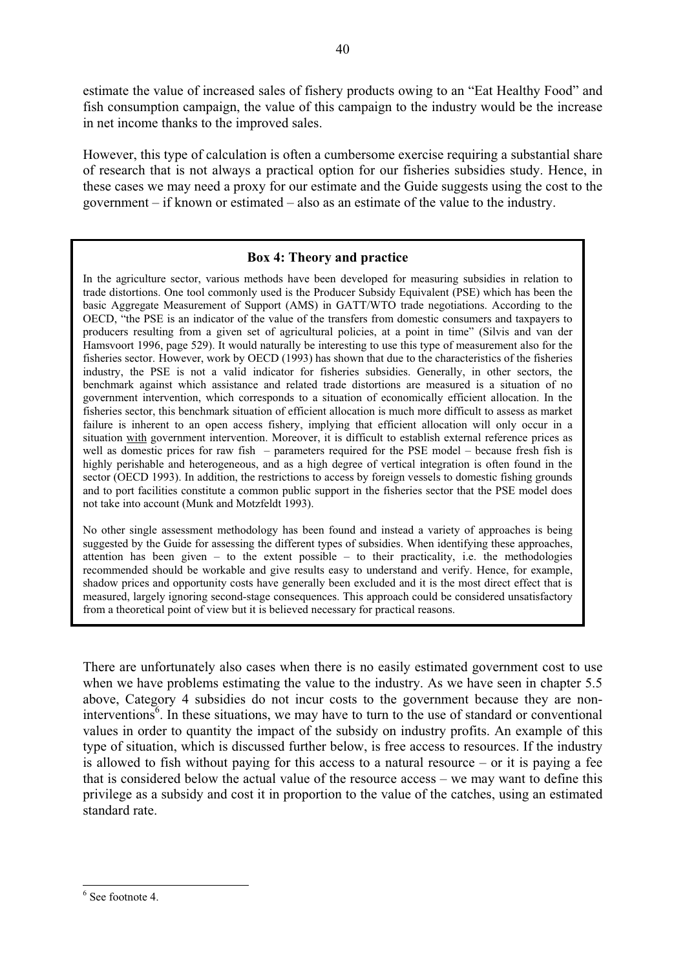estimate the value of increased sales of fishery products owing to an "Eat Healthy Food" and fish consumption campaign, the value of this campaign to the industry would be the increase in net income thanks to the improved sales.

However, this type of calculation is often a cumbersome exercise requiring a substantial share of research that is not always a practical option for our fisheries subsidies study. Hence, in these cases we may need a proxy for our estimate and the Guide suggests using the cost to the government – if known or estimated – also as an estimate of the value to the industry.

# **Box 4: Theory and practice**

In the agriculture sector, various methods have been developed for measuring subsidies in relation to trade distortions. One tool commonly used is the Producer Subsidy Equivalent (PSE) which has been the basic Aggregate Measurement of Support (AMS) in GATT/WTO trade negotiations. According to the OECD, "the PSE is an indicator of the value of the transfers from domestic consumers and taxpayers to producers resulting from a given set of agricultural policies, at a point in time" (Silvis and van der Hamsvoort 1996, page 529). It would naturally be interesting to use this type of measurement also for the fisheries sector. However, work by OECD (1993) has shown that due to the characteristics of the fisheries industry, the PSE is not a valid indicator for fisheries subsidies. Generally, in other sectors, the benchmark against which assistance and related trade distortions are measured is a situation of no government intervention, which corresponds to a situation of economically efficient allocation. In the fisheries sector, this benchmark situation of efficient allocation is much more difficult to assess as market failure is inherent to an open access fishery, implying that efficient allocation will only occur in a situation with government intervention. Moreover, it is difficult to establish external reference prices as well as domestic prices for raw fish – parameters required for the PSE model – because fresh fish is highly perishable and heterogeneous, and as a high degree of vertical integration is often found in the sector (OECD 1993). In addition, the restrictions to access by foreign vessels to domestic fishing grounds and to port facilities constitute a common public support in the fisheries sector that the PSE model does not take into account (Munk and Motzfeldt 1993).

No other single assessment methodology has been found and instead a variety of approaches is being suggested by the Guide for assessing the different types of subsidies. When identifying these approaches, attention has been given  $-$  to the extent possible  $-$  to their practicality, i.e. the methodologies recommended should be workable and give results easy to understand and verify. Hence, for example, shadow prices and opportunity costs have generally been excluded and it is the most direct effect that is measured, largely ignoring second-stage consequences. This approach could be considered unsatisfactory from a theoretical point of view but it is believed necessary for practical reasons.

There are unfortunately also cases when there is no easily estimated government cost to use when we have problems estimating the value to the industry. As we have seen in chapter 5.5 above, Category 4 subsidies do not incur costs to the government because they are noninterventions<sup>6</sup>. In these situations, we may have to turn to the use of standard or conventional values in order to quantity the impact of the subsidy on industry profits. An example of this type of situation, which is discussed further below, is free access to resources. If the industry is allowed to fish without paying for this access to a natural resource – or it is paying a fee that is considered below the actual value of the resource access – we may want to define this privilege as a subsidy and cost it in proportion to the value of the catches, using an estimated standard rate.

 $\overline{a}$ 6 See footnote 4.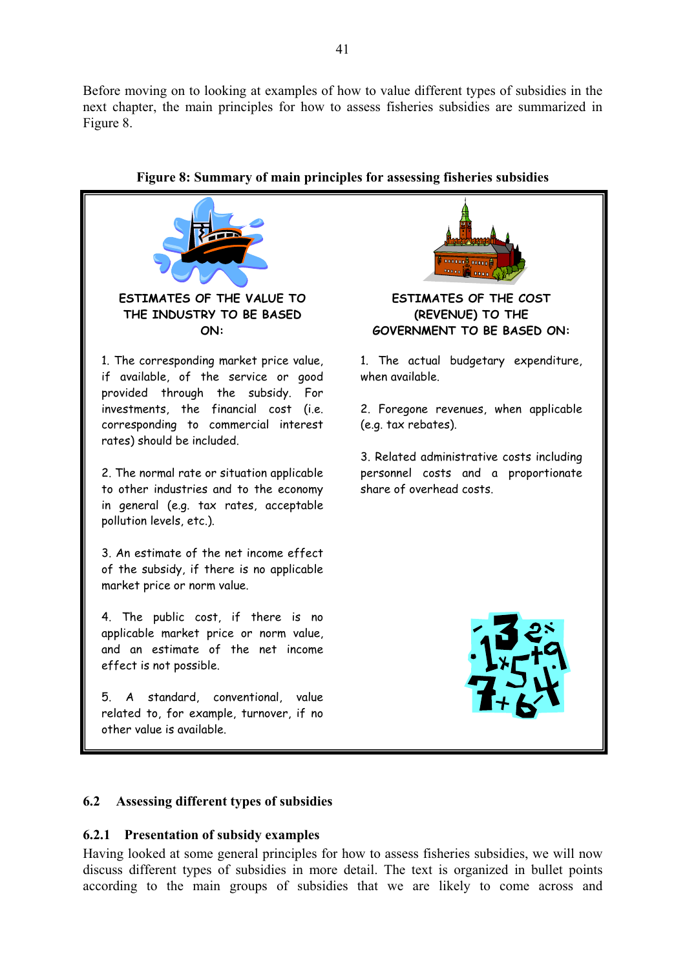Before moving on to looking at examples of how to value different types of subsidies in the next chapter, the main principles for how to assess fisheries subsidies are summarized in Figure 8.



# **Figure 8: Summary of main principles for assessing fisheries subsidies**

#### **6.2 Assessing different types of subsidies**

#### **6.2.1 Presentation of subsidy examples**

Having looked at some general principles for how to assess fisheries subsidies, we will now discuss different types of subsidies in more detail. The text is organized in bullet points according to the main groups of subsidies that we are likely to come across and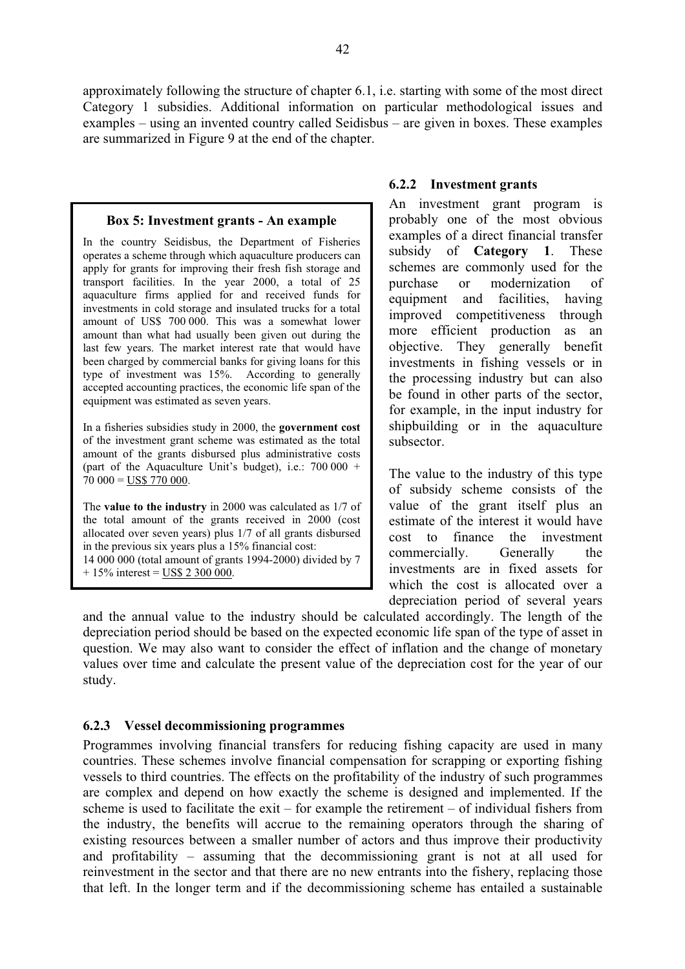approximately following the structure of chapter 6.1, i.e. starting with some of the most direct Category 1 subsidies. Additional information on particular methodological issues and examples – using an invented country called Seidisbus – are given in boxes. These examples are summarized in Figure 9 at the end of the chapter.

#### **Box 5: Investment grants - An example**

In the country Seidisbus, the Department of Fisheries operates a scheme through which aquaculture producers can apply for grants for improving their fresh fish storage and transport facilities. In the year 2000, a total of 25 aquaculture firms applied for and received funds for investments in cold storage and insulated trucks for a total amount of US\$ 700 000. This was a somewhat lower amount than what had usually been given out during the last few years. The market interest rate that would have been charged by commercial banks for giving loans for this type of investment was 15%. According to generally accepted accounting practices, the economic life span of the equipment was estimated as seven years.

In a fisheries subsidies study in 2000, the **government cost** of the investment grant scheme was estimated as the total amount of the grants disbursed plus administrative costs (part of the Aquaculture Unit's budget), i.e.:  $700000 +$  $70\ 000 = \text{USS } 770\ 000.$ 

The **value to the industry** in 2000 was calculated as 1/7 of the total amount of the grants received in 2000 (cost allocated over seven years) plus 1/7 of all grants disbursed in the previous six years plus a 15% financial cost: 14 000 000 (total amount of grants 1994-2000) divided by 7  $+ 15\%$  interest = US\$ 2 300 000.

#### **6.2.2 Investment grants**

An investment grant program is probably one of the most obvious examples of a direct financial transfer subsidy of **Category 1**. These schemes are commonly used for the purchase or modernization of equipment and facilities, having improved competitiveness through more efficient production as an objective. They generally benefit investments in fishing vessels or in the processing industry but can also be found in other parts of the sector, for example, in the input industry for shipbuilding or in the aquaculture subsector.

The value to the industry of this type of subsidy scheme consists of the value of the grant itself plus an estimate of the interest it would have cost to finance the investment commercially. Generally the investments are in fixed assets for which the cost is allocated over a depreciation period of several years

and the annual value to the industry should be calculated accordingly. The length of the depreciation period should be based on the expected economic life span of the type of asset in question. We may also want to consider the effect of inflation and the change of monetary values over time and calculate the present value of the depreciation cost for the year of our study.

### **6.2.3 Vessel decommissioning programmes**

Programmes involving financial transfers for reducing fishing capacity are used in many countries. These schemes involve financial compensation for scrapping or exporting fishing vessels to third countries. The effects on the profitability of the industry of such programmes are complex and depend on how exactly the scheme is designed and implemented. If the scheme is used to facilitate the exit – for example the retirement – of individual fishers from the industry, the benefits will accrue to the remaining operators through the sharing of existing resources between a smaller number of actors and thus improve their productivity and profitability – assuming that the decommissioning grant is not at all used for reinvestment in the sector and that there are no new entrants into the fishery, replacing those that left. In the longer term and if the decommissioning scheme has entailed a sustainable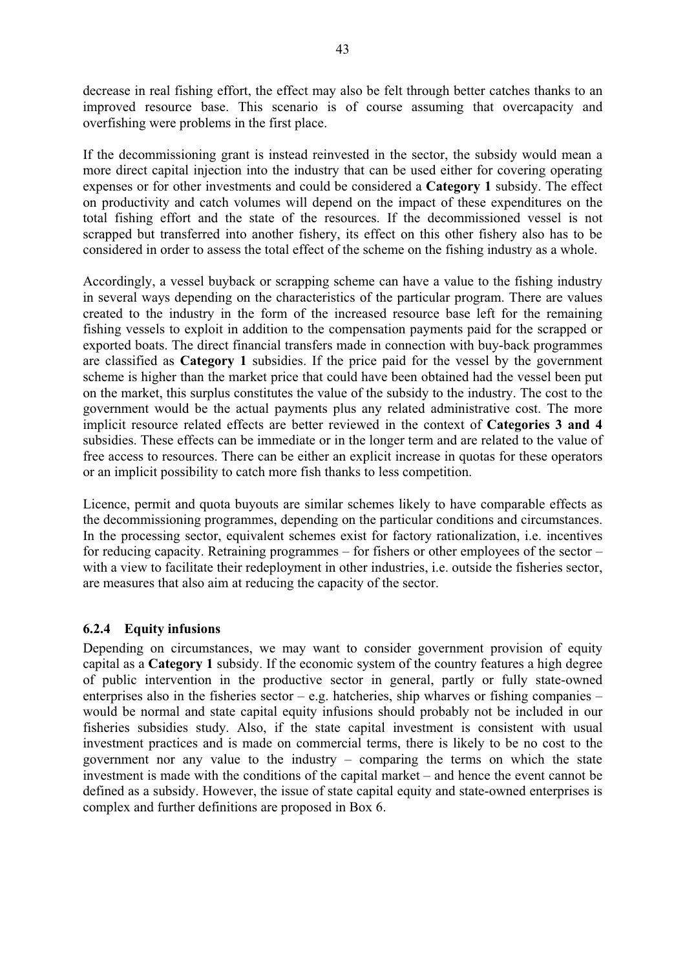decrease in real fishing effort, the effect may also be felt through better catches thanks to an improved resource base. This scenario is of course assuming that overcapacity and overfishing were problems in the first place.

If the decommissioning grant is instead reinvested in the sector, the subsidy would mean a more direct capital injection into the industry that can be used either for covering operating expenses or for other investments and could be considered a **Category 1** subsidy. The effect on productivity and catch volumes will depend on the impact of these expenditures on the total fishing effort and the state of the resources. If the decommissioned vessel is not scrapped but transferred into another fishery, its effect on this other fishery also has to be considered in order to assess the total effect of the scheme on the fishing industry as a whole.

Accordingly, a vessel buyback or scrapping scheme can have a value to the fishing industry in several ways depending on the characteristics of the particular program. There are values created to the industry in the form of the increased resource base left for the remaining fishing vessels to exploit in addition to the compensation payments paid for the scrapped or exported boats. The direct financial transfers made in connection with buy-back programmes are classified as **Category 1** subsidies. If the price paid for the vessel by the government scheme is higher than the market price that could have been obtained had the vessel been put on the market, this surplus constitutes the value of the subsidy to the industry. The cost to the government would be the actual payments plus any related administrative cost. The more implicit resource related effects are better reviewed in the context of **Categories 3 and 4** subsidies. These effects can be immediate or in the longer term and are related to the value of free access to resources. There can be either an explicit increase in quotas for these operators or an implicit possibility to catch more fish thanks to less competition.

Licence, permit and quota buyouts are similar schemes likely to have comparable effects as the decommissioning programmes, depending on the particular conditions and circumstances. In the processing sector, equivalent schemes exist for factory rationalization, i.e. incentives for reducing capacity. Retraining programmes – for fishers or other employees of the sector – with a view to facilitate their redeployment in other industries, *i.e.* outside the fisheries sector, are measures that also aim at reducing the capacity of the sector.

### **6.2.4 Equity infusions**

Depending on circumstances, we may want to consider government provision of equity capital as a **Category 1** subsidy. If the economic system of the country features a high degree of public intervention in the productive sector in general, partly or fully state-owned enterprises also in the fisheries sector – e.g. hatcheries, ship wharves or fishing companies – would be normal and state capital equity infusions should probably not be included in our fisheries subsidies study. Also, if the state capital investment is consistent with usual investment practices and is made on commercial terms, there is likely to be no cost to the government nor any value to the industry – comparing the terms on which the state investment is made with the conditions of the capital market – and hence the event cannot be defined as a subsidy. However, the issue of state capital equity and state-owned enterprises is complex and further definitions are proposed in Box 6.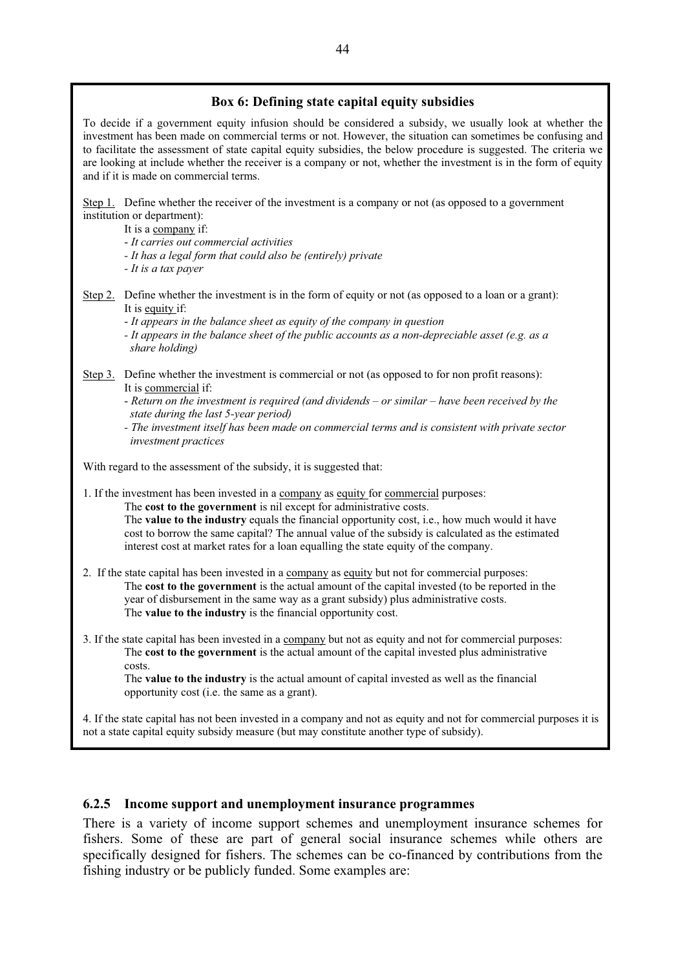### **Box 6: Defining state capital equity subsidies**

To decide if a government equity infusion should be considered a subsidy, we usually look at whether the investment has been made on commercial terms or not. However, the situation can sometimes be confusing and to facilitate the assessment of state capital equity subsidies, the below procedure is suggested. The criteria we are looking at include whether the receiver is a company or not, whether the investment is in the form of equity and if it is made on commercial terms.

Step 1. Define whether the receiver of the investment is a company or not (as opposed to a government institution or department):

It is a company if:

- *It carries out commercial activities* 

*- It has a legal form that could also be (entirely) private* 

*- It is a tax payer* 

Step 2. Define whether the investment is in the form of equity or not (as opposed to a loan or a grant): It is equity if:

- *It appears in the balance sheet as equity of the company in question* 

*- It appears in the balance sheet of the public accounts as a non-depreciable asset (e.g. as a share holding)* 

Step 3. Define whether the investment is commercial or not (as opposed to for non profit reasons): It is commercial if:

- *Return on the investment is required (and dividends – or similar – have been received by the state during the last 5-year period)* 

*- The investment itself has been made on commercial terms and is consistent with private sector investment practices* 

With regard to the assessment of the subsidy, it is suggested that:

1. If the investment has been invested in a company as equity for commercial purposes:

The **cost to the government** is nil except for administrative costs. The **value to the industry** equals the financial opportunity cost, i.e., how much would it have cost to borrow the same capital? The annual value of the subsidy is calculated as the estimated interest cost at market rates for a loan equalling the state equity of the company.

2. If the state capital has been invested in a company as equity but not for commercial purposes: The **cost to the government** is the actual amount of the capital invested (to be reported in the year of disbursement in the same way as a grant subsidy) plus administrative costs. The **value to the industry** is the financial opportunity cost.

3. If the state capital has been invested in a company but not as equity and not for commercial purposes: The **cost to the government** is the actual amount of the capital invested plus administrative costs.

The **value to the industry** is the actual amount of capital invested as well as the financial opportunity cost (i.e. the same as a grant).

4. If the state capital has not been invested in a company and not as equity and not for commercial purposes it is not a state capital equity subsidy measure (but may constitute another type of subsidy).

#### **6.2.5 Income support and unemployment insurance programmes**

There is a variety of income support schemes and unemployment insurance schemes for fishers. Some of these are part of general social insurance schemes while others are specifically designed for fishers. The schemes can be co-financed by contributions from the fishing industry or be publicly funded. Some examples are: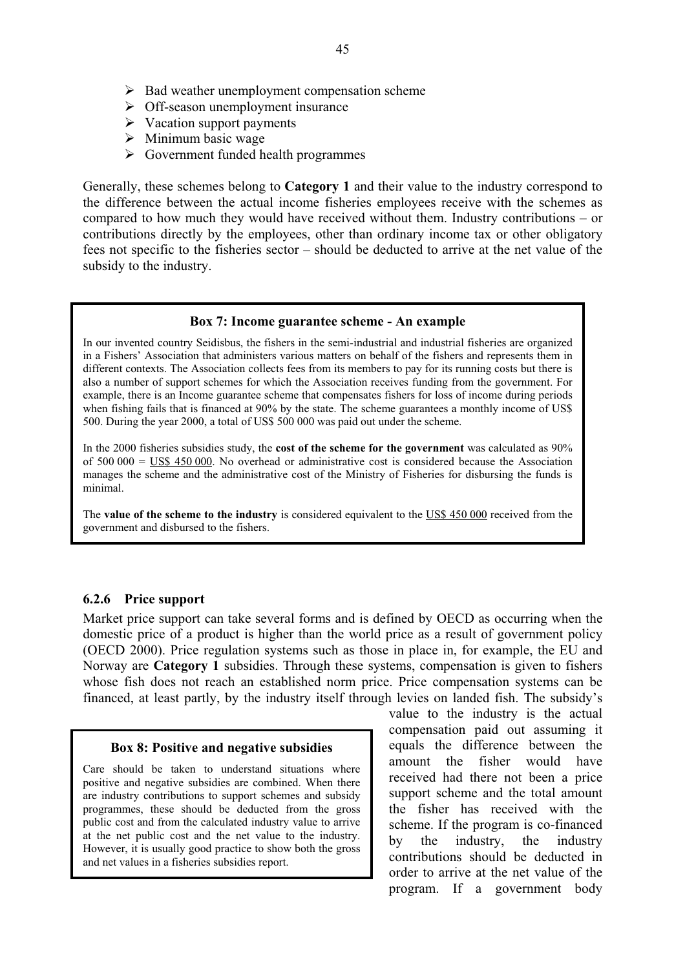- $\triangleright$  Bad weather unemployment compensation scheme
- $\triangleright$  Off-season unemployment insurance
- $\triangleright$  Vacation support payments
- $\triangleright$  Minimum basic wage
- $\triangleright$  Government funded health programmes

Generally, these schemes belong to **Category 1** and their value to the industry correspond to the difference between the actual income fisheries employees receive with the schemes as compared to how much they would have received without them. Industry contributions – or contributions directly by the employees, other than ordinary income tax or other obligatory fees not specific to the fisheries sector – should be deducted to arrive at the net value of the subsidy to the industry.

#### **Box 7: Income guarantee scheme - An example**

In our invented country Seidisbus, the fishers in the semi-industrial and industrial fisheries are organized in a Fishers' Association that administers various matters on behalf of the fishers and represents them in different contexts. The Association collects fees from its members to pay for its running costs but there is also a number of support schemes for which the Association receives funding from the government. For example, there is an Income guarantee scheme that compensates fishers for loss of income during periods when fishing fails that is financed at 90% by the state. The scheme guarantees a monthly income of US\$ 500. During the year 2000, a total of US\$ 500 000 was paid out under the scheme.

In the 2000 fisheries subsidies study, the **cost of the scheme for the government** was calculated as 90% of  $500\,000 = \text{USS } 450\,000$ . No overhead or administrative cost is considered because the Association manages the scheme and the administrative cost of the Ministry of Fisheries for disbursing the funds is minimal.

The **value of the scheme to the industry** is considered equivalent to the US\$ 450 000 received from the government and disbursed to the fishers.

#### **6.2.6 Price support**

Market price support can take several forms and is defined by OECD as occurring when the domestic price of a product is higher than the world price as a result of government policy (OECD 2000). Price regulation systems such as those in place in, for example, the EU and Norway are **Category 1** subsidies. Through these systems, compensation is given to fishers whose fish does not reach an established norm price. Price compensation systems can be financed, at least partly, by the industry itself through levies on landed fish. The subsidy's

#### **Box 8: Positive and negative subsidies**

Care should be taken to understand situations where positive and negative subsidies are combined. When there are industry contributions to support schemes and subsidy programmes, these should be deducted from the gross public cost and from the calculated industry value to arrive at the net public cost and the net value to the industry. However, it is usually good practice to show both the gross and net values in a fisheries subsidies report.

value to the industry is the actual compensation paid out assuming it equals the difference between the amount the fisher would have received had there not been a price support scheme and the total amount the fisher has received with the scheme. If the program is co-financed by the industry, the industry contributions should be deducted in order to arrive at the net value of the program. If a government body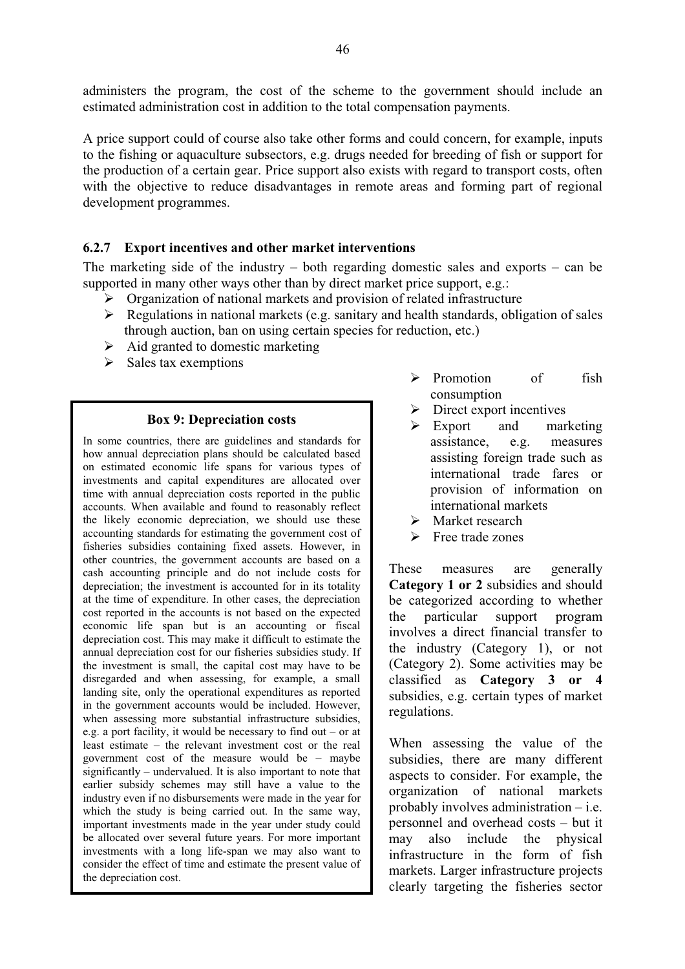administers the program, the cost of the scheme to the government should include an estimated administration cost in addition to the total compensation payments.

A price support could of course also take other forms and could concern, for example, inputs to the fishing or aquaculture subsectors, e.g. drugs needed for breeding of fish or support for the production of a certain gear. Price support also exists with regard to transport costs, often with the objective to reduce disadvantages in remote areas and forming part of regional development programmes.

### **6.2.7 Export incentives and other market interventions**

The marketing side of the industry – both regarding domestic sales and exports – can be supported in many other ways other than by direct market price support, e.g.:

- $\triangleright$  Organization of national markets and provision of related infrastructure
- $\triangleright$  Regulations in national markets (e.g. sanitary and health standards, obligation of sales through auction, ban on using certain species for reduction, etc.)
- $\triangleright$  Aid granted to domestic marketing
- $\triangleright$  Sales tax exemptions

#### **Box 9: Depreciation costs**

In some countries, there are guidelines and standards for how annual depreciation plans should be calculated based on estimated economic life spans for various types of investments and capital expenditures are allocated over time with annual depreciation costs reported in the public accounts. When available and found to reasonably reflect the likely economic depreciation, we should use these accounting standards for estimating the government cost of fisheries subsidies containing fixed assets. However, in other countries, the government accounts are based on a cash accounting principle and do not include costs for depreciation; the investment is accounted for in its totality at the time of expenditure. In other cases, the depreciation cost reported in the accounts is not based on the expected economic life span but is an accounting or fiscal depreciation cost. This may make it difficult to estimate the annual depreciation cost for our fisheries subsidies study. If the investment is small, the capital cost may have to be disregarded and when assessing, for example, a small landing site, only the operational expenditures as reported in the government accounts would be included. However, when assessing more substantial infrastructure subsidies, e.g. a port facility, it would be necessary to find out – or at least estimate – the relevant investment cost or the real government cost of the measure would be – maybe significantly – undervalued. It is also important to note that earlier subsidy schemes may still have a value to the industry even if no disbursements were made in the year for which the study is being carried out. In the same way, important investments made in the year under study could be allocated over several future years. For more important investments with a long life-span we may also want to consider the effect of time and estimate the present value of the depreciation cost.

- ¾ Promotion of fish consumption
- $\triangleright$  Direct export incentives
- $\triangleright$  Export and marketing assistance, e.g. measures assisting foreign trade such as international trade fares or provision of information on international markets
- $\triangleright$  Market research
- $\triangleright$  Free trade zones

These measures are generally **Category 1 or 2** subsidies and should be categorized according to whether the particular support program involves a direct financial transfer to the industry (Category 1), or not (Category 2). Some activities may be classified as **Category 3 or 4** subsidies, e.g. certain types of market regulations.

When assessing the value of the subsidies, there are many different aspects to consider. For example, the organization of national markets probably involves administration – i.e. personnel and overhead costs – but it may also include the physical infrastructure in the form of fish markets. Larger infrastructure projects clearly targeting the fisheries sector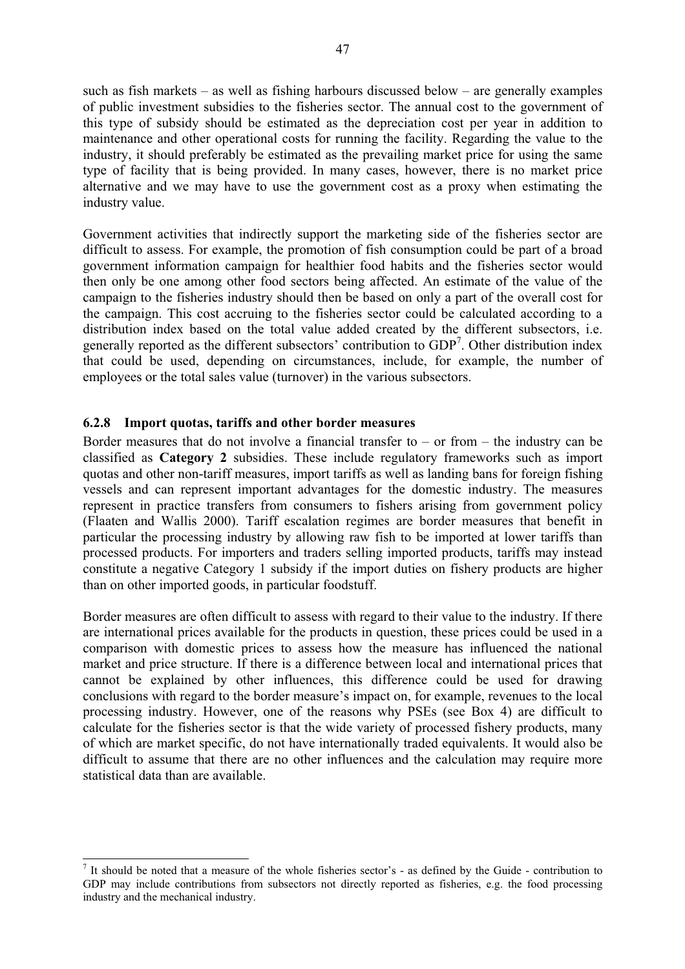such as fish markets – as well as fishing harbours discussed below – are generally examples of public investment subsidies to the fisheries sector. The annual cost to the government of this type of subsidy should be estimated as the depreciation cost per year in addition to maintenance and other operational costs for running the facility. Regarding the value to the industry, it should preferably be estimated as the prevailing market price for using the same type of facility that is being provided. In many cases, however, there is no market price alternative and we may have to use the government cost as a proxy when estimating the industry value.

Government activities that indirectly support the marketing side of the fisheries sector are difficult to assess. For example, the promotion of fish consumption could be part of a broad government information campaign for healthier food habits and the fisheries sector would then only be one among other food sectors being affected. An estimate of the value of the campaign to the fisheries industry should then be based on only a part of the overall cost for the campaign. This cost accruing to the fisheries sector could be calculated according to a distribution index based on the total value added created by the different subsectors, i.e. generally reported as the different subsectors' contribution to GDP<sup>7</sup>. Other distribution index that could be used, depending on circumstances, include, for example, the number of employees or the total sales value (turnover) in the various subsectors.

### **6.2.8 Import quotas, tariffs and other border measures**

Border measures that do not involve a financial transfer to  $-$  or from  $-$  the industry can be classified as **Category 2** subsidies. These include regulatory frameworks such as import quotas and other non-tariff measures, import tariffs as well as landing bans for foreign fishing vessels and can represent important advantages for the domestic industry. The measures represent in practice transfers from consumers to fishers arising from government policy (Flaaten and Wallis 2000). Tariff escalation regimes are border measures that benefit in particular the processing industry by allowing raw fish to be imported at lower tariffs than processed products. For importers and traders selling imported products, tariffs may instead constitute a negative Category 1 subsidy if the import duties on fishery products are higher than on other imported goods, in particular foodstuff.

Border measures are often difficult to assess with regard to their value to the industry. If there are international prices available for the products in question, these prices could be used in a comparison with domestic prices to assess how the measure has influenced the national market and price structure. If there is a difference between local and international prices that cannot be explained by other influences, this difference could be used for drawing conclusions with regard to the border measure's impact on, for example, revenues to the local processing industry. However, one of the reasons why PSEs (see Box 4) are difficult to calculate for the fisheries sector is that the wide variety of processed fishery products, many of which are market specific, do not have internationally traded equivalents. It would also be difficult to assume that there are no other influences and the calculation may require more statistical data than are available.

<sup>&</sup>lt;sup>7</sup> It should be noted that a measure of the whole fisheries sector's - as defined by the Guide - contribution to GDP may include contributions from subsectors not directly reported as fisheries, e.g. the food processing industry and the mechanical industry.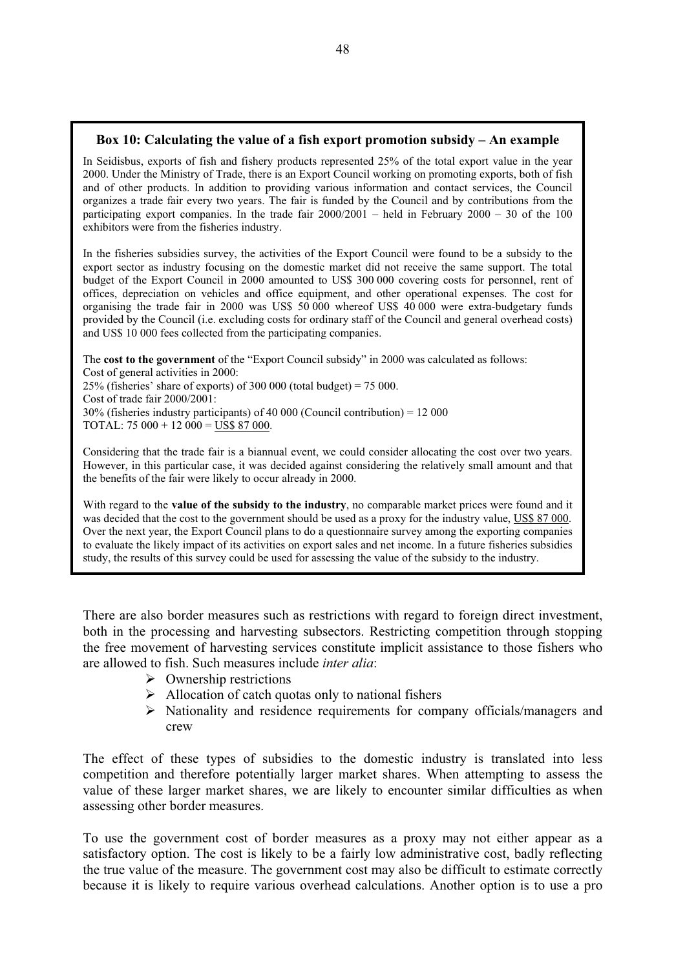### **Box 10: Calculating the value of a fish export promotion subsidy – An example**

In Seidisbus, exports of fish and fishery products represented 25% of the total export value in the year 2000. Under the Ministry of Trade, there is an Export Council working on promoting exports, both of fish and of other products. In addition to providing various information and contact services, the Council organizes a trade fair every two years. The fair is funded by the Council and by contributions from the participating export companies. In the trade fair  $2000/2001$  – held in February 2000 – 30 of the 100 exhibitors were from the fisheries industry.

In the fisheries subsidies survey, the activities of the Export Council were found to be a subsidy to the export sector as industry focusing on the domestic market did not receive the same support. The total budget of the Export Council in 2000 amounted to US\$ 300 000 covering costs for personnel, rent of offices, depreciation on vehicles and office equipment, and other operational expenses. The cost for organising the trade fair in 2000 was US\$ 50 000 whereof US\$ 40 000 were extra-budgetary funds provided by the Council (i.e. excluding costs for ordinary staff of the Council and general overhead costs) and US\$ 10 000 fees collected from the participating companies.

The **cost to the government** of the "Export Council subsidy" in 2000 was calculated as follows: Cost of general activities in 2000: 25% (fisheries' share of exports) of 300 000 (total budget) = 75 000. Cost of trade fair 2000/2001:  $30\%$  (fisheries industry participants) of 40 000 (Council contribution) = 12 000 TOTAL:  $75\,000 + 12\,000 = \overline{\text{US}}\$  87 000.

Considering that the trade fair is a biannual event, we could consider allocating the cost over two years. However, in this particular case, it was decided against considering the relatively small amount and that the benefits of the fair were likely to occur already in 2000.

With regard to the **value of the subsidy to the industry**, no comparable market prices were found and it was decided that the cost to the government should be used as a proxy for the industry value, US\$ 87 000. Over the next year, the Export Council plans to do a questionnaire survey among the exporting companies to evaluate the likely impact of its activities on export sales and net income. In a future fisheries subsidies study, the results of this survey could be used for assessing the value of the subsidy to the industry.

There are also border measures such as restrictions with regard to foreign direct investment, both in the processing and harvesting subsectors. Restricting competition through stopping the free movement of harvesting services constitute implicit assistance to those fishers who are allowed to fish. Such measures include *inter alia*:

- $\triangleright$  Ownership restrictions
- $\triangleright$  Allocation of catch quotas only to national fishers
- ¾ Nationality and residence requirements for company officials/managers and crew

The effect of these types of subsidies to the domestic industry is translated into less competition and therefore potentially larger market shares. When attempting to assess the value of these larger market shares, we are likely to encounter similar difficulties as when assessing other border measures.

To use the government cost of border measures as a proxy may not either appear as a satisfactory option. The cost is likely to be a fairly low administrative cost, badly reflecting the true value of the measure. The government cost may also be difficult to estimate correctly because it is likely to require various overhead calculations. Another option is to use a pro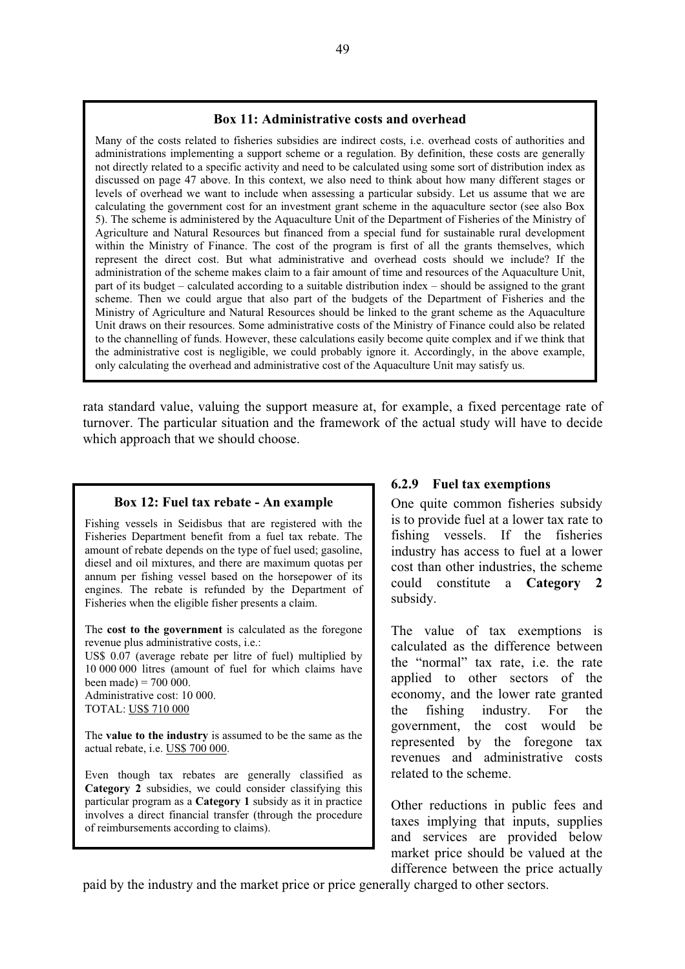#### **Box 11: Administrative costs and overhead**

Many of the costs related to fisheries subsidies are indirect costs, i.e. overhead costs of authorities and administrations implementing a support scheme or a regulation. By definition, these costs are generally not directly related to a specific activity and need to be calculated using some sort of distribution index as discussed on page 47 above. In this context, we also need to think about how many different stages or levels of overhead we want to include when assessing a particular subsidy. Let us assume that we are calculating the government cost for an investment grant scheme in the aquaculture sector (see also Box 5). The scheme is administered by the Aquaculture Unit of the Department of Fisheries of the Ministry of Agriculture and Natural Resources but financed from a special fund for sustainable rural development within the Ministry of Finance. The cost of the program is first of all the grants themselves, which represent the direct cost. But what administrative and overhead costs should we include? If the administration of the scheme makes claim to a fair amount of time and resources of the Aquaculture Unit, part of its budget – calculated according to a suitable distribution index – should be assigned to the grant scheme. Then we could argue that also part of the budgets of the Department of Fisheries and the Ministry of Agriculture and Natural Resources should be linked to the grant scheme as the Aquaculture Unit draws on their resources. Some administrative costs of the Ministry of Finance could also be related to the channelling of funds. However, these calculations easily become quite complex and if we think that the administrative cost is negligible, we could probably ignore it. Accordingly, in the above example, only calculating the overhead and administrative cost of the Aquaculture Unit may satisfy us.

rata standard value, valuing the support measure at, for example, a fixed percentage rate of turnover. The particular situation and the framework of the actual study will have to decide which approach that we should choose.

#### **Box 12: Fuel tax rebate - An example**

Fishing vessels in Seidisbus that are registered with the Fisheries Department benefit from a fuel tax rebate. The amount of rebate depends on the type of fuel used; gasoline, diesel and oil mixtures, and there are maximum quotas per annum per fishing vessel based on the horsepower of its engines. The rebate is refunded by the Department of Fisheries when the eligible fisher presents a claim.

The **cost to the government** is calculated as the foregone revenue plus administrative costs, i.e.:

US\$ 0.07 (average rebate per litre of fuel) multiplied by 10 000 000 litres (amount of fuel for which claims have been made) =  $700000$ .

Administrative cost: 10 000. TOTAL: US\$ 710 000

The **value to the industry** is assumed to be the same as the actual rebate, i.e. US\$ 700 000.

Even though tax rebates are generally classified as **Category 2** subsidies, we could consider classifying this particular program as a **Category 1** subsidy as it in practice involves a direct financial transfer (through the procedure of reimbursements according to claims).

### **6.2.9 Fuel tax exemptions**

One quite common fisheries subsidy is to provide fuel at a lower tax rate to fishing vessels. If the fisheries industry has access to fuel at a lower cost than other industries, the scheme could constitute a **Category 2**  subsidy.

The value of tax exemptions is calculated as the difference between the "normal" tax rate, i.e. the rate applied to other sectors of the economy, and the lower rate granted the fishing industry. For the government, the cost would be represented by the foregone tax revenues and administrative costs related to the scheme.

Other reductions in public fees and taxes implying that inputs, supplies and services are provided below market price should be valued at the difference between the price actually

paid by the industry and the market price or price generally charged to other sectors.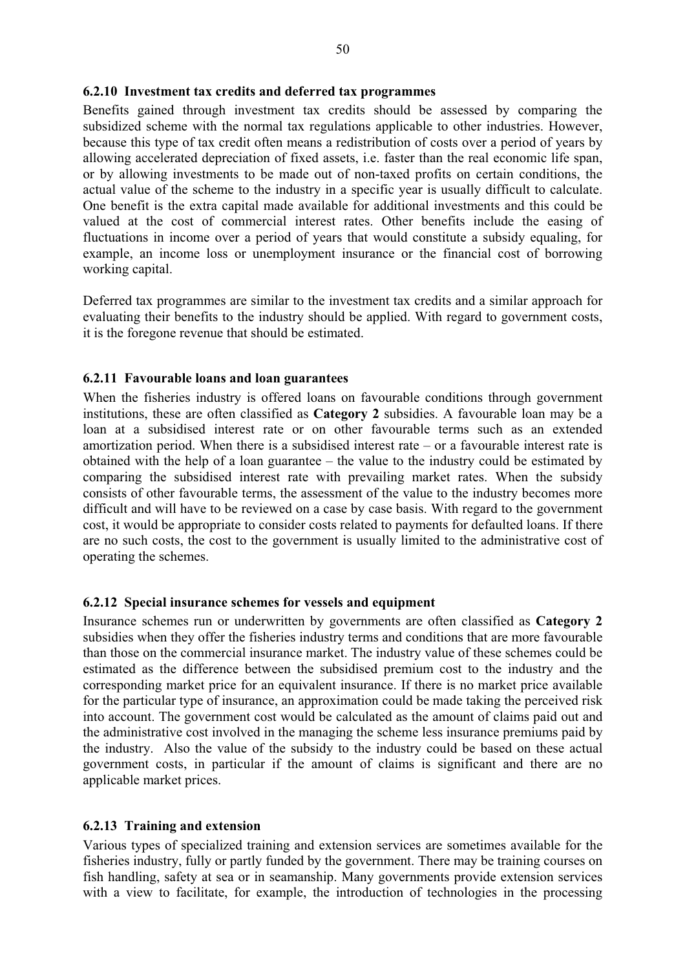#### **6.2.10 Investment tax credits and deferred tax programmes**

Benefits gained through investment tax credits should be assessed by comparing the subsidized scheme with the normal tax regulations applicable to other industries. However, because this type of tax credit often means a redistribution of costs over a period of years by allowing accelerated depreciation of fixed assets, i.e. faster than the real economic life span, or by allowing investments to be made out of non-taxed profits on certain conditions, the actual value of the scheme to the industry in a specific year is usually difficult to calculate. One benefit is the extra capital made available for additional investments and this could be valued at the cost of commercial interest rates. Other benefits include the easing of fluctuations in income over a period of years that would constitute a subsidy equaling, for example, an income loss or unemployment insurance or the financial cost of borrowing working capital.

Deferred tax programmes are similar to the investment tax credits and a similar approach for evaluating their benefits to the industry should be applied. With regard to government costs, it is the foregone revenue that should be estimated.

### **6.2.11 Favourable loans and loan guarantees**

When the fisheries industry is offered loans on favourable conditions through government institutions, these are often classified as **Category 2** subsidies. A favourable loan may be a loan at a subsidised interest rate or on other favourable terms such as an extended amortization period. When there is a subsidised interest rate – or a favourable interest rate is obtained with the help of a loan guarantee – the value to the industry could be estimated by comparing the subsidised interest rate with prevailing market rates. When the subsidy consists of other favourable terms, the assessment of the value to the industry becomes more difficult and will have to be reviewed on a case by case basis. With regard to the government cost, it would be appropriate to consider costs related to payments for defaulted loans. If there are no such costs, the cost to the government is usually limited to the administrative cost of operating the schemes.

#### **6.2.12 Special insurance schemes for vessels and equipment**

Insurance schemes run or underwritten by governments are often classified as **Category 2**  subsidies when they offer the fisheries industry terms and conditions that are more favourable than those on the commercial insurance market. The industry value of these schemes could be estimated as the difference between the subsidised premium cost to the industry and the corresponding market price for an equivalent insurance. If there is no market price available for the particular type of insurance, an approximation could be made taking the perceived risk into account. The government cost would be calculated as the amount of claims paid out and the administrative cost involved in the managing the scheme less insurance premiums paid by the industry. Also the value of the subsidy to the industry could be based on these actual government costs, in particular if the amount of claims is significant and there are no applicable market prices.

#### **6.2.13 Training and extension**

Various types of specialized training and extension services are sometimes available for the fisheries industry, fully or partly funded by the government. There may be training courses on fish handling, safety at sea or in seamanship. Many governments provide extension services with a view to facilitate, for example, the introduction of technologies in the processing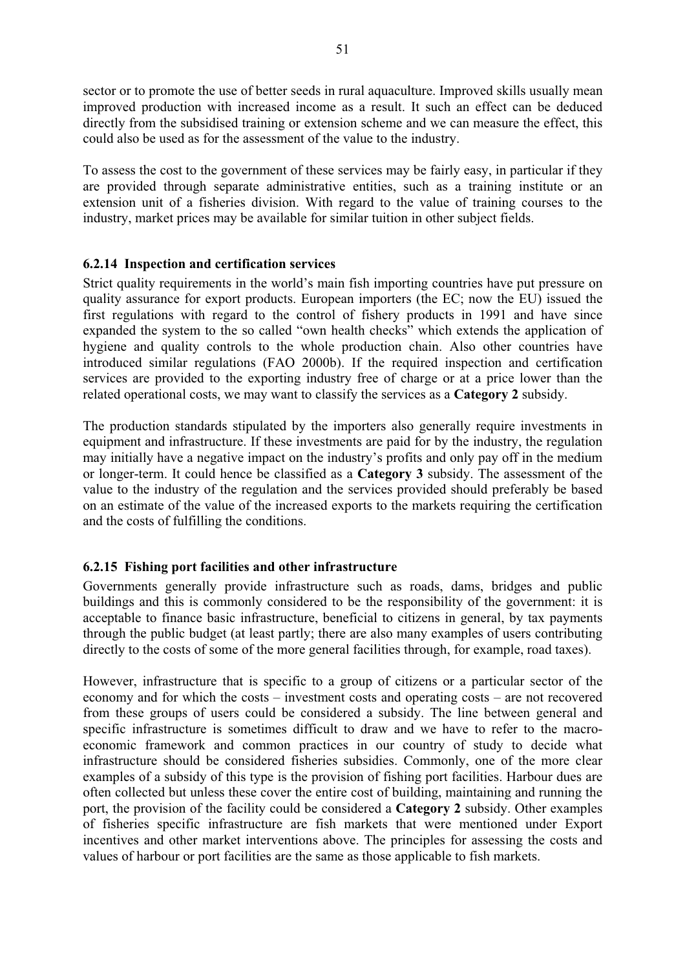sector or to promote the use of better seeds in rural aquaculture. Improved skills usually mean improved production with increased income as a result. It such an effect can be deduced directly from the subsidised training or extension scheme and we can measure the effect, this could also be used as for the assessment of the value to the industry.

To assess the cost to the government of these services may be fairly easy, in particular if they are provided through separate administrative entities, such as a training institute or an extension unit of a fisheries division. With regard to the value of training courses to the industry, market prices may be available for similar tuition in other subject fields.

# **6.2.14 Inspection and certification services**

Strict quality requirements in the world's main fish importing countries have put pressure on quality assurance for export products. European importers (the EC; now the EU) issued the first regulations with regard to the control of fishery products in 1991 and have since expanded the system to the so called "own health checks" which extends the application of hygiene and quality controls to the whole production chain. Also other countries have introduced similar regulations (FAO 2000b). If the required inspection and certification services are provided to the exporting industry free of charge or at a price lower than the related operational costs, we may want to classify the services as a **Category 2** subsidy.

The production standards stipulated by the importers also generally require investments in equipment and infrastructure. If these investments are paid for by the industry, the regulation may initially have a negative impact on the industry's profits and only pay off in the medium or longer-term. It could hence be classified as a **Category 3** subsidy. The assessment of the value to the industry of the regulation and the services provided should preferably be based on an estimate of the value of the increased exports to the markets requiring the certification and the costs of fulfilling the conditions.

# **6.2.15 Fishing port facilities and other infrastructure**

Governments generally provide infrastructure such as roads, dams, bridges and public buildings and this is commonly considered to be the responsibility of the government: it is acceptable to finance basic infrastructure, beneficial to citizens in general, by tax payments through the public budget (at least partly; there are also many examples of users contributing directly to the costs of some of the more general facilities through, for example, road taxes).

However, infrastructure that is specific to a group of citizens or a particular sector of the economy and for which the costs – investment costs and operating costs – are not recovered from these groups of users could be considered a subsidy. The line between general and specific infrastructure is sometimes difficult to draw and we have to refer to the macroeconomic framework and common practices in our country of study to decide what infrastructure should be considered fisheries subsidies. Commonly, one of the more clear examples of a subsidy of this type is the provision of fishing port facilities. Harbour dues are often collected but unless these cover the entire cost of building, maintaining and running the port, the provision of the facility could be considered a **Category 2** subsidy. Other examples of fisheries specific infrastructure are fish markets that were mentioned under Export incentives and other market interventions above. The principles for assessing the costs and values of harbour or port facilities are the same as those applicable to fish markets.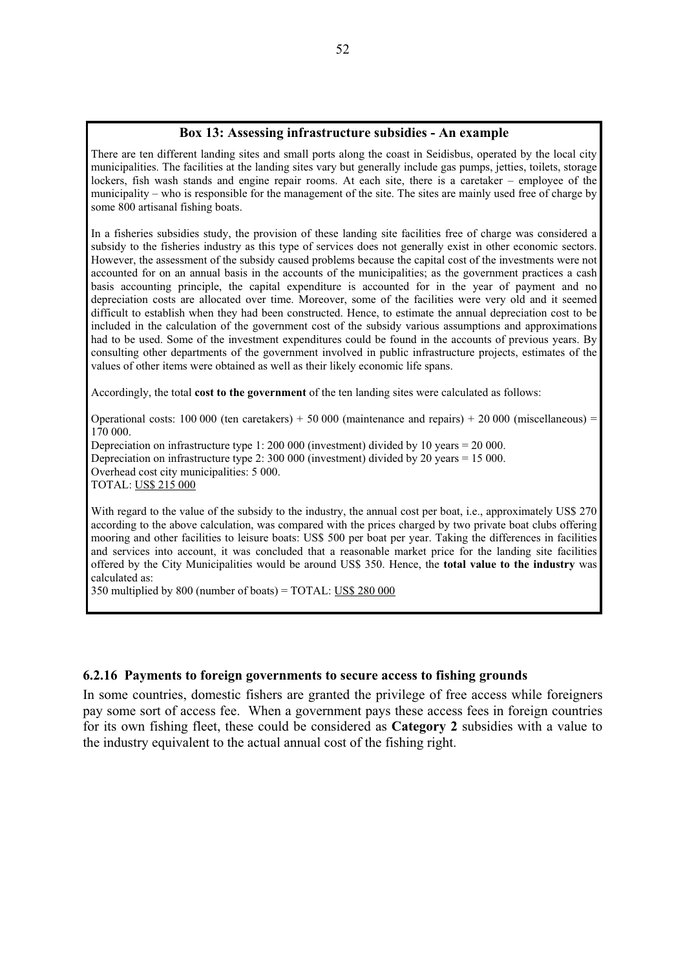#### **Box 13: Assessing infrastructure subsidies - An example**

There are ten different landing sites and small ports along the coast in Seidisbus, operated by the local city municipalities. The facilities at the landing sites vary but generally include gas pumps, jetties, toilets, storage lockers, fish wash stands and engine repair rooms. At each site, there is a caretaker – employee of the municipality – who is responsible for the management of the site. The sites are mainly used free of charge by some 800 artisanal fishing boats.

In a fisheries subsidies study, the provision of these landing site facilities free of charge was considered a subsidy to the fisheries industry as this type of services does not generally exist in other economic sectors. However, the assessment of the subsidy caused problems because the capital cost of the investments were not accounted for on an annual basis in the accounts of the municipalities; as the government practices a cash basis accounting principle, the capital expenditure is accounted for in the year of payment and no depreciation costs are allocated over time. Moreover, some of the facilities were very old and it seemed difficult to establish when they had been constructed. Hence, to estimate the annual depreciation cost to be included in the calculation of the government cost of the subsidy various assumptions and approximations had to be used. Some of the investment expenditures could be found in the accounts of previous years. By consulting other departments of the government involved in public infrastructure projects, estimates of the values of other items were obtained as well as their likely economic life spans.

Accordingly, the total **cost to the government** of the ten landing sites were calculated as follows:

Operational costs: 100 000 (ten caretakers) + 50 000 (maintenance and repairs) + 20 000 (miscellaneous) = 170 000.

Depreciation on infrastructure type 1: 200 000 (investment) divided by 10 years = 20 000. Depreciation on infrastructure type 2: 300 000 (investment) divided by 20 years = 15 000. Overhead cost city municipalities: 5 000. TOTAL: US\$ 215 000

With regard to the value of the subsidy to the industry, the annual cost per boat, i.e., approximately US\$ 270 according to the above calculation, was compared with the prices charged by two private boat clubs offering mooring and other facilities to leisure boats: US\$ 500 per boat per year. Taking the differences in facilities and services into account, it was concluded that a reasonable market price for the landing site facilities offered by the City Municipalities would be around US\$ 350. Hence, the **total value to the industry** was calculated as:

350 multiplied by 800 (number of boats) = TOTAL: US\$ 280 000

#### **6.2.16 Payments to foreign governments to secure access to fishing grounds**

In some countries, domestic fishers are granted the privilege of free access while foreigners pay some sort of access fee. When a government pays these access fees in foreign countries for its own fishing fleet, these could be considered as **Category 2** subsidies with a value to the industry equivalent to the actual annual cost of the fishing right.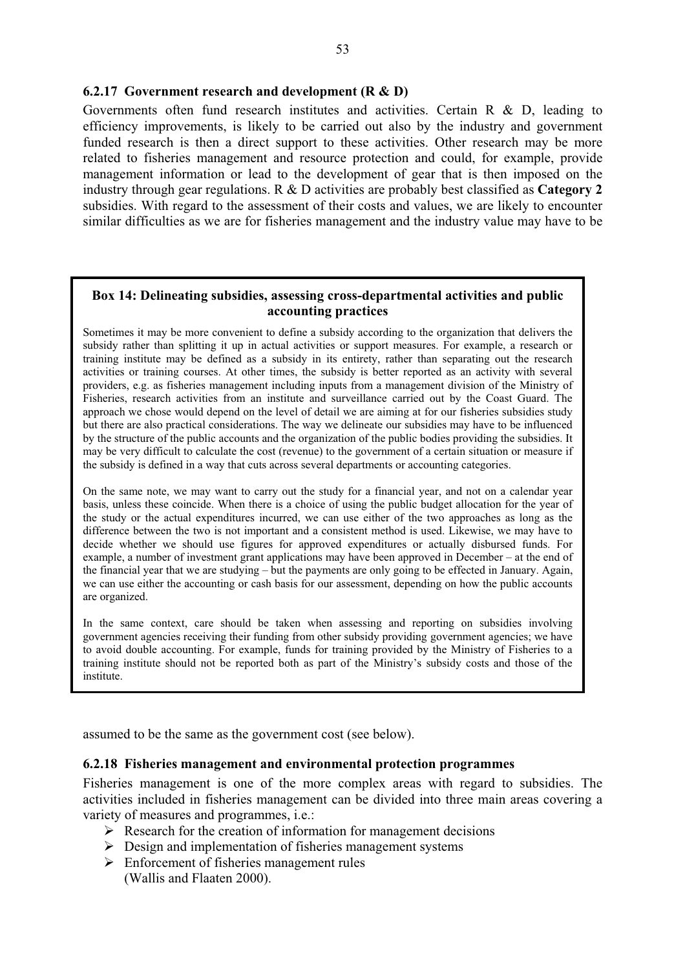### **6.2.17 Government research and development (R & D)**

Governments often fund research institutes and activities. Certain R & D, leading to efficiency improvements, is likely to be carried out also by the industry and government funded research is then a direct support to these activities. Other research may be more related to fisheries management and resource protection and could, for example, provide management information or lead to the development of gear that is then imposed on the industry through gear regulations. R & D activities are probably best classified as **Category 2** subsidies. With regard to the assessment of their costs and values, we are likely to encounter similar difficulties as we are for fisheries management and the industry value may have to be

### **Box 14: Delineating subsidies, assessing cross-departmental activities and public accounting practices**

Sometimes it may be more convenient to define a subsidy according to the organization that delivers the subsidy rather than splitting it up in actual activities or support measures. For example, a research or training institute may be defined as a subsidy in its entirety, rather than separating out the research activities or training courses. At other times, the subsidy is better reported as an activity with several providers, e.g. as fisheries management including inputs from a management division of the Ministry of Fisheries, research activities from an institute and surveillance carried out by the Coast Guard. The approach we chose would depend on the level of detail we are aiming at for our fisheries subsidies study but there are also practical considerations. The way we delineate our subsidies may have to be influenced by the structure of the public accounts and the organization of the public bodies providing the subsidies. It may be very difficult to calculate the cost (revenue) to the government of a certain situation or measure if the subsidy is defined in a way that cuts across several departments or accounting categories.

On the same note, we may want to carry out the study for a financial year, and not on a calendar year basis, unless these coincide. When there is a choice of using the public budget allocation for the year of the study or the actual expenditures incurred, we can use either of the two approaches as long as the difference between the two is not important and a consistent method is used. Likewise, we may have to decide whether we should use figures for approved expenditures or actually disbursed funds. For example, a number of investment grant applications may have been approved in December – at the end of the financial year that we are studying – but the payments are only going to be effected in January. Again, we can use either the accounting or cash basis for our assessment, depending on how the public accounts are organized.

In the same context, care should be taken when assessing and reporting on subsidies involving government agencies receiving their funding from other subsidy providing government agencies; we have to avoid double accounting. For example, funds for training provided by the Ministry of Fisheries to a training institute should not be reported both as part of the Ministry's subsidy costs and those of the institute.

assumed to be the same as the government cost (see below).

#### **6.2.18 Fisheries management and environmental protection programmes**

Fisheries management is one of the more complex areas with regard to subsidies. The activities included in fisheries management can be divided into three main areas covering a variety of measures and programmes, i.e.:

- $\triangleright$  Research for the creation of information for management decisions
- $\triangleright$  Design and implementation of fisheries management systems
- $\triangleright$  Enforcement of fisheries management rules
	- (Wallis and Flaaten 2000).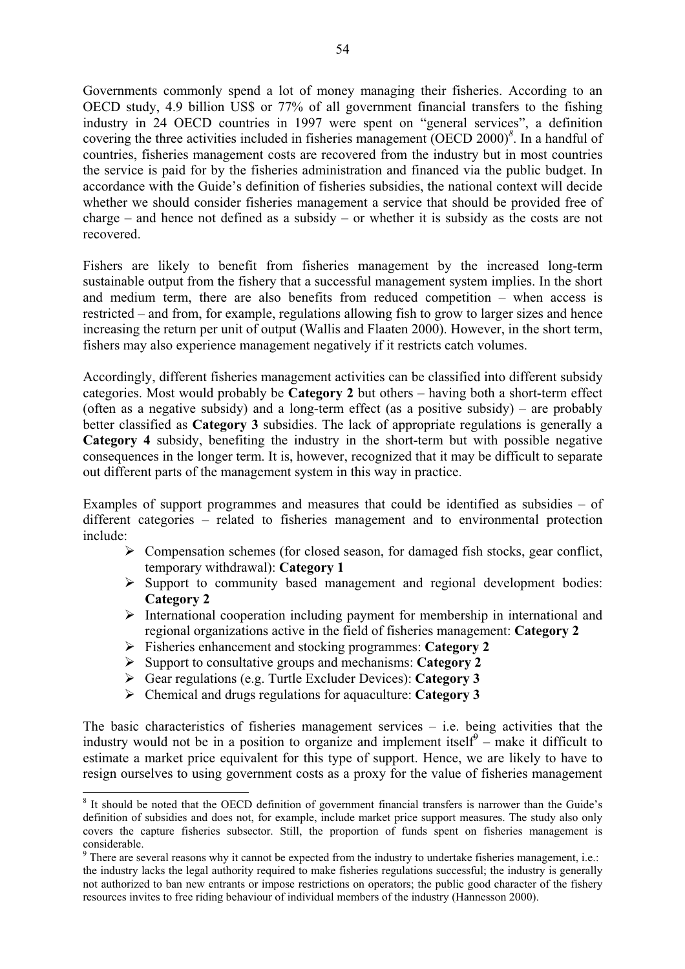Governments commonly spend a lot of money managing their fisheries. According to an OECD study, 4.9 billion US\$ or 77% of all government financial transfers to the fishing industry in 24 OECD countries in 1997 were spent on "general services", a definition covering the three activities included in fisheries management (OECD 2000)*<sup>8</sup>* . In a handful of countries, fisheries management costs are recovered from the industry but in most countries the service is paid for by the fisheries administration and financed via the public budget. In accordance with the Guide's definition of fisheries subsidies, the national context will decide whether we should consider fisheries management a service that should be provided free of charge – and hence not defined as a subsidy – or whether it is subsidy as the costs are not recovered.

Fishers are likely to benefit from fisheries management by the increased long-term sustainable output from the fishery that a successful management system implies. In the short and medium term, there are also benefits from reduced competition – when access is restricted – and from, for example, regulations allowing fish to grow to larger sizes and hence increasing the return per unit of output (Wallis and Flaaten 2000). However, in the short term, fishers may also experience management negatively if it restricts catch volumes.

Accordingly, different fisheries management activities can be classified into different subsidy categories. Most would probably be **Category 2** but others – having both a short-term effect (often as a negative subsidy) and a long-term effect (as a positive subsidy) – are probably better classified as **Category 3** subsidies. The lack of appropriate regulations is generally a **Category 4** subsidy, benefiting the industry in the short-term but with possible negative consequences in the longer term. It is, however, recognized that it may be difficult to separate out different parts of the management system in this way in practice.

Examples of support programmes and measures that could be identified as subsidies – of different categories – related to fisheries management and to environmental protection include:

- $\triangleright$  Compensation schemes (for closed season, for damaged fish stocks, gear conflict, temporary withdrawal): **Category 1**
- ¾ Support to community based management and regional development bodies: **Category 2**
- $\triangleright$  International cooperation including payment for membership in international and regional organizations active in the field of fisheries management: **Category 2**
- ¾ Fisheries enhancement and stocking programmes: **Category 2**
- ¾ Support to consultative groups and mechanisms: **Category 2**
- ¾ Gear regulations (e.g. Turtle Excluder Devices): **Category 3**
- ¾ Chemical and drugs regulations for aquaculture: **Category 3**

 $\overline{a}$ 

The basic characteristics of fisheries management services  $-$  i.e. being activities that the industry would not be in a position to organize and implement itself<sup> $\theta$ </sup> – make it difficult to estimate a market price equivalent for this type of support. Hence, we are likely to have to resign ourselves to using government costs as a proxy for the value of fisheries management

<sup>&</sup>lt;sup>8</sup> It should be noted that the OECD definition of government financial transfers is narrower than the Guide's definition of subsidies and does not, for example, include market price support measures. The study also only covers the capture fisheries subsector. Still, the proportion of funds spent on fisheries management is

considerable.<br><sup>9</sup> There are several reasons why it cannot be expected from the industry to undertake fisheries management, i.e.: the industry lacks the legal authority required to make fisheries regulations successful; the industry is generally not authorized to ban new entrants or impose restrictions on operators; the public good character of the fishery resources invites to free riding behaviour of individual members of the industry (Hannesson 2000).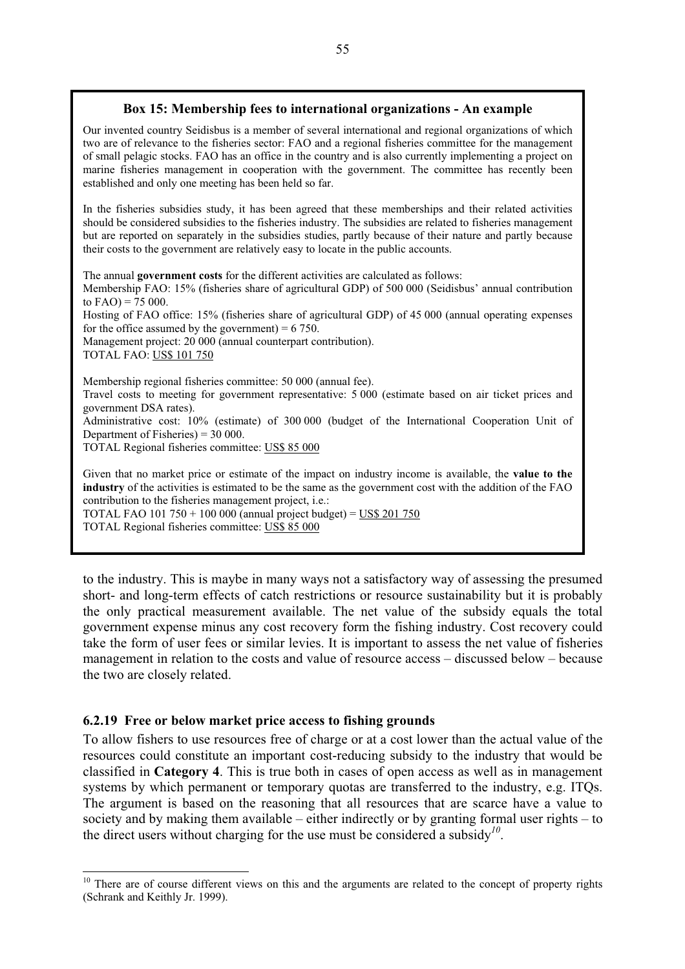### **Box 15: Membership fees to international organizations - An example**

Our invented country Seidisbus is a member of several international and regional organizations of which two are of relevance to the fisheries sector: FAO and a regional fisheries committee for the management of small pelagic stocks. FAO has an office in the country and is also currently implementing a project on marine fisheries management in cooperation with the government. The committee has recently been established and only one meeting has been held so far.

In the fisheries subsidies study, it has been agreed that these memberships and their related activities should be considered subsidies to the fisheries industry. The subsidies are related to fisheries management but are reported on separately in the subsidies studies, partly because of their nature and partly because their costs to the government are relatively easy to locate in the public accounts.

The annual **government costs** for the different activities are calculated as follows:

Membership FAO: 15% (fisheries share of agricultural GDP) of 500 000 (Seidisbus' annual contribution to  $FAO$ ) = 75 000.

Hosting of FAO office: 15% (fisheries share of agricultural GDP) of 45 000 (annual operating expenses for the office assumed by the government) =  $6750$ .

Management project: 20 000 (annual counterpart contribution).

TOTAL FAO: US\$ 101 750

 $\overline{a}$ 

Membership regional fisheries committee: 50 000 (annual fee). Travel costs to meeting for government representative: 5 000 (estimate based on air ticket prices and government DSA rates). Administrative cost: 10% (estimate) of 300 000 (budget of the International Cooperation Unit of Department of Fisheries) = 30 000. TOTAL Regional fisheries committee: US\$ 85 000

Given that no market price or estimate of the impact on industry income is available, the **value to the industry** of the activities is estimated to be the same as the government cost with the addition of the FAO contribution to the fisheries management project, i.e.: TOTAL FAO 101 750 + 100 000 (annual project budget) = US\$ 201 750

TOTAL Regional fisheries committee: US\$ 85 000

to the industry. This is maybe in many ways not a satisfactory way of assessing the presumed short- and long-term effects of catch restrictions or resource sustainability but it is probably the only practical measurement available. The net value of the subsidy equals the total government expense minus any cost recovery form the fishing industry. Cost recovery could take the form of user fees or similar levies. It is important to assess the net value of fisheries management in relation to the costs and value of resource access – discussed below – because the two are closely related.

### **6.2.19 Free or below market price access to fishing grounds**

To allow fishers to use resources free of charge or at a cost lower than the actual value of the resources could constitute an important cost-reducing subsidy to the industry that would be classified in **Category 4**. This is true both in cases of open access as well as in management systems by which permanent or temporary quotas are transferred to the industry, e.g. ITQs. The argument is based on the reasoning that all resources that are scarce have a value to society and by making them available – either indirectly or by granting formal user rights – to the direct users without charging for the use must be considered a subsidy*<sup>10</sup>*.

<sup>&</sup>lt;sup>10</sup> There are of course different views on this and the arguments are related to the concept of property rights (Schrank and Keithly Jr. 1999).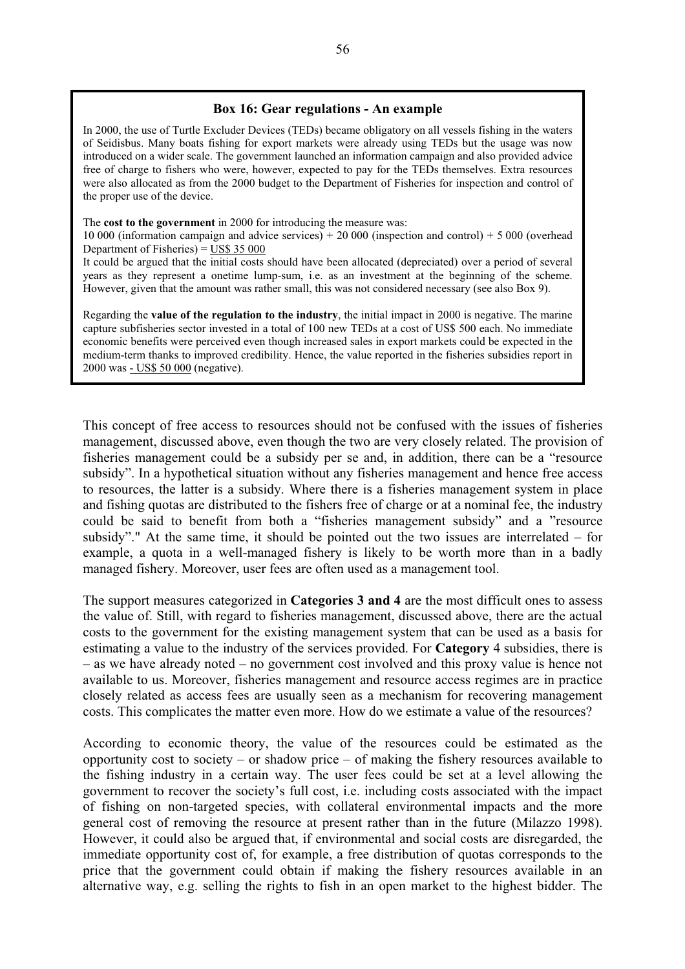#### **Box 16: Gear regulations - An example**

In 2000, the use of Turtle Excluder Devices (TEDs) became obligatory on all vessels fishing in the waters of Seidisbus. Many boats fishing for export markets were already using TEDs but the usage was now introduced on a wider scale. The government launched an information campaign and also provided advice free of charge to fishers who were, however, expected to pay for the TEDs themselves. Extra resources were also allocated as from the 2000 budget to the Department of Fisheries for inspection and control of the proper use of the device.

The **cost to the government** in 2000 for introducing the measure was:

10 000 (information campaign and advice services) + 20 000 (inspection and control) + 5 000 (overhead Department of Fisheries) = US\$ 35 000

It could be argued that the initial costs should have been allocated (depreciated) over a period of several years as they represent a onetime lump-sum, i.e. as an investment at the beginning of the scheme. However, given that the amount was rather small, this was not considered necessary (see also Box 9).

Regarding the **value of the regulation to the industry**, the initial impact in 2000 is negative. The marine capture subfisheries sector invested in a total of 100 new TEDs at a cost of US\$ 500 each. No immediate economic benefits were perceived even though increased sales in export markets could be expected in the medium-term thanks to improved credibility. Hence, the value reported in the fisheries subsidies report in 2000 was - US\$ 50 000 (negative).

This concept of free access to resources should not be confused with the issues of fisheries management, discussed above, even though the two are very closely related. The provision of fisheries management could be a subsidy per se and, in addition, there can be a "resource subsidy". In a hypothetical situation without any fisheries management and hence free access to resources, the latter is a subsidy. Where there is a fisheries management system in place and fishing quotas are distributed to the fishers free of charge or at a nominal fee, the industry could be said to benefit from both a "fisheries management subsidy" and a "resource subsidy"." At the same time, it should be pointed out the two issues are interrelated – for example, a quota in a well-managed fishery is likely to be worth more than in a badly managed fishery. Moreover, user fees are often used as a management tool.

The support measures categorized in **Categories 3 and 4** are the most difficult ones to assess the value of. Still, with regard to fisheries management, discussed above, there are the actual costs to the government for the existing management system that can be used as a basis for estimating a value to the industry of the services provided. For **Category** 4 subsidies, there is – as we have already noted – no government cost involved and this proxy value is hence not available to us. Moreover, fisheries management and resource access regimes are in practice closely related as access fees are usually seen as a mechanism for recovering management costs. This complicates the matter even more. How do we estimate a value of the resources?

According to economic theory, the value of the resources could be estimated as the opportunity cost to society – or shadow price – of making the fishery resources available to the fishing industry in a certain way. The user fees could be set at a level allowing the government to recover the society's full cost, i.e. including costs associated with the impact of fishing on non-targeted species, with collateral environmental impacts and the more general cost of removing the resource at present rather than in the future (Milazzo 1998). However, it could also be argued that, if environmental and social costs are disregarded, the immediate opportunity cost of, for example, a free distribution of quotas corresponds to the price that the government could obtain if making the fishery resources available in an alternative way, e.g. selling the rights to fish in an open market to the highest bidder. The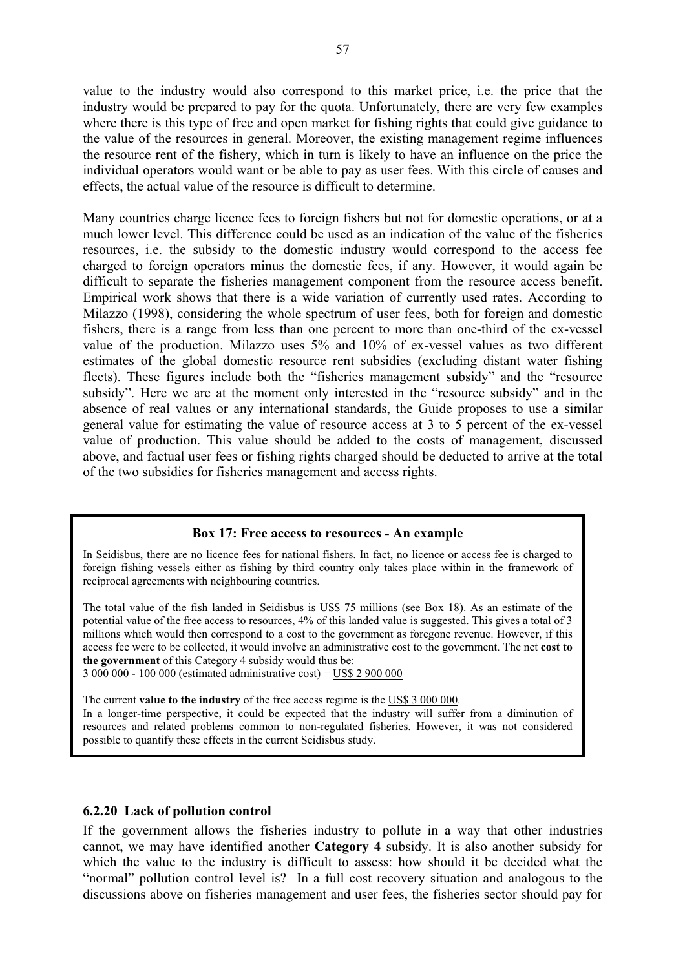value to the industry would also correspond to this market price, i.e. the price that the industry would be prepared to pay for the quota. Unfortunately, there are very few examples where there is this type of free and open market for fishing rights that could give guidance to the value of the resources in general. Moreover, the existing management regime influences the resource rent of the fishery, which in turn is likely to have an influence on the price the individual operators would want or be able to pay as user fees. With this circle of causes and effects, the actual value of the resource is difficult to determine.

Many countries charge licence fees to foreign fishers but not for domestic operations, or at a much lower level. This difference could be used as an indication of the value of the fisheries resources, i.e. the subsidy to the domestic industry would correspond to the access fee charged to foreign operators minus the domestic fees, if any. However, it would again be difficult to separate the fisheries management component from the resource access benefit. Empirical work shows that there is a wide variation of currently used rates. According to Milazzo (1998), considering the whole spectrum of user fees, both for foreign and domestic fishers, there is a range from less than one percent to more than one-third of the ex-vessel value of the production. Milazzo uses 5% and 10% of ex-vessel values as two different estimates of the global domestic resource rent subsidies (excluding distant water fishing fleets). These figures include both the "fisheries management subsidy" and the "resource subsidy". Here we are at the moment only interested in the "resource subsidy" and in the absence of real values or any international standards, the Guide proposes to use a similar general value for estimating the value of resource access at 3 to 5 percent of the ex-vessel value of production. This value should be added to the costs of management, discussed above, and factual user fees or fishing rights charged should be deducted to arrive at the total of the two subsidies for fisheries management and access rights.

#### **Box 17: Free access to resources - An example**

In Seidisbus, there are no licence fees for national fishers. In fact, no licence or access fee is charged to foreign fishing vessels either as fishing by third country only takes place within in the framework of reciprocal agreements with neighbouring countries.

The total value of the fish landed in Seidisbus is US\$ 75 millions (see Box 18). As an estimate of the potential value of the free access to resources, 4% of this landed value is suggested. This gives a total of 3 millions which would then correspond to a cost to the government as foregone revenue. However, if this access fee were to be collected, it would involve an administrative cost to the government. The net **cost to the government** of this Category 4 subsidy would thus be:

3 000 000 - 100 000 (estimated administrative cost) = US\$ 2 900 000

The current **value to the industry** of the free access regime is the US\$ 3 000 000. In a longer-time perspective, it could be expected that the industry will suffer from a diminution of resources and related problems common to non-regulated fisheries. However, it was not considered possible to quantify these effects in the current Seidisbus study.

### **6.2.20 Lack of pollution control**

If the government allows the fisheries industry to pollute in a way that other industries cannot, we may have identified another **Category 4** subsidy. It is also another subsidy for which the value to the industry is difficult to assess: how should it be decided what the "normal" pollution control level is? In a full cost recovery situation and analogous to the discussions above on fisheries management and user fees, the fisheries sector should pay for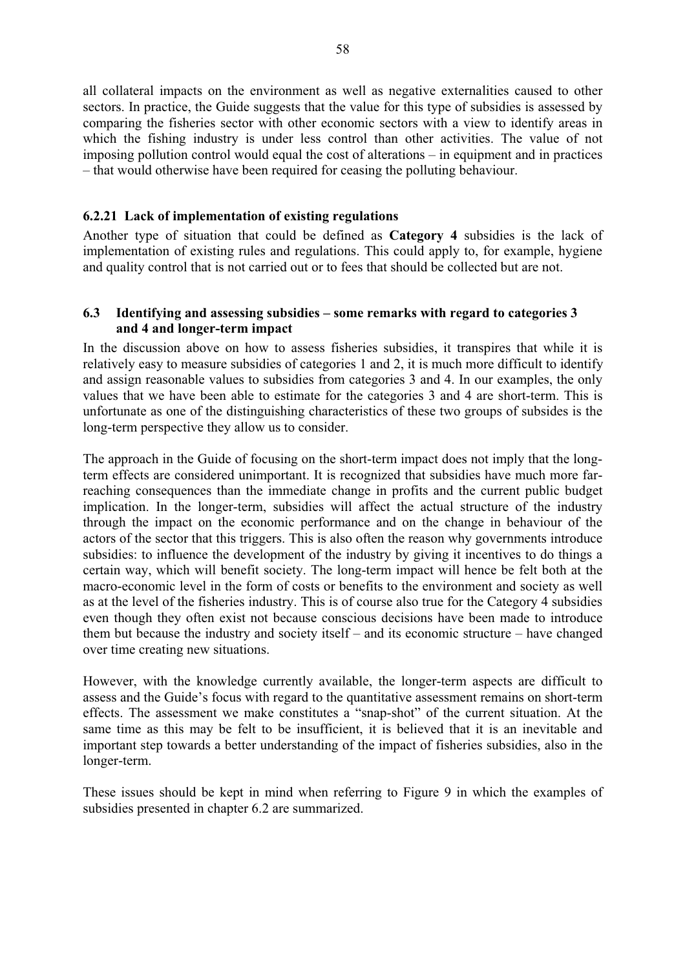all collateral impacts on the environment as well as negative externalities caused to other sectors. In practice, the Guide suggests that the value for this type of subsidies is assessed by comparing the fisheries sector with other economic sectors with a view to identify areas in which the fishing industry is under less control than other activities. The value of not imposing pollution control would equal the cost of alterations – in equipment and in practices – that would otherwise have been required for ceasing the polluting behaviour.

### **6.2.21 Lack of implementation of existing regulations**

Another type of situation that could be defined as **Category 4** subsidies is the lack of implementation of existing rules and regulations. This could apply to, for example, hygiene and quality control that is not carried out or to fees that should be collected but are not.

### **6.3 Identifying and assessing subsidies – some remarks with regard to categories 3 and 4 and longer-term impact**

In the discussion above on how to assess fisheries subsidies, it transpires that while it is relatively easy to measure subsidies of categories 1 and 2, it is much more difficult to identify and assign reasonable values to subsidies from categories 3 and 4. In our examples, the only values that we have been able to estimate for the categories 3 and 4 are short-term. This is unfortunate as one of the distinguishing characteristics of these two groups of subsides is the long-term perspective they allow us to consider.

The approach in the Guide of focusing on the short-term impact does not imply that the longterm effects are considered unimportant. It is recognized that subsidies have much more farreaching consequences than the immediate change in profits and the current public budget implication. In the longer-term, subsidies will affect the actual structure of the industry through the impact on the economic performance and on the change in behaviour of the actors of the sector that this triggers. This is also often the reason why governments introduce subsidies: to influence the development of the industry by giving it incentives to do things a certain way, which will benefit society. The long-term impact will hence be felt both at the macro-economic level in the form of costs or benefits to the environment and society as well as at the level of the fisheries industry. This is of course also true for the Category 4 subsidies even though they often exist not because conscious decisions have been made to introduce them but because the industry and society itself – and its economic structure – have changed over time creating new situations.

However, with the knowledge currently available, the longer-term aspects are difficult to assess and the Guide's focus with regard to the quantitative assessment remains on short-term effects. The assessment we make constitutes a "snap-shot" of the current situation. At the same time as this may be felt to be insufficient, it is believed that it is an inevitable and important step towards a better understanding of the impact of fisheries subsidies, also in the longer-term.

These issues should be kept in mind when referring to Figure 9 in which the examples of subsidies presented in chapter 6.2 are summarized.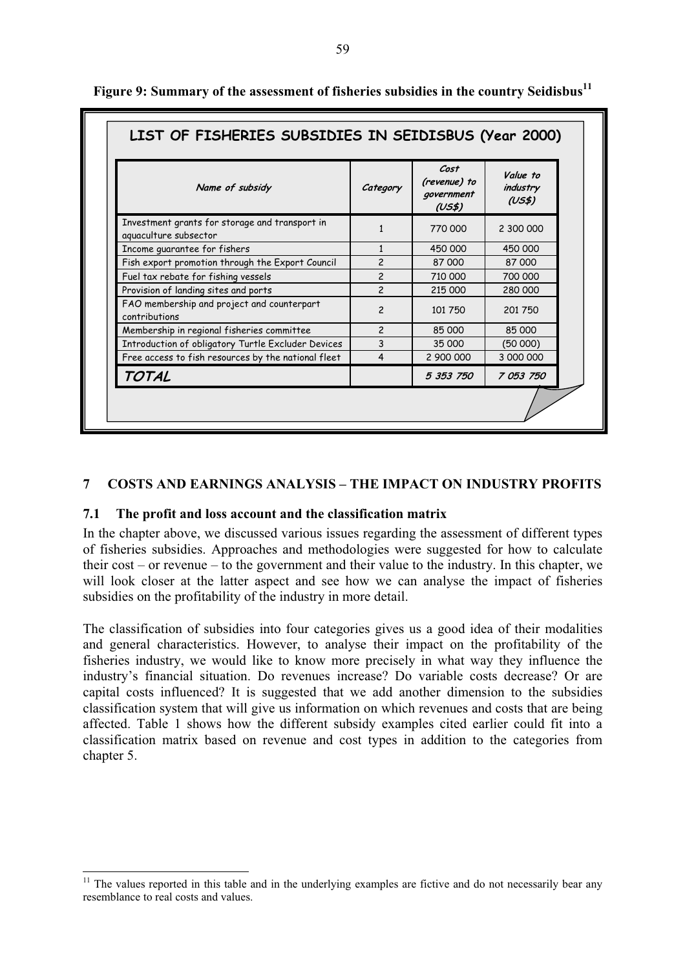| Name of subsidy                                                         | Category       | Cost<br>(revenue) to<br>government<br>(US\$) | Value to<br>industry<br>(US\$) |
|-------------------------------------------------------------------------|----------------|----------------------------------------------|--------------------------------|
| Investment grants for storage and transport in<br>aquaculture subsector | 1              | 770 000                                      | 2 300 000                      |
| Income guarantee for fishers                                            |                | 450 000                                      | 450 000                        |
| Fish export promotion through the Export Council                        | $\overline{c}$ | 87 000                                       | 87 000                         |
| Fuel tax rebate for fishing vessels                                     | $\overline{c}$ | 710 000                                      | 700 000                        |
| Provision of landing sites and ports                                    | $\overline{c}$ | 215 000                                      | 280 000                        |
| FAO membership and project and counterpart<br>contributions             | $\overline{c}$ | 101 750                                      | 201750                         |
| Membership in regional fisheries committee                              | $\overline{c}$ | 85 000                                       | 85 000                         |
| Introduction of obligatory Turtle Excluder Devices                      | 3              | 35 000                                       | (50000)                        |
| Free access to fish resources by the national fleet                     | 4              | 2 900 000                                    | 3 000 000                      |
| <b>TOTAL</b>                                                            |                | 5 353 750                                    | 7 053 750                      |

**Figure 9: Summary of the assessment of fisheries subsidies in the country Seidisbus<sup>11</sup>**

### **7 COSTS AND EARNINGS ANALYSIS – THE IMPACT ON INDUSTRY PROFITS**

#### **7.1 The profit and loss account and the classification matrix**

 $\overline{a}$ 

In the chapter above, we discussed various issues regarding the assessment of different types of fisheries subsidies. Approaches and methodologies were suggested for how to calculate their cost – or revenue – to the government and their value to the industry. In this chapter, we will look closer at the latter aspect and see how we can analyse the impact of fisheries subsidies on the profitability of the industry in more detail.

The classification of subsidies into four categories gives us a good idea of their modalities and general characteristics. However, to analyse their impact on the profitability of the fisheries industry, we would like to know more precisely in what way they influence the industry's financial situation. Do revenues increase? Do variable costs decrease? Or are capital costs influenced? It is suggested that we add another dimension to the subsidies classification system that will give us information on which revenues and costs that are being affected. Table 1 shows how the different subsidy examples cited earlier could fit into a classification matrix based on revenue and cost types in addition to the categories from chapter 5.

 $11$  The values reported in this table and in the underlying examples are fictive and do not necessarily bear any resemblance to real costs and values.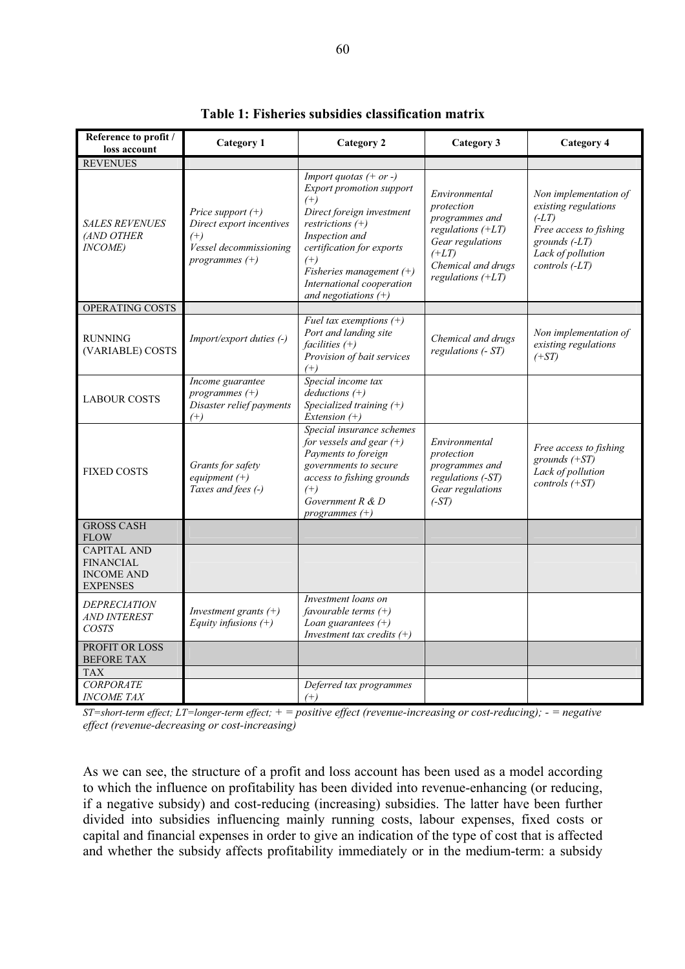| Reference to profit /<br>loss account                                          | <b>Category 1</b>                                                                                         | <b>Category 2</b>                                                                                                                                                                                                                                                          | Category 3                                                                                                                                       | Category 4                                                                                                                                       |
|--------------------------------------------------------------------------------|-----------------------------------------------------------------------------------------------------------|----------------------------------------------------------------------------------------------------------------------------------------------------------------------------------------------------------------------------------------------------------------------------|--------------------------------------------------------------------------------------------------------------------------------------------------|--------------------------------------------------------------------------------------------------------------------------------------------------|
| <b>REVENUES</b>                                                                |                                                                                                           |                                                                                                                                                                                                                                                                            |                                                                                                                                                  |                                                                                                                                                  |
| <b>SALES REVENUES</b><br>(AND OTHER<br><b>INCOME</b> )                         | Price support $(+)$<br>Direct export incentives<br>$^{(+)}$<br>Vessel decommissioning<br>programmes $(+)$ | Import quotas $(+ or -)$<br><b>Export promotion support</b><br>$^{(+)}$<br>Direct foreign investment<br>restrictions $(+)$<br>Inspection and<br>certification for exports<br>$^{(+)}$<br>Fisheries management $(+)$<br>International cooperation<br>and negotiations $(+)$ | Environmental<br>protection<br>programmes and<br>regulations $(+LT)$<br>Gear regulations<br>$(+LT)$<br>Chemical and drugs<br>regulations $(+LT)$ | Non implementation of<br>existing regulations<br>$(-LT)$<br>Free access to fishing<br>grounds $(-LT)$<br>Lack of pollution<br>$controls$ $(-LT)$ |
| OPERATING COSTS                                                                |                                                                                                           |                                                                                                                                                                                                                                                                            |                                                                                                                                                  |                                                                                                                                                  |
| <b>RUNNING</b><br>(VARIABLE) COSTS                                             | Import/export duties (-)                                                                                  | Fuel tax exemptions $(+)$<br>Port and landing site<br>facilities $(+)$<br>Provision of bait services<br>$^{(+)}$                                                                                                                                                           | Chemical and drugs<br>regulations (- ST)                                                                                                         | Non implementation of<br>existing regulations<br>$(+ST)$                                                                                         |
| <b>LABOUR COSTS</b>                                                            | Income guarantee<br>programmes $(+)$<br>Disaster relief payments<br>$^{(+)}$                              | Special income tax<br>$deductions (+)$<br>Specialized training $(+)$<br>Extension $(+)$                                                                                                                                                                                    |                                                                                                                                                  |                                                                                                                                                  |
| <b>FIXED COSTS</b>                                                             | Grants for safety<br>equipment $(+)$<br>Taxes and fees (-)                                                | Special insurance schemes<br>for vessels and gear $(+)$<br>Payments to foreign<br>governments to secure<br>access to fishing grounds<br>$^{(+)}$<br>Government $R \& D$<br>programmes $(+)$                                                                                | Environmental<br>protection<br>programmes and<br>regulations (-ST)<br>Gear regulations<br>$(-ST)$                                                | Free access to fishing<br>grounds $(+ST)$<br>Lack of pollution<br>controls $(+ST)$                                                               |
| <b>GROSS CASH</b><br><b>FLOW</b>                                               |                                                                                                           |                                                                                                                                                                                                                                                                            |                                                                                                                                                  |                                                                                                                                                  |
| <b>CAPITAL AND</b><br><b>FINANCIAL</b><br><b>INCOME AND</b><br><b>EXPENSES</b> |                                                                                                           |                                                                                                                                                                                                                                                                            |                                                                                                                                                  |                                                                                                                                                  |
| <b>DEPRECIATION</b><br><b>AND INTEREST</b><br><b>COSTS</b>                     | Investment grants $(+)$<br>Equity infusions $(+)$                                                         | Investment loans on<br>favourable terms $(+)$<br>Loan guarantees $(+)$<br>Investment tax credits $(+)$                                                                                                                                                                     |                                                                                                                                                  |                                                                                                                                                  |
| PROFIT OR LOSS<br><b>BEFORE TAX</b><br><b>TAX</b>                              |                                                                                                           |                                                                                                                                                                                                                                                                            |                                                                                                                                                  |                                                                                                                                                  |
| <b>CORPORATE</b><br><b>INCOME TAX</b>                                          |                                                                                                           | Deferred tax programmes<br>$^{(+)}$                                                                                                                                                                                                                                        |                                                                                                                                                  |                                                                                                                                                  |

**Table 1: Fisheries subsidies classification matrix** 

*ST=short-term effect; LT=longer-term effect; + = positive effect (revenue-increasing or cost-reducing); - = negative effect (revenue-decreasing or cost-increasing)* 

As we can see, the structure of a profit and loss account has been used as a model according to which the influence on profitability has been divided into revenue-enhancing (or reducing, if a negative subsidy) and cost-reducing (increasing) subsidies. The latter have been further divided into subsidies influencing mainly running costs, labour expenses, fixed costs or capital and financial expenses in order to give an indication of the type of cost that is affected and whether the subsidy affects profitability immediately or in the medium-term: a subsidy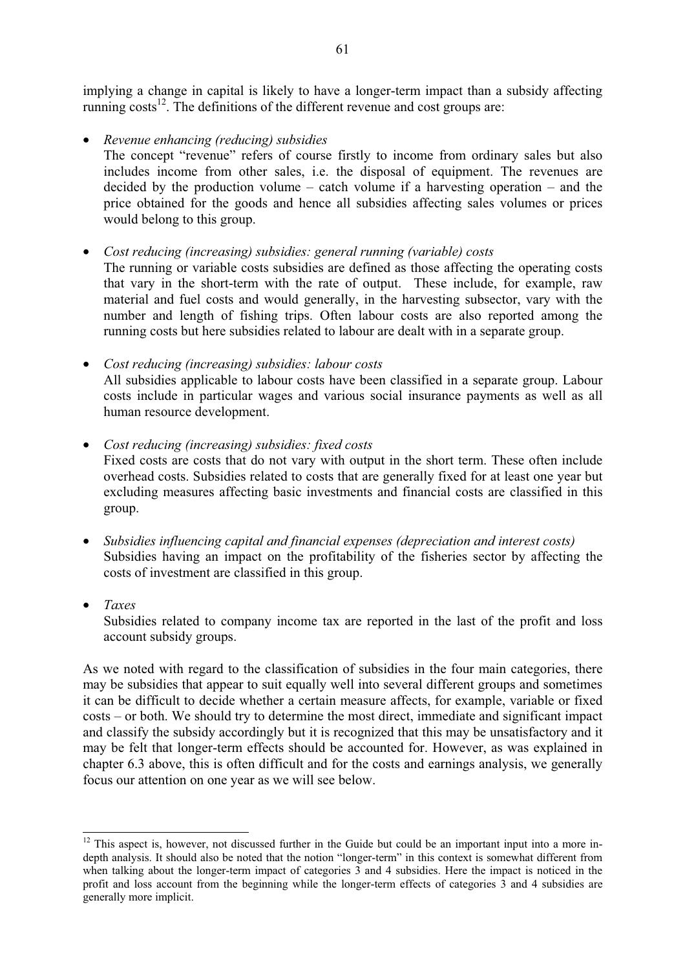implying a change in capital is likely to have a longer-term impact than a subsidy affecting running  $\cos^{-12}$ . The definitions of the different revenue and cost groups are:

• *Revenue enhancing (reducing) subsidies* 

The concept "revenue" refers of course firstly to income from ordinary sales but also includes income from other sales, i.e. the disposal of equipment. The revenues are decided by the production volume – catch volume if a harvesting operation – and the price obtained for the goods and hence all subsidies affecting sales volumes or prices would belong to this group.

• *Cost reducing (increasing) subsidies: general running (variable) costs* 

The running or variable costs subsidies are defined as those affecting the operating costs that vary in the short-term with the rate of output. These include, for example, raw material and fuel costs and would generally, in the harvesting subsector, vary with the number and length of fishing trips. Often labour costs are also reported among the running costs but here subsidies related to labour are dealt with in a separate group.

- *Cost reducing (increasing) subsidies: labour costs*  All subsidies applicable to labour costs have been classified in a separate group. Labour costs include in particular wages and various social insurance payments as well as all human resource development.
- *Cost reducing (increasing) subsidies: fixed costs*  Fixed costs are costs that do not vary with output in the short term. These often include overhead costs. Subsidies related to costs that are generally fixed for at least one year but excluding measures affecting basic investments and financial costs are classified in this group.
- *Subsidies influencing capital and financial expenses (depreciation and interest costs)*  Subsidies having an impact on the profitability of the fisheries sector by affecting the costs of investment are classified in this group.
- *Taxes*

 $\overline{a}$ 

Subsidies related to company income tax are reported in the last of the profit and loss account subsidy groups.

As we noted with regard to the classification of subsidies in the four main categories, there may be subsidies that appear to suit equally well into several different groups and sometimes it can be difficult to decide whether a certain measure affects, for example, variable or fixed costs – or both. We should try to determine the most direct, immediate and significant impact and classify the subsidy accordingly but it is recognized that this may be unsatisfactory and it may be felt that longer-term effects should be accounted for. However, as was explained in chapter 6.3 above, this is often difficult and for the costs and earnings analysis, we generally focus our attention on one year as we will see below.

 $12$  This aspect is, however, not discussed further in the Guide but could be an important input into a more indepth analysis. It should also be noted that the notion "longer-term" in this context is somewhat different from when talking about the longer-term impact of categories  $\overline{3}$  and 4 subsidies. Here the impact is noticed in the profit and loss account from the beginning while the longer-term effects of categories 3 and 4 subsidies are generally more implicit.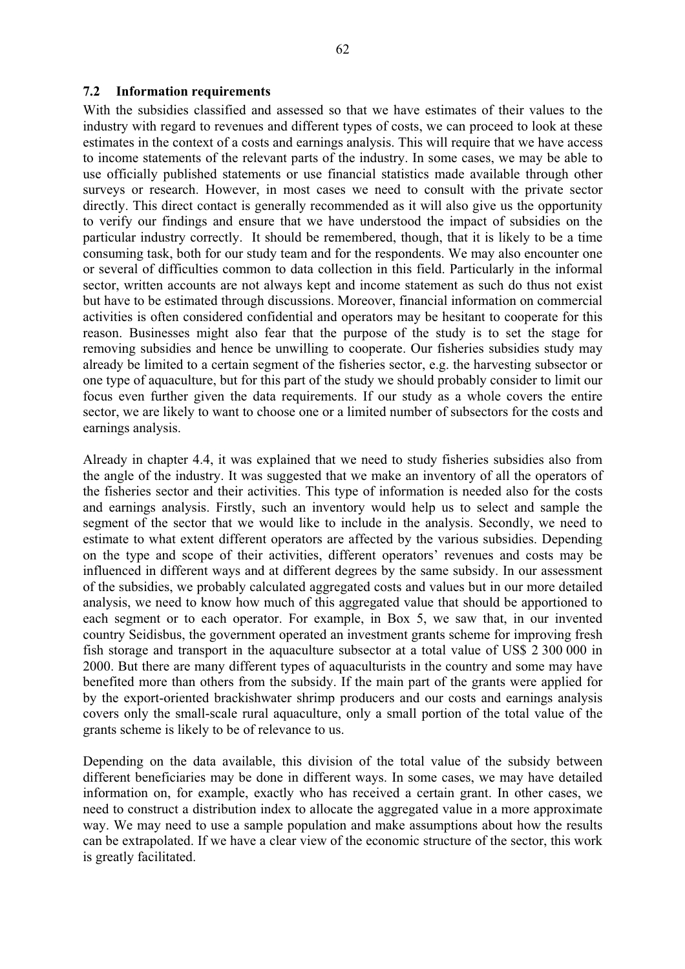#### **7.2 Information requirements**

With the subsidies classified and assessed so that we have estimates of their values to the industry with regard to revenues and different types of costs, we can proceed to look at these estimates in the context of a costs and earnings analysis. This will require that we have access to income statements of the relevant parts of the industry. In some cases, we may be able to use officially published statements or use financial statistics made available through other surveys or research. However, in most cases we need to consult with the private sector directly. This direct contact is generally recommended as it will also give us the opportunity to verify our findings and ensure that we have understood the impact of subsidies on the particular industry correctly. It should be remembered, though, that it is likely to be a time consuming task, both for our study team and for the respondents. We may also encounter one or several of difficulties common to data collection in this field. Particularly in the informal sector, written accounts are not always kept and income statement as such do thus not exist but have to be estimated through discussions. Moreover, financial information on commercial activities is often considered confidential and operators may be hesitant to cooperate for this reason. Businesses might also fear that the purpose of the study is to set the stage for removing subsidies and hence be unwilling to cooperate. Our fisheries subsidies study may already be limited to a certain segment of the fisheries sector, e.g. the harvesting subsector or one type of aquaculture, but for this part of the study we should probably consider to limit our focus even further given the data requirements. If our study as a whole covers the entire sector, we are likely to want to choose one or a limited number of subsectors for the costs and earnings analysis.

Already in chapter 4.4, it was explained that we need to study fisheries subsidies also from the angle of the industry. It was suggested that we make an inventory of all the operators of the fisheries sector and their activities. This type of information is needed also for the costs and earnings analysis. Firstly, such an inventory would help us to select and sample the segment of the sector that we would like to include in the analysis. Secondly, we need to estimate to what extent different operators are affected by the various subsidies. Depending on the type and scope of their activities, different operators' revenues and costs may be influenced in different ways and at different degrees by the same subsidy. In our assessment of the subsidies, we probably calculated aggregated costs and values but in our more detailed analysis, we need to know how much of this aggregated value that should be apportioned to each segment or to each operator. For example, in Box 5, we saw that, in our invented country Seidisbus, the government operated an investment grants scheme for improving fresh fish storage and transport in the aquaculture subsector at a total value of US\$ 2 300 000 in 2000. But there are many different types of aquaculturists in the country and some may have benefited more than others from the subsidy. If the main part of the grants were applied for by the export-oriented brackishwater shrimp producers and our costs and earnings analysis covers only the small-scale rural aquaculture, only a small portion of the total value of the grants scheme is likely to be of relevance to us.

Depending on the data available, this division of the total value of the subsidy between different beneficiaries may be done in different ways. In some cases, we may have detailed information on, for example, exactly who has received a certain grant. In other cases, we need to construct a distribution index to allocate the aggregated value in a more approximate way. We may need to use a sample population and make assumptions about how the results can be extrapolated. If we have a clear view of the economic structure of the sector, this work is greatly facilitated.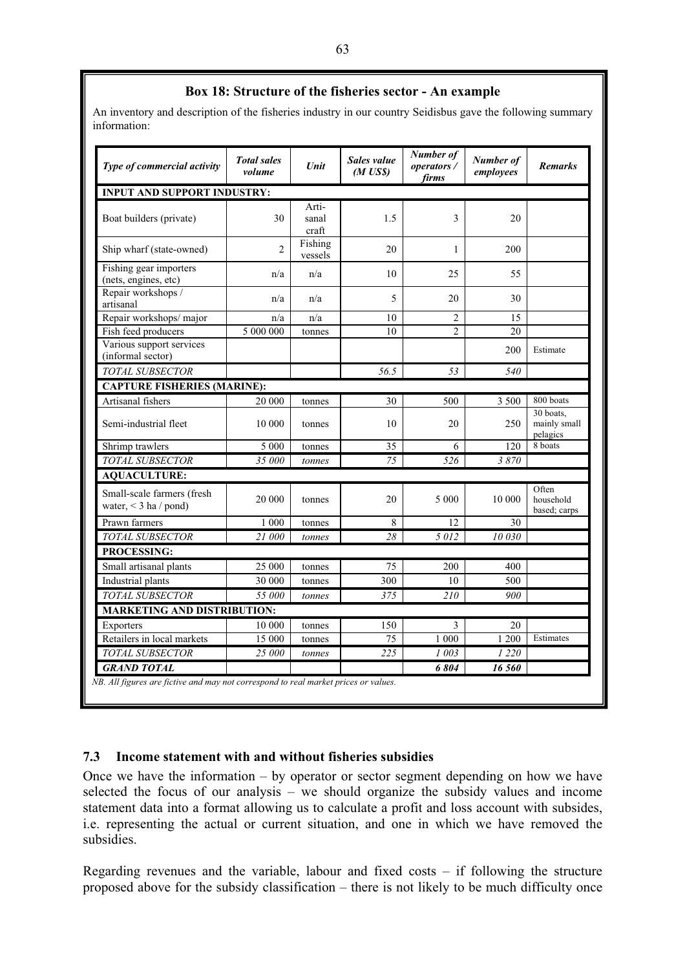# **Box 18: Structure of the fisheries sector - An example**

An inventory and description of the fisheries industry in our country Seidisbus gave the following summary information:

| Type of commercial activity                           | <b>Total sales</b><br>volume | <b>Unit</b>             | Sales value<br>$(M$ US\$) | <b>Number of</b><br>operators/<br>firms | Number of<br>employees | <b>Remarks</b>                        |
|-------------------------------------------------------|------------------------------|-------------------------|---------------------------|-----------------------------------------|------------------------|---------------------------------------|
| <b>INPUT AND SUPPORT INDUSTRY:</b>                    |                              |                         |                           |                                         |                        |                                       |
| Boat builders (private)                               | 30                           | Arti-<br>sanal<br>craft | 1.5                       | 3                                       | 20                     |                                       |
| Ship wharf (state-owned)                              | $\overline{2}$               | Fishing<br>vessels      | 20                        | 1                                       | 200                    |                                       |
| Fishing gear importers<br>(nets, engines, etc)        | n/a                          | n/a                     | 10                        | 25                                      | 55                     |                                       |
| Repair workshops /<br>artisanal                       | n/a                          | n/a                     | 5                         | 20                                      | 30                     |                                       |
| Repair workshops/major                                | n/a                          | n/a                     | 10                        | $\overline{2}$                          | 15                     |                                       |
| Fish feed producers                                   | 5 000 000                    | tonnes                  | 10                        | $\overline{2}$                          | 20                     |                                       |
| Various support services<br>(informal sector)         |                              |                         |                           |                                         | 200                    | Estimate                              |
| TOTAL SUBSECTOR                                       |                              |                         | 56.5                      | 53                                      | 540                    |                                       |
| <b>CAPTURE FISHERIES (MARINE):</b>                    |                              |                         |                           |                                         |                        |                                       |
| Artisanal fishers                                     | 20 000                       | tonnes                  | 30                        | 500                                     | 3 500                  | 800 boats                             |
| Semi-industrial fleet                                 | 10 000                       | tonnes                  | 10                        | 20                                      | 250                    | 30 boats.<br>mainly small<br>pelagics |
| Shrimp trawlers                                       | 5 0 0 0                      | tonnes                  | 35                        | 6                                       | 120                    | 8 boats                               |
| TOTAL SUBSECTOR                                       | 35 000                       | tonnes                  | 75                        | 526                                     | 3870                   |                                       |
| <b>AQUACULTURE:</b>                                   |                              |                         |                           |                                         |                        |                                       |
| Small-scale farmers (fresh<br>water, $<$ 3 ha / pond) | 20 000                       | tonnes                  | 20                        | 5 000                                   | 10 000                 | Often<br>household<br>based; carps    |
| Prawn farmers                                         | 1 000                        | tonnes                  | 8                         | 12                                      | 30                     |                                       |
| TOTAL SUBSECTOR                                       | 21 000                       | tonnes                  | 28                        | 5012                                    | 10 030                 |                                       |
| <b>PROCESSING:</b>                                    |                              |                         |                           |                                         |                        |                                       |
| Small artisanal plants                                | 25 000                       | tonnes                  | 75                        | 200                                     | 400                    |                                       |
| Industrial plants                                     | 30 000                       | tonnes                  | 300                       | 10                                      | 500                    |                                       |
| <b>TOTAL SUBSECTOR</b>                                | 55 000                       | tonnes                  | 375                       | 210                                     | 900                    |                                       |
| <b>MARKETING AND DISTRIBUTION:</b>                    |                              |                         |                           |                                         |                        |                                       |
| Exporters                                             | 10 000                       | tonnes                  | 150                       | 3                                       | 20                     |                                       |
| Retailers in local markets                            | 15 000                       | tonnes                  | 75                        | 1 000                                   | 1 200                  | Estimates                             |
| TOTAL SUBSECTOR                                       | 25 000                       | tonnes                  | 225                       | 1 003                                   | 1 2 2 0                |                                       |
| <b>GRAND TOTAL</b>                                    |                              |                         |                           | 6804                                    | 16 560                 |                                       |

### **7.3 Income statement with and without fisheries subsidies**

Once we have the information – by operator or sector segment depending on how we have selected the focus of our analysis – we should organize the subsidy values and income statement data into a format allowing us to calculate a profit and loss account with subsides, i.e. representing the actual or current situation, and one in which we have removed the subsidies.

Regarding revenues and the variable, labour and fixed costs – if following the structure proposed above for the subsidy classification – there is not likely to be much difficulty once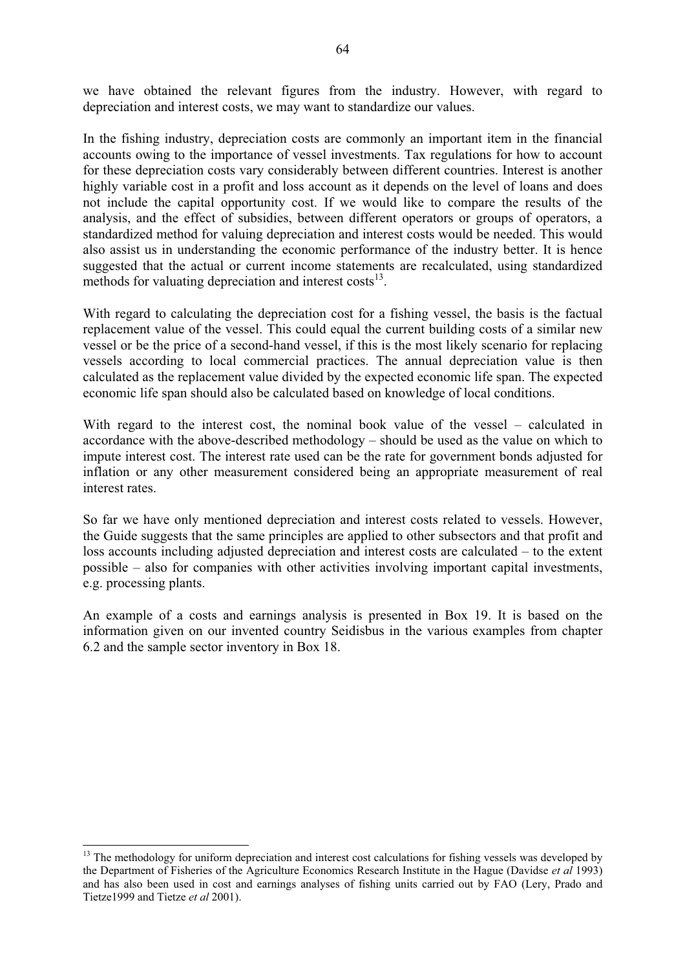we have obtained the relevant figures from the industry. However, with regard to depreciation and interest costs, we may want to standardize our values.

In the fishing industry, depreciation costs are commonly an important item in the financial accounts owing to the importance of vessel investments. Tax regulations for how to account for these depreciation costs vary considerably between different countries. Interest is another highly variable cost in a profit and loss account as it depends on the level of loans and does not include the capital opportunity cost. If we would like to compare the results of the analysis, and the effect of subsidies, between different operators or groups of operators, a standardized method for valuing depreciation and interest costs would be needed. This would also assist us in understanding the economic performance of the industry better. It is hence suggested that the actual or current income statements are recalculated, using standardized methods for valuating depreciation and interest  $costs<sup>13</sup>$ .

With regard to calculating the depreciation cost for a fishing vessel, the basis is the factual replacement value of the vessel. This could equal the current building costs of a similar new vessel or be the price of a second-hand vessel, if this is the most likely scenario for replacing vessels according to local commercial practices. The annual depreciation value is then calculated as the replacement value divided by the expected economic life span. The expected economic life span should also be calculated based on knowledge of local conditions.

With regard to the interest cost, the nominal book value of the vessel – calculated in accordance with the above-described methodology – should be used as the value on which to impute interest cost. The interest rate used can be the rate for government bonds adjusted for inflation or any other measurement considered being an appropriate measurement of real interest rates.

So far we have only mentioned depreciation and interest costs related to vessels. However, the Guide suggests that the same principles are applied to other subsectors and that profit and loss accounts including adjusted depreciation and interest costs are calculated – to the extent possible – also for companies with other activities involving important capital investments, e.g. processing plants.

An example of a costs and earnings analysis is presented in Box 19. It is based on the information given on our invented country Seidisbus in the various examples from chapter 6.2 and the sample sector inventory in Box 18.

 $\overline{a}$ 

<sup>&</sup>lt;sup>13</sup> The methodology for uniform depreciation and interest cost calculations for fishing vessels was developed by the Department of Fisheries of the Agriculture Economics Research Institute in the Hague (Davidse *et al* 1993) and has also been used in cost and earnings analyses of fishing units carried out by FAO (Lery, Prado and Tietze1999 and Tietze *et al* 2001).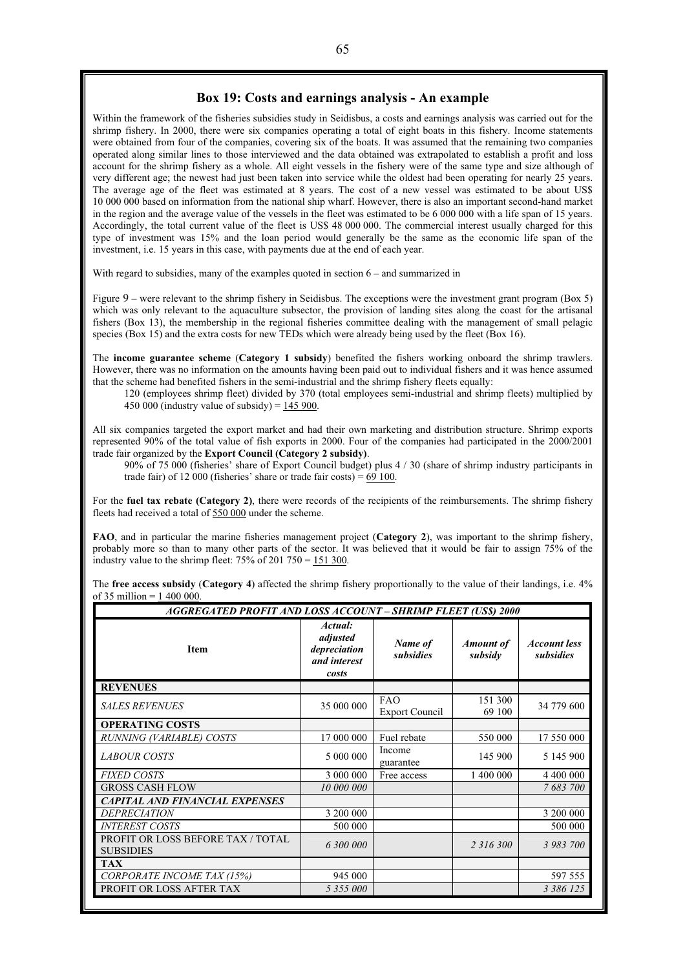#### **Box 19: Costs and earnings analysis - An example**

Within the framework of the fisheries subsidies study in Seidisbus, a costs and earnings analysis was carried out for the shrimp fishery. In 2000, there were six companies operating a total of eight boats in this fishery. Income statements were obtained from four of the companies, covering six of the boats. It was assumed that the remaining two companies operated along similar lines to those interviewed and the data obtained was extrapolated to establish a profit and loss account for the shrimp fishery as a whole. All eight vessels in the fishery were of the same type and size although of very different age; the newest had just been taken into service while the oldest had been operating for nearly 25 years. The average age of the fleet was estimated at 8 years. The cost of a new vessel was estimated to be about US\$ 10 000 000 based on information from the national ship wharf. However, there is also an important second-hand market in the region and the average value of the vessels in the fleet was estimated to be 6 000 000 with a life span of 15 years. Accordingly, the total current value of the fleet is US\$ 48 000 000. The commercial interest usually charged for this type of investment was 15% and the loan period would generally be the same as the economic life span of the investment, i.e. 15 years in this case, with payments due at the end of each year.

With regard to subsidies, many of the examples quoted in section  $6 -$  and summarized in

Figure 9 – were relevant to the shrimp fishery in Seidisbus. The exceptions were the investment grant program (Box 5) which was only relevant to the aquaculture subsector, the provision of landing sites along the coast for the artisanal fishers (Box 13), the membership in the regional fisheries committee dealing with the management of small pelagic species (Box 15) and the extra costs for new TEDs which were already being used by the fleet (Box 16).

The **income guarantee scheme** (**Category 1 subsidy**) benefited the fishers working onboard the shrimp trawlers. However, there was no information on the amounts having been paid out to individual fishers and it was hence assumed that the scheme had benefited fishers in the semi-industrial and the shrimp fishery fleets equally:

120 (employees shrimp fleet) divided by 370 (total employees semi-industrial and shrimp fleets) multiplied by 450 000 (industry value of subsidy) =  $145\,900$ .

All six companies targeted the export market and had their own marketing and distribution structure. Shrimp exports represented 90% of the total value of fish exports in 2000. Four of the companies had participated in the 2000/2001 trade fair organized by the **Export Council (Category 2 subsidy)**.

90% of 75 000 (fisheries' share of Export Council budget) plus 4 / 30 (share of shrimp industry participants in trade fair) of  $12\,000$  (fisheries' share or trade fair costs) = 69 100.

For the **fuel tax rebate (Category 2)**, there were records of the recipients of the reimbursements. The shrimp fishery fleets had received a total of 550 000 under the scheme.

**FAO**, and in particular the marine fisheries management project (**Category 2**), was important to the shrimp fishery, probably more so than to many other parts of the sector. It was believed that it would be fair to assign 75% of the industry value to the shrimp fleet:  $75\%$  of 201  $750 = 151300$ .

The **free access subsidy** (**Category 4**) affected the shrimp fishery proportionally to the value of their landings, i.e. 4% of 35 million = 1 400 000.

| <b>AGGREGATED PROFIT AND LOSS ACCOUNT - SHRIMP FLEET (US\$) 2000</b> |                                                              |                              |                             |                                  |  |  |  |
|----------------------------------------------------------------------|--------------------------------------------------------------|------------------------------|-----------------------------|----------------------------------|--|--|--|
| <b>Item</b>                                                          | Actual:<br>adjusted<br>depreciation<br>and interest<br>costs | Name of<br>subsidies         | <b>Amount of</b><br>subsidy | <b>Account less</b><br>subsidies |  |  |  |
| <b>REVENUES</b>                                                      |                                                              |                              |                             |                                  |  |  |  |
| <b>SALES REVENUES</b>                                                | 35 000 000                                                   | FAO<br><b>Export Council</b> | 151 300<br>69 100           | 34 779 600                       |  |  |  |
| <b>OPERATING COSTS</b>                                               |                                                              |                              |                             |                                  |  |  |  |
| RUNNING (VARIABLE) COSTS                                             | 17 000 000                                                   | Fuel rebate                  | 550 000                     | 17 550 000                       |  |  |  |
| <b>LABOUR COSTS</b>                                                  | 5 000 000                                                    | Income<br>guarantee          | 145 900                     | 5 145 900                        |  |  |  |
| <b>FIXED COSTS</b>                                                   | 3 000 000                                                    | Free access                  | 1 400 000                   | 4 400 000                        |  |  |  |
| <b>GROSS CASH FLOW</b>                                               | 10 000 000                                                   |                              |                             | 7 683 700                        |  |  |  |
| <b>CAPITAL AND FINANCIAL EXPENSES</b>                                |                                                              |                              |                             |                                  |  |  |  |
| <i>DEPRECIATION</i>                                                  | 3 200 000                                                    |                              |                             | 3 200 000                        |  |  |  |
| <b>INTEREST COSTS</b>                                                | 500 000                                                      |                              |                             | 500 000                          |  |  |  |
| <b>PROFIT OR LOSS BEFORE TAX / TOTAL</b><br><b>SUBSIDIES</b>         | 6 300 000                                                    |                              | 2 3 1 6 3 0 0               | 3 983 700                        |  |  |  |
| <b>TAX</b>                                                           |                                                              |                              |                             |                                  |  |  |  |
| CORPORATE INCOME TAX (15%)                                           | 945 000                                                      |                              |                             | 597 555                          |  |  |  |
| PROFIT OR LOSS AFTER TAX                                             | 5 355 000                                                    |                              |                             | 3 386 125                        |  |  |  |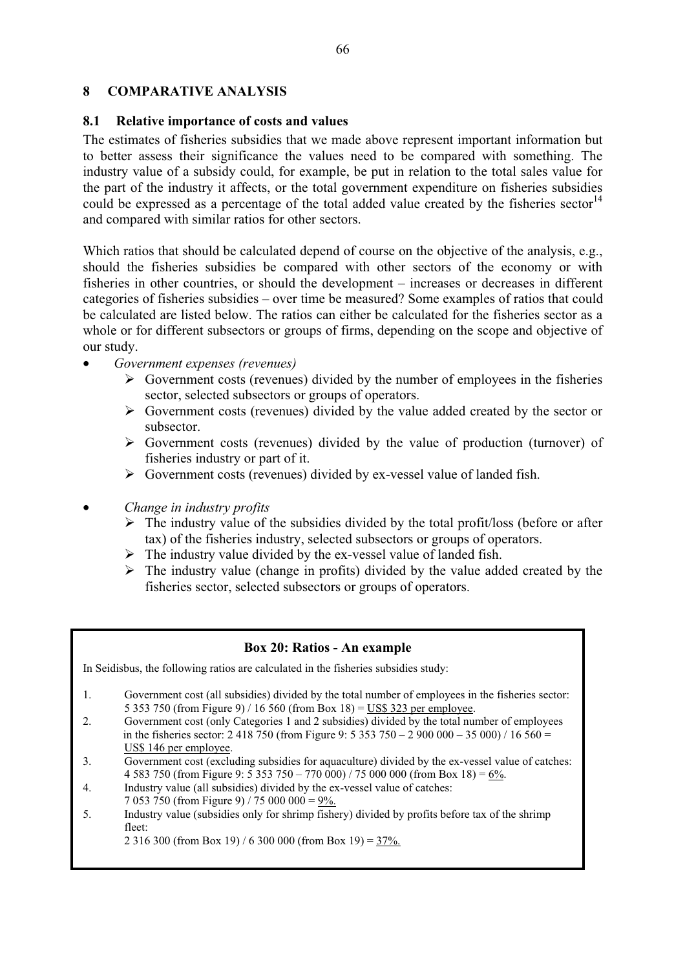# **8 COMPARATIVE ANALYSIS**

### **8.1 Relative importance of costs and values**

The estimates of fisheries subsidies that we made above represent important information but to better assess their significance the values need to be compared with something. The industry value of a subsidy could, for example, be put in relation to the total sales value for the part of the industry it affects, or the total government expenditure on fisheries subsidies could be expressed as a percentage of the total added value created by the fisheries sector<sup>14</sup> and compared with similar ratios for other sectors.

Which ratios that should be calculated depend of course on the objective of the analysis, e.g., should the fisheries subsidies be compared with other sectors of the economy or with fisheries in other countries, or should the development – increases or decreases in different categories of fisheries subsidies – over time be measured? Some examples of ratios that could be calculated are listed below. The ratios can either be calculated for the fisheries sector as a whole or for different subsectors or groups of firms, depending on the scope and objective of our study.

- *Government expenses (revenues)* 
	- $\triangleright$  Government costs (revenues) divided by the number of employees in the fisheries sector, selected subsectors or groups of operators.
	- $\triangleright$  Government costs (revenues) divided by the value added created by the sector or subsector.
	- $\triangleright$  Government costs (revenues) divided by the value of production (turnover) of fisheries industry or part of it.
	- $\triangleright$  Government costs (revenues) divided by ex-vessel value of landed fish.
- *Change in industry profits* 
	- $\triangleright$  The industry value of the subsidies divided by the total profit/loss (before or after tax) of the fisheries industry, selected subsectors or groups of operators.
	- $\triangleright$  The industry value divided by the ex-vessel value of landed fish.
	- $\triangleright$  The industry value (change in profits) divided by the value added created by the fisheries sector, selected subsectors or groups of operators.

### **Box 20: Ratios - An example**

In Seidisbus, the following ratios are calculated in the fisheries subsidies study:

- 1. Government cost (all subsidies) divided by the total number of employees in the fisheries sector: 5 353 750 (from Figure 9) / 16 560 (from Box 18) = US\$ 323 per employee.
- 2. Government cost (only Categories 1 and 2 subsidies) divided by the total number of employees in the fisheries sector: 2 418 750 (from Figure 9: 5 353 750 – 2 900 000 – 35 000) / 16 560 = US\$ 146 per employee.
- 3. Government cost (excluding subsidies for aquaculture) divided by the ex-vessel value of catches: 4 583 750 (from Figure 9: 5 353 750 – 770 000) / 75 000 000 (from Box 18) =  $6\frac{9}{6}$ .<br>4. Industry value (all subsidies) divided by the ex-vessel value of catches:
- Industry value (all subsidies) divided by the ex-vessel value of catches: 7 053 750 (from Figure 9) / 75 000 000 = 9%.
- 5. Industry value (subsidies only for shrimp fishery) divided by profits before tax of the shrimp fleet:

2 316 300 (from Box 19) / 6 300 000 (from Box 19) =  $37\%$ .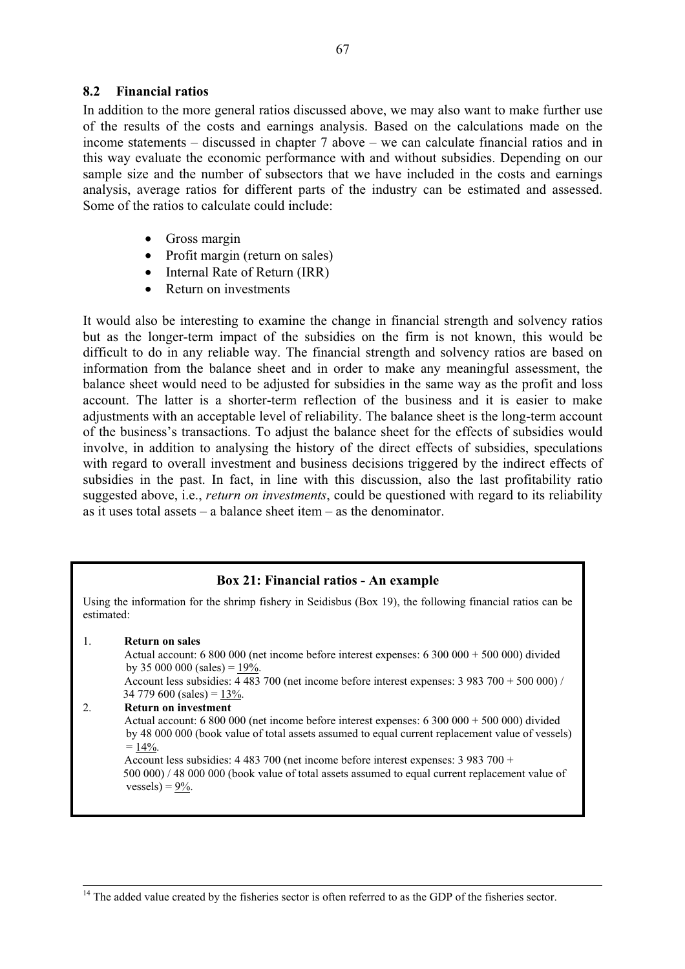### **8.2 Financial ratios**

In addition to the more general ratios discussed above, we may also want to make further use of the results of the costs and earnings analysis. Based on the calculations made on the income statements – discussed in chapter 7 above – we can calculate financial ratios and in this way evaluate the economic performance with and without subsidies. Depending on our sample size and the number of subsectors that we have included in the costs and earnings analysis, average ratios for different parts of the industry can be estimated and assessed. Some of the ratios to calculate could include:

- Gross margin
- Profit margin (return on sales)
- Internal Rate of Return (IRR)
- Return on investments

It would also be interesting to examine the change in financial strength and solvency ratios but as the longer-term impact of the subsidies on the firm is not known, this would be difficult to do in any reliable way. The financial strength and solvency ratios are based on information from the balance sheet and in order to make any meaningful assessment, the balance sheet would need to be adjusted for subsidies in the same way as the profit and loss account. The latter is a shorter-term reflection of the business and it is easier to make adjustments with an acceptable level of reliability. The balance sheet is the long-term account of the business's transactions. To adjust the balance sheet for the effects of subsidies would involve, in addition to analysing the history of the direct effects of subsidies, speculations with regard to overall investment and business decisions triggered by the indirect effects of subsidies in the past. In fact, in line with this discussion, also the last profitability ratio suggested above, i.e., *return on investments*, could be questioned with regard to its reliability as it uses total assets – a balance sheet item – as the denominator.

### **Box 21: Financial ratios - An example**

Using the information for the shrimp fishery in Seidisbus (Box 19), the following financial ratios can be estimated:

1. **Return on sales**

 Actual account: 6 800 000 (net income before interest expenses: 6 300 000 + 500 000) divided by 35 000 000 (sales) =  $19\%$ .

 Account less subsidies: 4 483 700 (net income before interest expenses: 3 983 700 + 500 000) /  $34\,779\,600$  (sales) =  $13\%$ .

#### 2. **Return on investment**

 Actual account: 6 800 000 (net income before interest expenses: 6 300 000 + 500 000) divided by 48 000 000 (book value of total assets assumed to equal current replacement value of vessels)  $= 14\%$ .

 Account less subsidies: 4 483 700 (net income before interest expenses: 3 983 700 + 500 000) / 48 000 000 (book value of total assets assumed to equal current replacement value of  $vessels$ ) = 9%.

<sup>&</sup>lt;sup>14</sup> The added value created by the fisheries sector is often referred to as the GDP of the fisheries sector.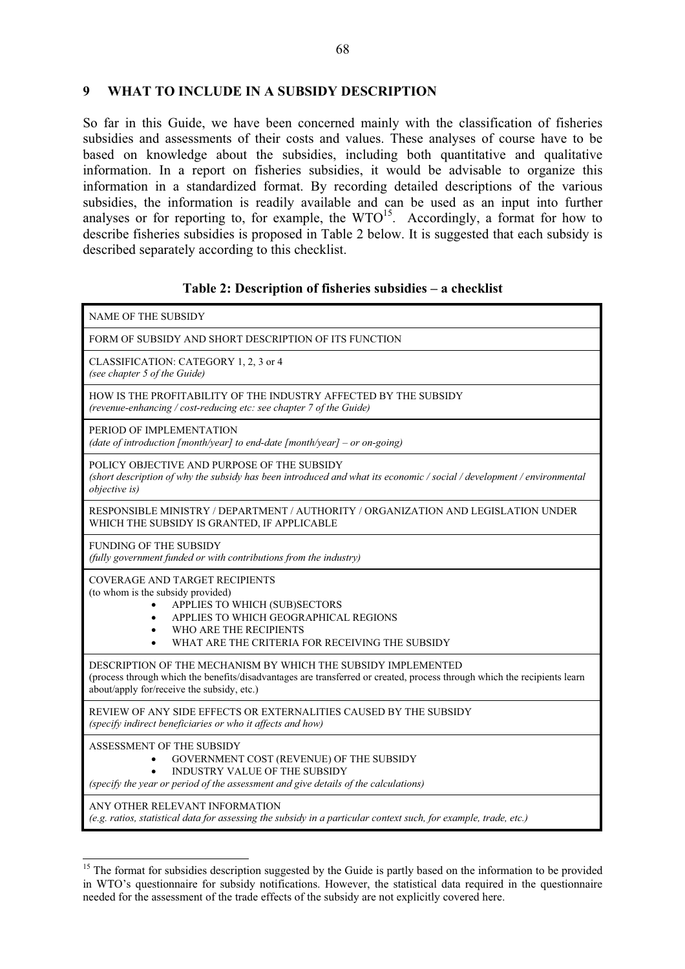## **9 WHAT TO INCLUDE IN A SUBSIDY DESCRIPTION**

So far in this Guide, we have been concerned mainly with the classification of fisheries subsidies and assessments of their costs and values. These analyses of course have to be based on knowledge about the subsidies, including both quantitative and qualitative information. In a report on fisheries subsidies, it would be advisable to organize this information in a standardized format. By recording detailed descriptions of the various subsidies, the information is readily available and can be used as an input into further analyses or for reporting to, for example, the  $WTO^{15}$ . Accordingly, a format for how to describe fisheries subsidies is proposed in Table 2 below. It is suggested that each subsidy is described separately according to this checklist.

## **Table 2: Description of fisheries subsidies – a checklist**

| <b>NAME OF THE SUBSIDY</b>                                                                                                                                                                                                              |  |  |  |
|-----------------------------------------------------------------------------------------------------------------------------------------------------------------------------------------------------------------------------------------|--|--|--|
| FORM OF SUBSIDY AND SHORT DESCRIPTION OF ITS FUNCTION                                                                                                                                                                                   |  |  |  |
| CLASSIFICATION: CATEGORY 1, 2, 3 or 4<br>(see chapter 5 of the Guide)                                                                                                                                                                   |  |  |  |
| HOW IS THE PROFITABILITY OF THE INDUSTRY AFFECTED BY THE SUBSIDY<br>(revenue-enhancing / cost-reducing etc: see chapter 7 of the Guide)                                                                                                 |  |  |  |
| PERIOD OF IMPLEMENTATION<br>(date of introduction [month/year] to end-date [month/year] – or on-going)                                                                                                                                  |  |  |  |
| POLICY OBJECTIVE AND PURPOSE OF THE SUBSIDY<br>(short description of why the subsidy has been introduced and what its economic / social / development / environmental<br><i>objective is</i> )                                          |  |  |  |
| RESPONSIBLE MINISTRY / DEPARTMENT / AUTHORITY / ORGANIZATION AND LEGISLATION UNDER<br>WHICH THE SUBSIDY IS GRANTED, IF APPLICABLE                                                                                                       |  |  |  |
| <b>FUNDING OF THE SUBSIDY</b><br>(fully government funded or with contributions from the industry)                                                                                                                                      |  |  |  |
| COVERAGE AND TARGET RECIPIENTS<br>(to whom is the subsidy provided)<br>APPLIES TO WHICH (SUB)SECTORS<br>APPLIES TO WHICH GEOGRAPHICAL REGIONS<br>WHO ARE THE RECIPIENTS<br>WHAT ARE THE CRITERIA FOR RECEIVING THE SUBSIDY              |  |  |  |
| DESCRIPTION OF THE MECHANISM BY WHICH THE SUBSIDY IMPLEMENTED<br>(process through which the benefits/disadvantages are transferred or created, process through which the recipients learn<br>about/apply for/receive the subsidy, etc.) |  |  |  |
| REVIEW OF ANY SIDE EFFECTS OR EXTERNALITIES CAUSED BY THE SUBSIDY<br>(specify indirect beneficiaries or who it affects and how)                                                                                                         |  |  |  |
| ASSESSMENT OF THE SUBSIDY<br>GOVERNMENT COST (REVENUE) OF THE SUBSIDY<br>$\bullet$<br><b>INDUSTRY VALUE OF THE SUBSIDY</b><br>(specify the year or period of the assessment and give details of the calculations)                       |  |  |  |
| ANY OTHER RELEVANT INFORMATION<br>(e.g. ratios, statistical data for assessing the subsidy in a particular context such, for example, trade, etc.)                                                                                      |  |  |  |

 $\overline{a}$ <sup>15</sup> The format for subsidies description suggested by the Guide is partly based on the information to be provided in WTO's questionnaire for subsidy notifications. However, the statistical data required in the questionnaire needed for the assessment of the trade effects of the subsidy are not explicitly covered here.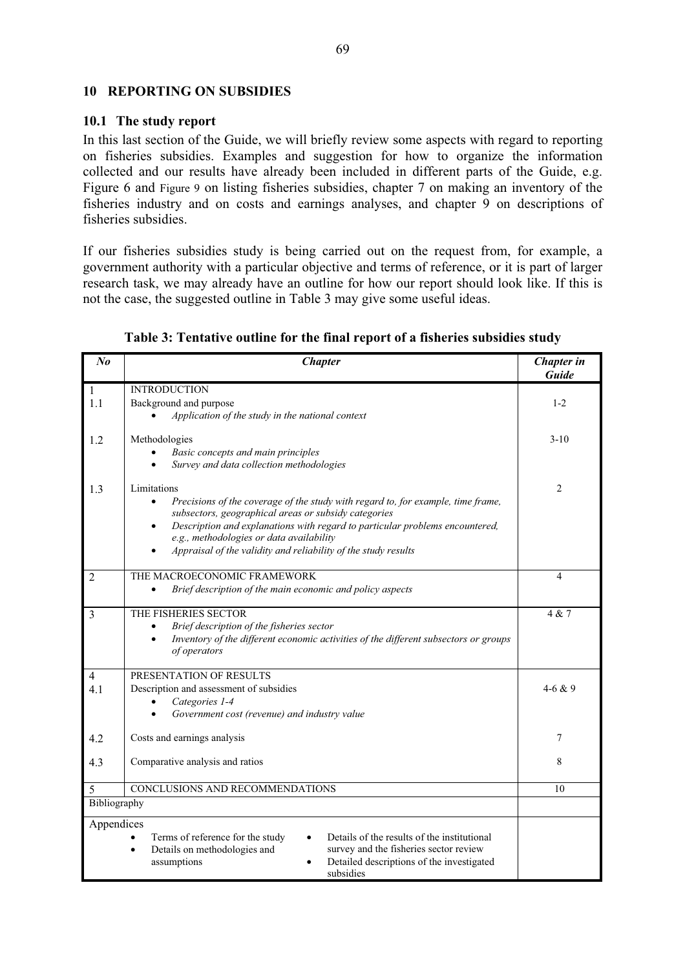## **10 REPORTING ON SUBSIDIES**

## **10.1 The study report**

In this last section of the Guide, we will briefly review some aspects with regard to reporting on fisheries subsidies. Examples and suggestion for how to organize the information collected and our results have already been included in different parts of the Guide, e.g. Figure 6 and Figure 9 on listing fisheries subsidies, chapter 7 on making an inventory of the fisheries industry and on costs and earnings analyses, and chapter 9 on descriptions of fisheries subsidies.

If our fisheries subsidies study is being carried out on the request from, for example, a government authority with a particular objective and terms of reference, or it is part of larger research task, we may already have an outline for how our report should look like. If this is not the case, the suggested outline in Table 3 may give some useful ideas.

| $N_{0}$        | <b>Chapter</b>                                                                                    | Chapter in<br>Guide     |  |
|----------------|---------------------------------------------------------------------------------------------------|-------------------------|--|
| $\mathbf{1}$   | <b>INTRODUCTION</b>                                                                               |                         |  |
| 1.1            | Background and purpose                                                                            | $1 - 2$                 |  |
|                | Application of the study in the national context                                                  |                         |  |
| 1.2            | Methodologies                                                                                     |                         |  |
|                | Basic concepts and main principles                                                                | $3-10$                  |  |
|                | Survey and data collection methodologies                                                          |                         |  |
|                | Limitations                                                                                       |                         |  |
| 1.3            | Precisions of the coverage of the study with regard to, for example, time frame,                  | $\overline{2}$          |  |
|                | subsectors, geographical areas or subsidy categories                                              |                         |  |
|                | Description and explanations with regard to particular problems encountered,<br>$\bullet$         |                         |  |
|                | e.g., methodologies or data availability                                                          |                         |  |
|                | Appraisal of the validity and reliability of the study results                                    |                         |  |
| $\overline{2}$ | THE MACROECONOMIC FRAMEWORK                                                                       | $\overline{\mathbf{4}}$ |  |
|                | Brief description of the main economic and policy aspects<br>$\bullet$                            |                         |  |
| 3              | THE FISHERIES SECTOR                                                                              | 4 & 7                   |  |
|                | Brief description of the fisheries sector                                                         |                         |  |
|                | Inventory of the different economic activities of the different subsectors or groups<br>$\bullet$ |                         |  |
|                | of operators                                                                                      |                         |  |
| $\overline{4}$ | PRESENTATION OF RESULTS                                                                           |                         |  |
| 4.1            | Description and assessment of subsidies                                                           |                         |  |
|                | Categories 1-4                                                                                    |                         |  |
|                | Government cost (revenue) and industry value                                                      |                         |  |
| 4.2            | Costs and earnings analysis                                                                       | 7                       |  |
| 4.3            | Comparative analysis and ratios                                                                   | 8                       |  |
|                |                                                                                                   |                         |  |
| 5              | CONCLUSIONS AND RECOMMENDATIONS                                                                   | 10                      |  |
| Bibliography   |                                                                                                   |                         |  |
| Appendices     |                                                                                                   |                         |  |
|                | Terms of reference for the study<br>Details of the results of the institutional<br>$\bullet$      |                         |  |
|                | survey and the fisheries sector review<br>Details on methodologies and<br>$\bullet$               |                         |  |
|                | Detailed descriptions of the investigated<br>assumptions                                          |                         |  |
|                | subsidies                                                                                         |                         |  |

# **Table 3: Tentative outline for the final report of a fisheries subsidies study**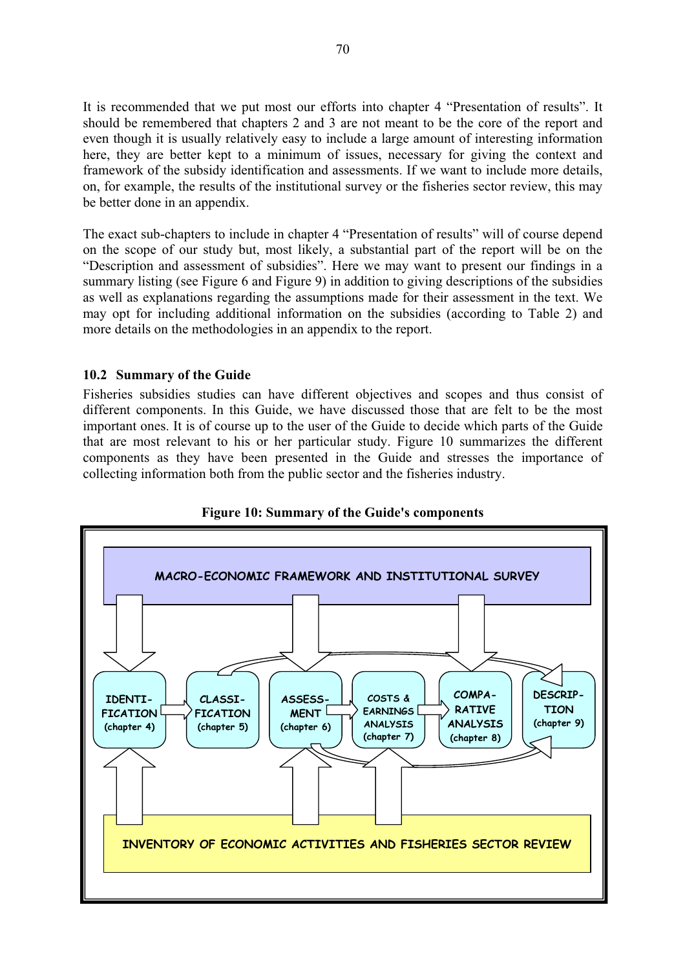It is recommended that we put most our efforts into chapter 4 "Presentation of results". It should be remembered that chapters 2 and 3 are not meant to be the core of the report and even though it is usually relatively easy to include a large amount of interesting information here, they are better kept to a minimum of issues, necessary for giving the context and framework of the subsidy identification and assessments. If we want to include more details, on, for example, the results of the institutional survey or the fisheries sector review, this may be better done in an appendix.

The exact sub-chapters to include in chapter 4 "Presentation of results" will of course depend on the scope of our study but, most likely, a substantial part of the report will be on the "Description and assessment of subsidies". Here we may want to present our findings in a summary listing (see Figure 6 and Figure 9) in addition to giving descriptions of the subsidies as well as explanations regarding the assumptions made for their assessment in the text. We may opt for including additional information on the subsidies (according to Table 2) and more details on the methodologies in an appendix to the report.

# **10.2 Summary of the Guide**

Fisheries subsidies studies can have different objectives and scopes and thus consist of different components. In this Guide, we have discussed those that are felt to be the most important ones. It is of course up to the user of the Guide to decide which parts of the Guide that are most relevant to his or her particular study. Figure 10 summarizes the different components as they have been presented in the Guide and stresses the importance of collecting information both from the public sector and the fisheries industry.



**Figure 10: Summary of the Guide's components**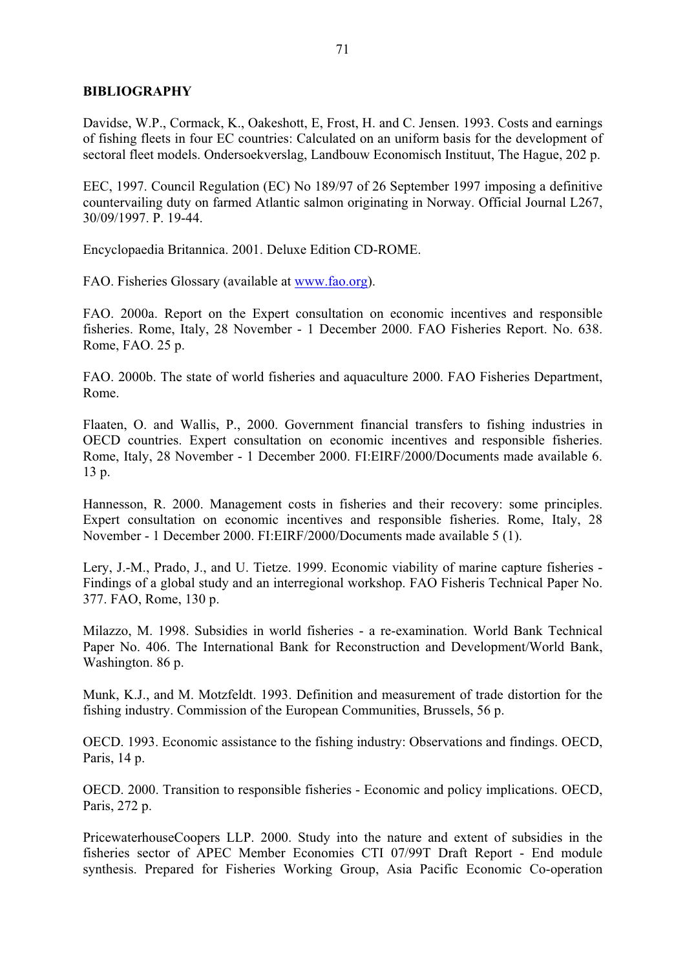## **BIBLIOGRAPHY**

Davidse, W.P., Cormack, K., Oakeshott, E, Frost, H. and C. Jensen. 1993. Costs and earnings of fishing fleets in four EC countries: Calculated on an uniform basis for the development of sectoral fleet models. Ondersoekverslag, Landbouw Economisch Instituut, The Hague, 202 p.

EEC, 1997. Council Regulation (EC) No 189/97 of 26 September 1997 imposing a definitive countervailing duty on farmed Atlantic salmon originating in Norway. Official Journal L267, 30/09/1997. P. 19-44.

Encyclopaedia Britannica. 2001. Deluxe Edition CD-ROME.

FAO. Fisheries Glossary (available at www.fao.org).

FAO. 2000a. Report on the Expert consultation on economic incentives and responsible fisheries. Rome, Italy, 28 November - 1 December 2000. FAO Fisheries Report. No. 638. Rome, FAO. 25 p.

FAO. 2000b. The state of world fisheries and aquaculture 2000. FAO Fisheries Department, Rome.

Flaaten, O. and Wallis, P., 2000. Government financial transfers to fishing industries in OECD countries. Expert consultation on economic incentives and responsible fisheries. Rome, Italy, 28 November - 1 December 2000. FI:EIRF/2000/Documents made available 6. 13 p.

Hannesson, R. 2000. Management costs in fisheries and their recovery: some principles. Expert consultation on economic incentives and responsible fisheries. Rome, Italy, 28 November - 1 December 2000. FI:EIRF/2000/Documents made available 5 (1).

Lery, J.-M., Prado, J., and U. Tietze. 1999. Economic viability of marine capture fisheries - Findings of a global study and an interregional workshop. FAO Fisheris Technical Paper No. 377. FAO, Rome, 130 p.

Milazzo, M. 1998. Subsidies in world fisheries - a re-examination. World Bank Technical Paper No. 406. The International Bank for Reconstruction and Development/World Bank, Washington. 86 p.

Munk, K.J., and M. Motzfeldt. 1993. Definition and measurement of trade distortion for the fishing industry. Commission of the European Communities, Brussels, 56 p.

OECD. 1993. Economic assistance to the fishing industry: Observations and findings. OECD, Paris, 14 p.

OECD. 2000. Transition to responsible fisheries - Economic and policy implications. OECD, Paris, 272 p.

PricewaterhouseCoopers LLP. 2000. Study into the nature and extent of subsidies in the fisheries sector of APEC Member Economies CTI 07/99T Draft Report - End module synthesis. Prepared for Fisheries Working Group, Asia Pacific Economic Co-operation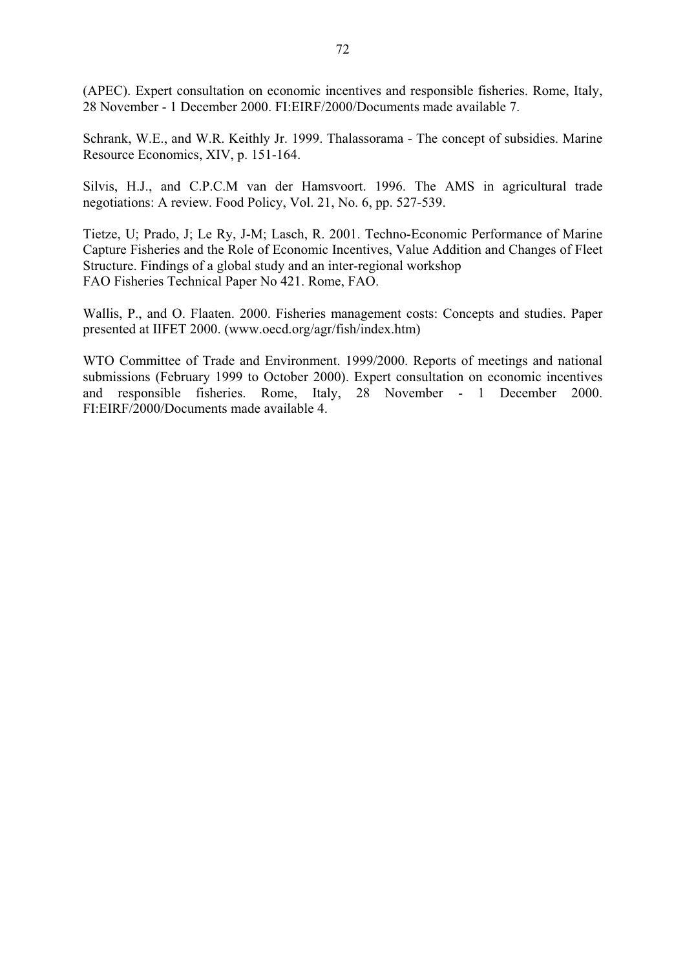(APEC). Expert consultation on economic incentives and responsible fisheries. Rome, Italy, 28 November - 1 December 2000. FI:EIRF/2000/Documents made available 7.

Schrank, W.E., and W.R. Keithly Jr. 1999. Thalassorama - The concept of subsidies. Marine Resource Economics, XIV, p. 151-164.

Silvis, H.J., and C.P.C.M van der Hamsvoort. 1996. The AMS in agricultural trade negotiations: A review. Food Policy, Vol. 21, No. 6, pp. 527-539.

Tietze, U; Prado, J; Le Ry, J-M; Lasch, R. 2001. Techno-Economic Performance of Marine Capture Fisheries and the Role of Economic Incentives, Value Addition and Changes of Fleet Structure. Findings of a global study and an inter-regional workshop FAO Fisheries Technical Paper No 421. Rome, FAO.

Wallis, P., and O. Flaaten. 2000. Fisheries management costs: Concepts and studies. Paper presented at IIFET 2000. (www.oecd.org/agr/fish/index.htm)

WTO Committee of Trade and Environment. 1999/2000. Reports of meetings and national submissions (February 1999 to October 2000). Expert consultation on economic incentives and responsible fisheries. Rome, Italy, 28 November - 1 December 2000. FI:EIRF/2000/Documents made available 4.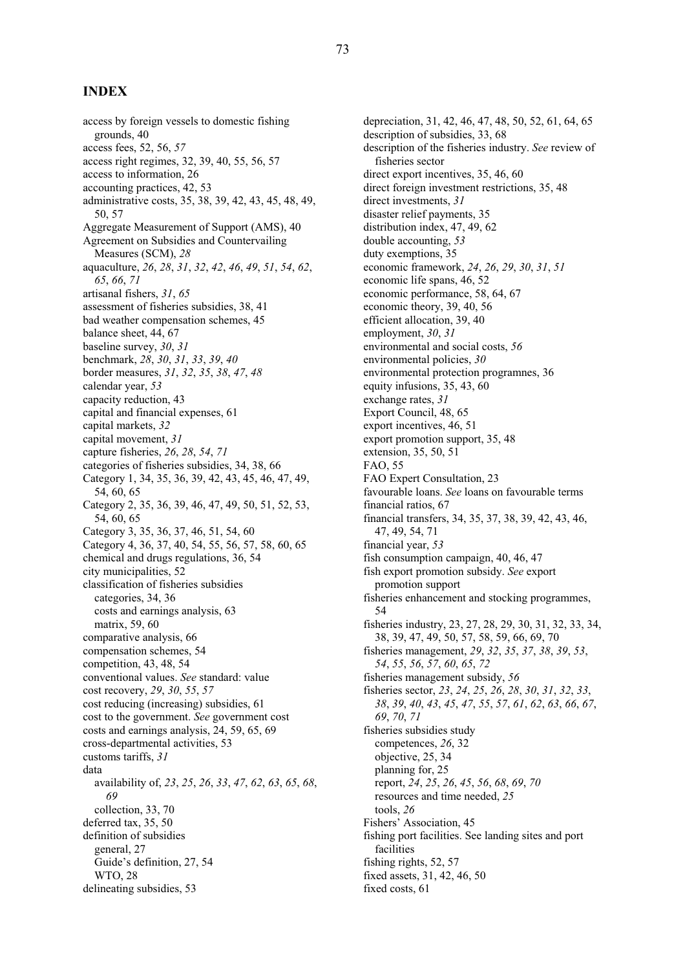#### **INDEX**

access by foreign vessels to domestic fishing grounds, 40 access fees, 52, 56, *57* access right regimes, 32, 39, 40, 55, 56, 57 access to information, 26 accounting practices, 42, 53 administrative costs, 35, 38, 39, 42, 43, 45, 48, 49, 50, 57 Aggregate Measurement of Support (AMS), 40 Agreement on Subsidies and Countervailing Measures (SCM), *28* aquaculture, *26*, *28*, *31*, *32*, *42*, *46*, *49*, *51*, *54*, *62*, *65*, *66*, *71* artisanal fishers, *31*, *65* assessment of fisheries subsidies, 38, 41 bad weather compensation schemes, 45 balance sheet, 44, 67 baseline survey, *30*, *31* benchmark, *28*, *30*, *31*, *33*, *39*, *40* border measures, *31*, *32*, *35*, *38*, *47*, *48* calendar year, *53* capacity reduction, 43 capital and financial expenses, 61 capital markets, *32* capital movement, *31* capture fisheries, *26*, *28*, *54*, *71* categories of fisheries subsidies, 34, 38, 66 Category 1, 34, 35, 36, 39, 42, 43, 45, 46, 47, 49, 54, 60, 65 Category 2, 35, 36, 39, 46, 47, 49, 50, 51, 52, 53, 54, 60, 65 Category 3, 35, 36, 37, 46, 51, 54, 60 Category 4, 36, 37, 40, 54, 55, 56, 57, 58, 60, 65 chemical and drugs regulations, 36, 54 city municipalities, 52 classification of fisheries subsidies categories, 34, 36 costs and earnings analysis, 63 matrix, 59, 60 comparative analysis, 66 compensation schemes, 54 competition, 43, 48, 54 conventional values. *See* standard: value cost recovery, *29*, *30*, *55*, *57* cost reducing (increasing) subsidies, 61 cost to the government. *See* government cost costs and earnings analysis, 24, 59, 65, 69 cross-departmental activities, 53 customs tariffs, *31* data availability of, *23*, *25*, *26*, *33*, *47*, *62*, *63*, *65*, *68*, *69* collection, 33, 70 deferred tax, 35, 50 definition of subsidies general, 27 Guide's definition, 27, 54 WTO, 28 delineating subsidies, 53

depreciation, 31, 42, 46, 47, 48, 50, 52, 61, 64, 65 description of subsidies, 33, 68 description of the fisheries industry. *See* review of fisheries sector direct export incentives, 35, 46, 60 direct foreign investment restrictions, 35, 48 direct investments, *31* disaster relief payments, 35 distribution index, 47, 49, 62 double accounting, *53* duty exemptions, 35 economic framework, *24*, *26*, *29*, *30*, *31*, *51* economic life spans, 46, 52 economic performance, 58, 64, 67 economic theory, 39, 40, 56 efficient allocation, 39, 40 employment, *30*, *31* environmental and social costs, *56* environmental policies, *30* environmental protection programnes, 36 equity infusions, 35, 43, 60 exchange rates, *31* Export Council, 48, 65 export incentives, 46, 51 export promotion support, 35, 48 extension, 35, 50, 51 FAO, 55 FAO Expert Consultation, 23 favourable loans. *See* loans on favourable terms financial ratios, 67 financial transfers, 34, 35, 37, 38, 39, 42, 43, 46, 47, 49, 54, 71 financial year, *53* fish consumption campaign, 40, 46, 47 fish export promotion subsidy. *See* export promotion support fisheries enhancement and stocking programmes, 54 fisheries industry, 23, 27, 28, 29, 30, 31, 32, 33, 34, 38, 39, 47, 49, 50, 57, 58, 59, 66, 69, 70 fisheries management, *29*, *32*, *35*, *37*, *38*, *39*, *53*, *54*, *55*, *56*, *57*, *60*, *65*, *72* fisheries management subsidy, *56* fisheries sector, *23*, *24*, *25*, *26*, *28*, *30*, *31*, *32*, *33*, *38*, *39*, *40*, *43*, *45*, *47*, *55*, *57*, *61*, *62*, *63*, *66*, *67*, *69*, *70*, *71* fisheries subsidies study competences, *26*, 32 objective, 25, 34 planning for, 25 report, *24*, *25*, *26*, *45*, *56*, *68*, *69*, *70* resources and time needed, *25* tools, *26* Fishers' Association, 45 fishing port facilities. See landing sites and port facilities fishing rights, 52, 57 fixed assets, 31, 42, 46, 50 fixed costs, 61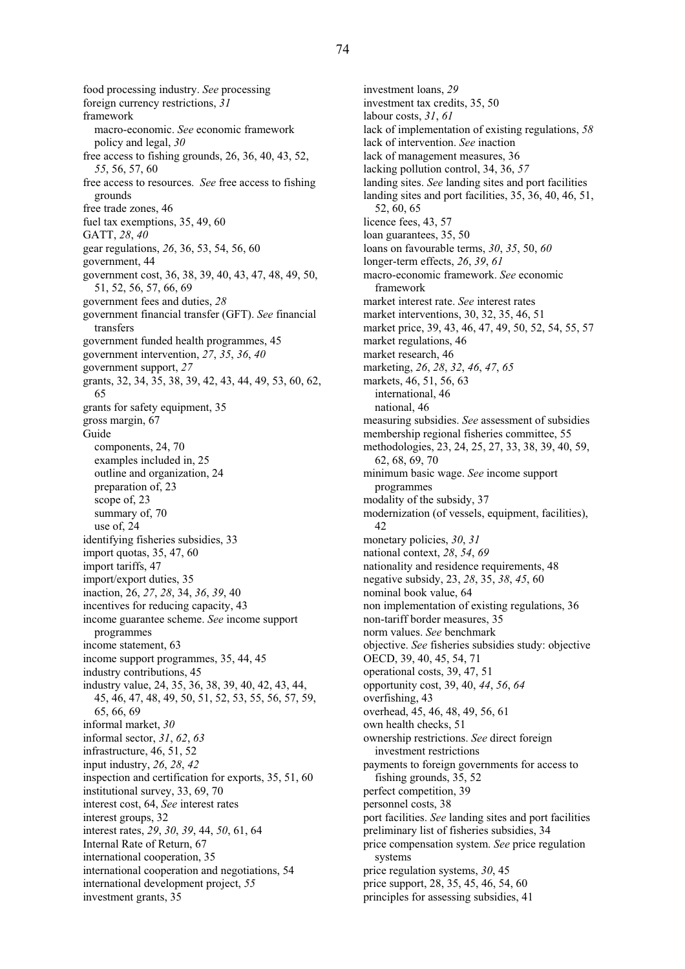food processing industry. *See* processing foreign currency restrictions, *31* framework macro-economic. *See* economic framework policy and legal, *30* free access to fishing grounds, 26, 36, 40, 43, 52, *55*, 56, 57, 60 free access to resources. *See* free access to fishing grounds free trade zones, 46 fuel tax exemptions, 35, 49, 60 GATT, *28*, *40* gear regulations, *26*, 36, 53, 54, 56, 60 government, 44 government cost, 36, 38, 39, 40, 43, 47, 48, 49, 50, 51, 52, 56, 57, 66, 69 government fees and duties, *28* government financial transfer (GFT). *See* financial transfers government funded health programmes, 45 government intervention, *27*, *35*, *36*, *40* government support, *27* grants, 32, 34, 35, 38, 39, 42, 43, 44, 49, 53, 60, 62, 65 grants for safety equipment, 35 gross margin, 67 Guide components, 24, 70 examples included in, 25 outline and organization, 24 preparation of, 23 scope of, 23 summary of, 70 use of, 24 identifying fisheries subsidies, 33 import quotas, 35, 47, 60 import tariffs, 47 import/export duties, 35 inaction, 26, *27*, *28*, 34, *36*, *39*, 40 incentives for reducing capacity, 43 income guarantee scheme. *See* income support programmes income statement, 63 income support programmes, 35, 44, 45 industry contributions, 45 industry value, 24, 35, 36, 38, 39, 40, 42, 43, 44, 45, 46, 47, 48, 49, 50, 51, 52, 53, 55, 56, 57, 59, 65, 66, 69 informal market, *30* informal sector, *31*, *62*, *63* infrastructure, 46, 51, 52 input industry, *26*, *28*, *42* inspection and certification for exports, 35, 51, 60 institutional survey, 33, 69, 70 interest cost, 64, *See* interest rates interest groups, 32 interest rates, *29*, *30*, *39*, 44, *50*, 61, 64 Internal Rate of Return, 67 international cooperation, 35 international cooperation and negotiations, 54 international development project, *55* investment grants, 35

investment loans, *29* investment tax credits, 35, 50 labour costs, *31*, *61* lack of implementation of existing regulations, *58* lack of intervention. *See* inaction lack of management measures, 36 lacking pollution control, 34, 36, *57* landing sites. *See* landing sites and port facilities landing sites and port facilities, 35, 36, 40, 46, 51, 52, 60, 65 licence fees, 43, 57 loan guarantees, 35, 50 loans on favourable terms, *30*, *35*, 50, *60* longer-term effects, *26*, *39*, *61* macro-economic framework. *See* economic framework market interest rate. *See* interest rates market interventions, 30, 32, 35, 46, 51 market price, 39, 43, 46, 47, 49, 50, 52, 54, 55, 57 market regulations, 46 market research, 46 marketing, *26*, *28*, *32*, *46*, *47*, *65* markets, 46, 51, 56, 63 international, 46 national, 46 measuring subsidies. *See* assessment of subsidies membership regional fisheries committee, 55 methodologies, 23, 24, 25, 27, 33, 38, 39, 40, 59, 62, 68, 69, 70 minimum basic wage. *See* income support programmes modality of the subsidy, 37 modernization (of vessels, equipment, facilities), 42 monetary policies, *30*, *31* national context, *28*, *54*, *69* nationality and residence requirements, 48 negative subsidy, 23, *28*, 35, *38*, *45*, 60 nominal book value, 64 non implementation of existing regulations, 36 non-tariff border measures, 35 norm values. *See* benchmark objective. *See* fisheries subsidies study: objective OECD, 39, 40, 45, 54, 71 operational costs, 39, 47, 51 opportunity cost, 39, 40, *44*, *56*, *64* overfishing, 43 overhead, 45, 46, 48, 49, 56, 61 own health checks, 51 ownership restrictions. *See* direct foreign investment restrictions payments to foreign governments for access to fishing grounds, 35, 52 perfect competition, 39 personnel costs, 38 port facilities. *See* landing sites and port facilities preliminary list of fisheries subsidies, 34 price compensation system. *See* price regulation systems price regulation systems, *30*, 45 price support, 28, 35, 45, 46, 54, 60 principles for assessing subsidies, 41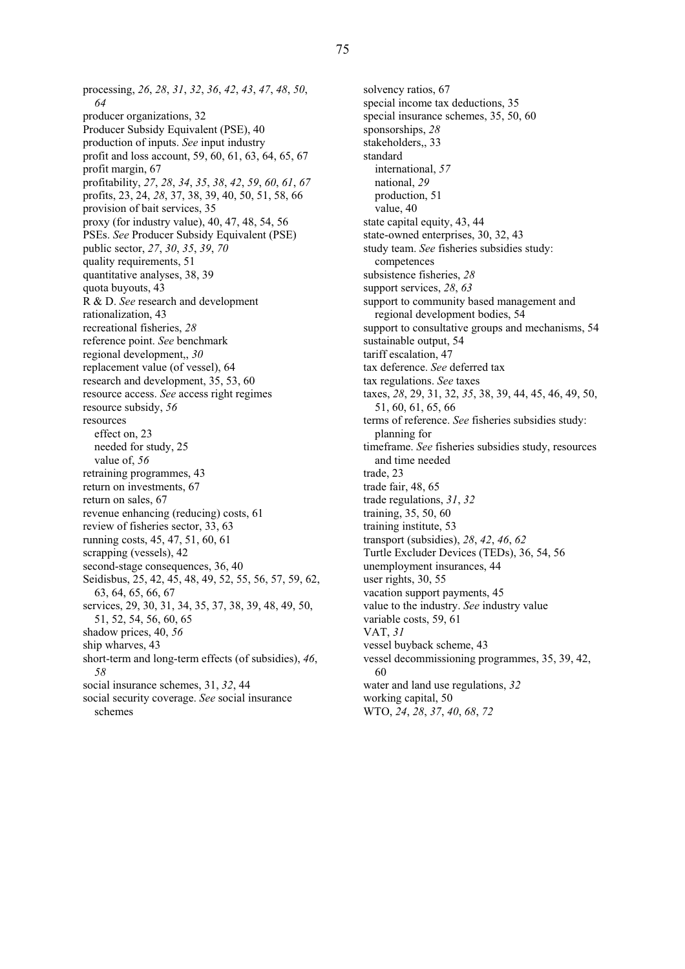processing, *26*, *28*, *31*, *32*, *36*, *42*, *43*, *47*, *48*, *50*, *64* producer organizations, 32 Producer Subsidy Equivalent (PSE), 40 production of inputs. *See* input industry profit and loss account, 59, 60, 61, 63, 64, 65, 67 profit margin, 67 profitability, *27*, *28*, *34*, *35*, *38*, *42*, *59*, *60*, *61*, *67* profits, 23, 24, *28*, 37, 38, 39, 40, 50, 51, 58, 66 provision of bait services, 35 proxy (for industry value), 40, 47, 48, 54, 56 PSEs. *See* Producer Subsidy Equivalent (PSE) public sector, *27*, *30*, *35*, *39*, *70* quality requirements, 51 quantitative analyses, 38, 39 quota buyouts, 43 R & D. *See* research and development rationalization, 43 recreational fisheries, *28* reference point. *See* benchmark regional development,, *30* replacement value (of vessel), 64 research and development, 35, 53, 60 resource access. *See* access right regimes resource subsidy, *56* resources effect on, 23 needed for study, 25 value of, *56* retraining programmes, 43 return on investments, 67 return on sales, 67 revenue enhancing (reducing) costs, 61 review of fisheries sector, 33, 63 running costs, 45, 47, 51, 60, 61 scrapping (vessels), 42 second-stage consequences, 36, 40 Seidisbus, 25, 42, 45, 48, 49, 52, 55, 56, 57, 59, 62, 63, 64, 65, 66, 67 services, 29, 30, 31, 34, 35, 37, 38, 39, 48, 49, 50, 51, 52, 54, 56, 60, 65 shadow prices, 40, *56* ship wharves, 43 short-term and long-term effects (of subsidies), *46*, *58*

social insurance schemes, 31, *32*, 44

social security coverage. *See* social insurance schemes

solvency ratios, 67 special income tax deductions, 35 special insurance schemes, 35, 50, 60 sponsorships, *28* stakeholders,, 33 standard international, *57* national, *29* production, 51 value, 40 state capital equity, 43, 44 state-owned enterprises, 30, 32, 43 study team. *See* fisheries subsidies study: competences subsistence fisheries, *28* support services, *28*, *63* support to community based management and regional development bodies, 54 support to consultative groups and mechanisms, 54 sustainable output, 54 tariff escalation, 47 tax deference. *See* deferred tax tax regulations. *See* taxes taxes, *28*, 29, 31, 32, *35*, 38, 39, 44, 45, 46, 49, 50, 51, 60, 61, 65, 66 terms of reference. *See* fisheries subsidies study: planning for timeframe. *See* fisheries subsidies study, resources and time needed trade, 23 trade fair, 48, 65 trade regulations, *31*, *32* training, 35, 50, 60 training institute, 53 transport (subsidies), *28*, *42*, *46*, *62* Turtle Excluder Devices (TEDs), 36, 54, 56 unemployment insurances, 44 user rights, 30, 55 vacation support payments, 45 value to the industry. *See* industry value variable costs, 59, 61 VAT, *31* vessel buyback scheme, 43 vessel decommissioning programmes, 35, 39, 42, 60 water and land use regulations, *32* working capital, 50 WTO, *24*, *28*, *37*, *40*, *68*, *72*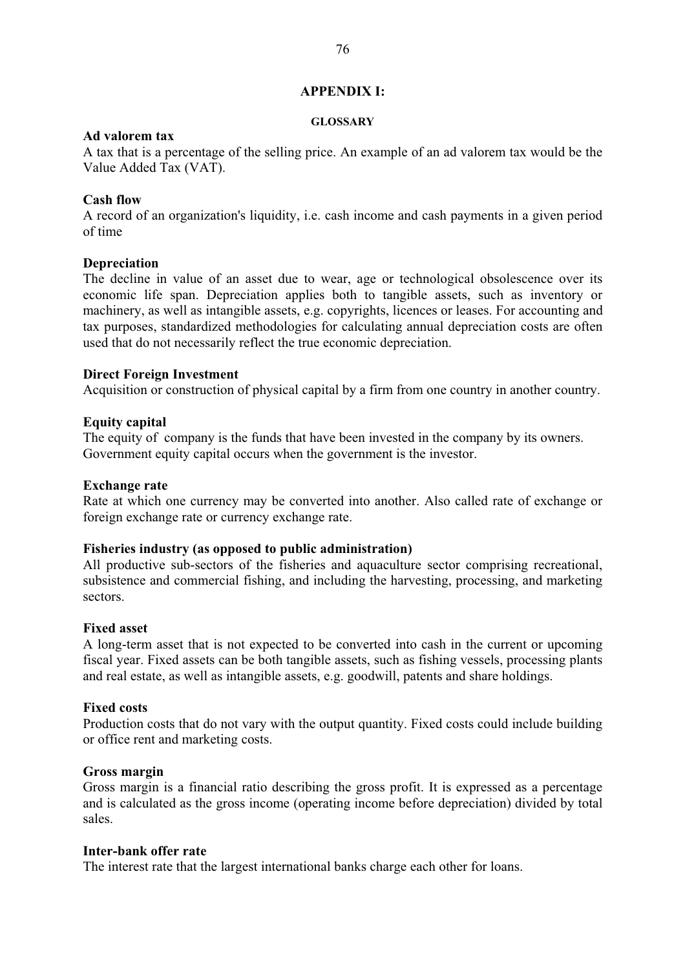#### **APPENDIX I:**

#### **GLOSSARY**

# **Ad valorem tax**

A tax that is a percentage of the selling price. An example of an ad valorem tax would be the Value Added Tax (VAT).

# **Cash flow**

A record of an organization's liquidity, i.e. cash income and cash payments in a given period of time

## **Depreciation**

The decline in value of an asset due to wear, age or technological obsolescence over its economic life span. Depreciation applies both to tangible assets, such as inventory or machinery, as well as intangible assets, e.g. copyrights, licences or leases. For accounting and tax purposes, standardized methodologies for calculating annual depreciation costs are often used that do not necessarily reflect the true economic depreciation.

## **Direct Foreign Investment**

Acquisition or construction of physical capital by a firm from one country in another country.

# **Equity capital**

The equity of company is the funds that have been invested in the company by its owners. Government equity capital occurs when the government is the investor.

## **Exchange rate**

Rate at which one currency may be converted into another. Also called rate of exchange or foreign exchange rate or currency exchange rate.

# **Fisheries industry (as opposed to public administration)**

All productive sub-sectors of the fisheries and aquaculture sector comprising recreational, subsistence and commercial fishing, and including the harvesting, processing, and marketing sectors.

## **Fixed asset**

A long-term asset that is not expected to be converted into cash in the current or upcoming fiscal year. Fixed assets can be both tangible assets, such as fishing vessels, processing plants and real estate, as well as intangible assets, e.g. goodwill, patents and share holdings.

#### **Fixed costs**

Production costs that do not vary with the output quantity. Fixed costs could include building or office rent and marketing costs.

#### **Gross margin**

Gross margin is a financial ratio describing the gross profit. It is expressed as a percentage and is calculated as the gross income (operating income before depreciation) divided by total sales.

## **Inter-bank offer rate**

The interest rate that the largest international banks charge each other for loans.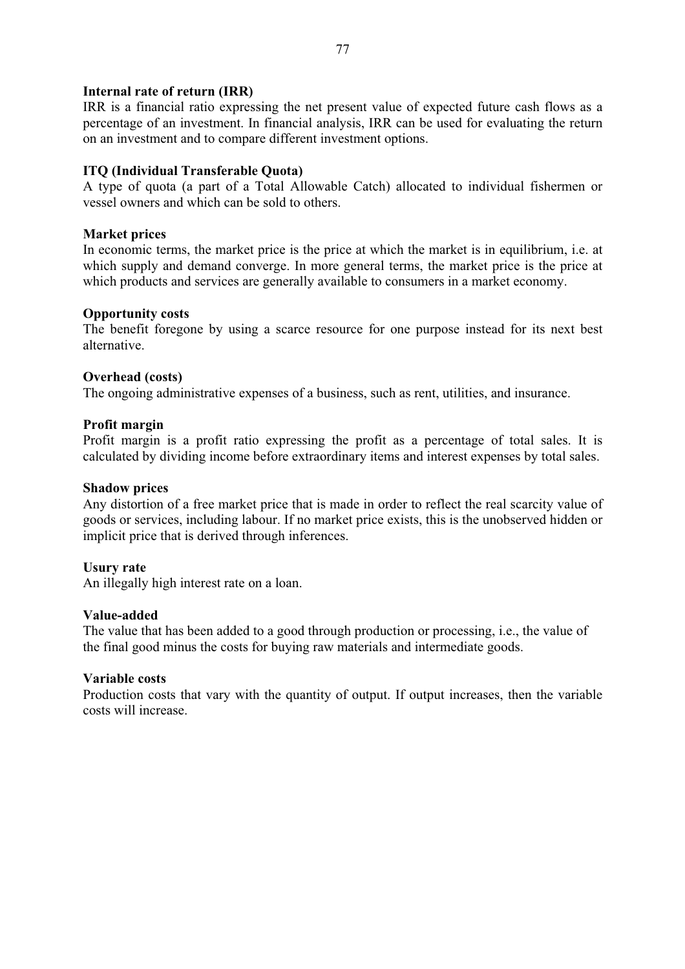# **Internal rate of return (IRR)**

IRR is a financial ratio expressing the net present value of expected future cash flows as a percentage of an investment. In financial analysis, IRR can be used for evaluating the return on an investment and to compare different investment options.

# **ITQ (Individual Transferable Quota)**

A type of quota (a part of a Total Allowable Catch) allocated to individual fishermen or vessel owners and which can be sold to others.

## **Market prices**

In economic terms, the market price is the price at which the market is in equilibrium, i.e. at which supply and demand converge. In more general terms, the market price is the price at which products and services are generally available to consumers in a market economy.

## **Opportunity costs**

The benefit foregone by using a scarce resource for one purpose instead for its next best alternative.

## **Overhead (costs)**

The ongoing administrative expenses of a business, such as rent, utilities, and insurance.

## **Profit margin**

Profit margin is a profit ratio expressing the profit as a percentage of total sales. It is calculated by dividing income before extraordinary items and interest expenses by total sales.

## **Shadow prices**

Any distortion of a free market price that is made in order to reflect the real scarcity value of goods or services, including labour. If no market price exists, this is the unobserved hidden or implicit price that is derived through inferences.

# **Usury rate**

An illegally high interest rate on a loan.

#### **Value-added**

The value that has been added to a good through production or processing, i.e., the value of the final good minus the costs for buying raw materials and intermediate goods.

#### **Variable costs**

Production costs that vary with the quantity of output. If output increases, then the variable costs will increase.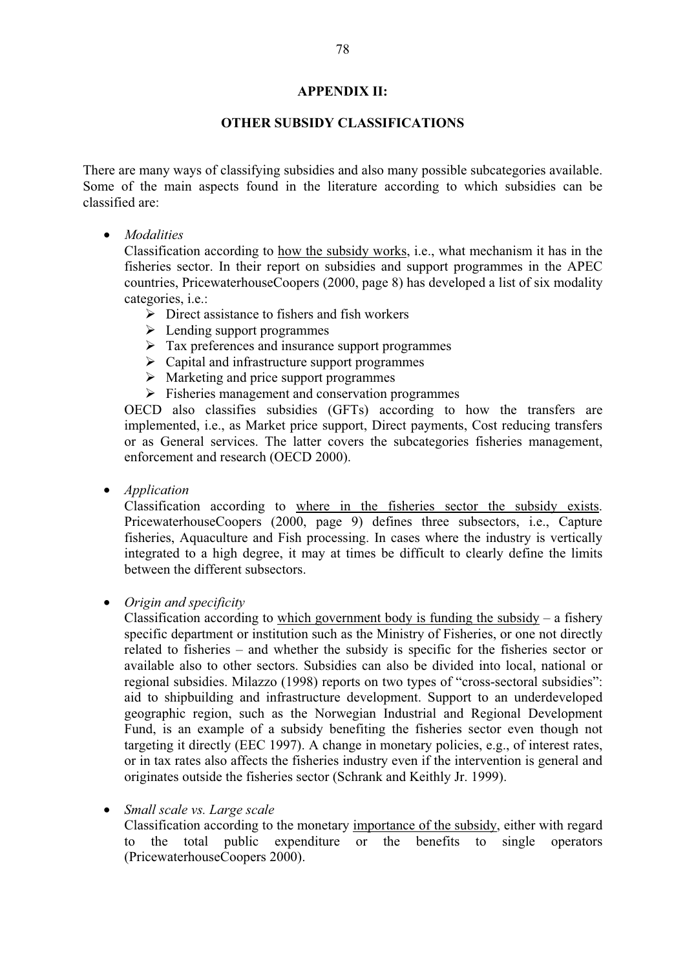#### **APPENDIX II:**

## **OTHER SUBSIDY CLASSIFICATIONS**

There are many ways of classifying subsidies and also many possible subcategories available. Some of the main aspects found in the literature according to which subsidies can be classified are:

• *Modalities*

Classification according to how the subsidy works, i.e., what mechanism it has in the fisheries sector. In their report on subsidies and support programmes in the APEC countries, PricewaterhouseCoopers (2000, page 8) has developed a list of six modality categories, i.e.:

- $\triangleright$  Direct assistance to fishers and fish workers
- $\triangleright$  Lending support programmes
- $\triangleright$  Tax preferences and insurance support programmes
- $\triangleright$  Capital and infrastructure support programmes
- $\triangleright$  Marketing and price support programmes
- $\triangleright$  Fisheries management and conservation programmes

OECD also classifies subsidies (GFTs) according to how the transfers are implemented, i.e., as Market price support, Direct payments, Cost reducing transfers or as General services. The latter covers the subcategories fisheries management, enforcement and research (OECD 2000).

• *Application*

Classification according to where in the fisheries sector the subsidy exists. PricewaterhouseCoopers (2000, page 9) defines three subsectors, i.e., Capture fisheries, Aquaculture and Fish processing. In cases where the industry is vertically integrated to a high degree, it may at times be difficult to clearly define the limits between the different subsectors.

• *Origin and specificity* 

Classification according to which government body is funding the subsidy – a fishery specific department or institution such as the Ministry of Fisheries, or one not directly related to fisheries – and whether the subsidy is specific for the fisheries sector or available also to other sectors. Subsidies can also be divided into local, national or regional subsidies. Milazzo (1998) reports on two types of "cross-sectoral subsidies": aid to shipbuilding and infrastructure development. Support to an underdeveloped geographic region, such as the Norwegian Industrial and Regional Development Fund, is an example of a subsidy benefiting the fisheries sector even though not targeting it directly (EEC 1997). A change in monetary policies, e.g., of interest rates, or in tax rates also affects the fisheries industry even if the intervention is general and originates outside the fisheries sector (Schrank and Keithly Jr. 1999).

• *Small scale vs. Large scale* 

Classification according to the monetary importance of the subsidy, either with regard to the total public expenditure or the benefits to single operators (PricewaterhouseCoopers 2000).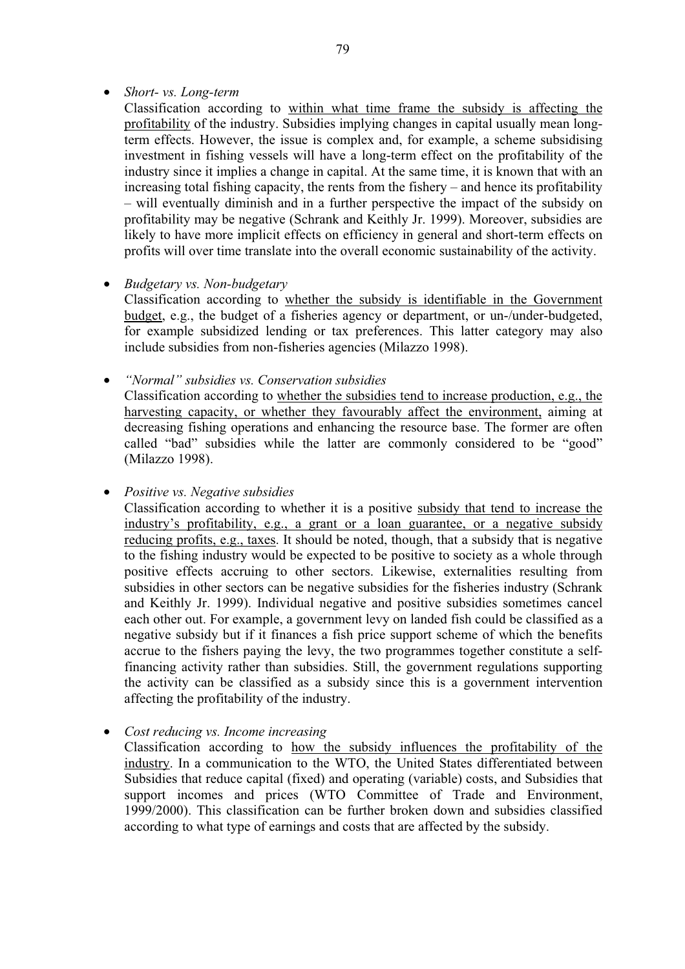# • *Short- vs. Long-term*

Classification according to within what time frame the subsidy is affecting the profitability of the industry. Subsidies implying changes in capital usually mean longterm effects. However, the issue is complex and, for example, a scheme subsidising investment in fishing vessels will have a long-term effect on the profitability of the industry since it implies a change in capital. At the same time, it is known that with an increasing total fishing capacity, the rents from the fishery – and hence its profitability – will eventually diminish and in a further perspective the impact of the subsidy on profitability may be negative (Schrank and Keithly Jr. 1999). Moreover, subsidies are likely to have more implicit effects on efficiency in general and short-term effects on profits will over time translate into the overall economic sustainability of the activity.

# • *Budgetary vs. Non-budgetary*

Classification according to whether the subsidy is identifiable in the Government budget, e.g., the budget of a fisheries agency or department, or un-/under-budgeted, for example subsidized lending or tax preferences. This latter category may also include subsidies from non-fisheries agencies (Milazzo 1998).

• *"Normal" subsidies vs. Conservation subsidies* 

Classification according to whether the subsidies tend to increase production, e.g., the harvesting capacity, or whether they favourably affect the environment, aiming at decreasing fishing operations and enhancing the resource base. The former are often called "bad" subsidies while the latter are commonly considered to be "good" (Milazzo 1998).

• *Positive vs. Negative subsidies* 

Classification according to whether it is a positive subsidy that tend to increase the industry's profitability, e.g., a grant or a loan guarantee, or a negative subsidy reducing profits, e.g., taxes. It should be noted, though, that a subsidy that is negative to the fishing industry would be expected to be positive to society as a whole through positive effects accruing to other sectors. Likewise, externalities resulting from subsidies in other sectors can be negative subsidies for the fisheries industry (Schrank and Keithly Jr. 1999). Individual negative and positive subsidies sometimes cancel each other out. For example, a government levy on landed fish could be classified as a negative subsidy but if it finances a fish price support scheme of which the benefits accrue to the fishers paying the levy, the two programmes together constitute a selffinancing activity rather than subsidies. Still, the government regulations supporting the activity can be classified as a subsidy since this is a government intervention affecting the profitability of the industry.

• *Cost reducing vs. Income increasing* 

Classification according to how the subsidy influences the profitability of the industry. In a communication to the WTO, the United States differentiated between Subsidies that reduce capital (fixed) and operating (variable) costs, and Subsidies that support incomes and prices (WTO Committee of Trade and Environment, 1999/2000). This classification can be further broken down and subsidies classified according to what type of earnings and costs that are affected by the subsidy.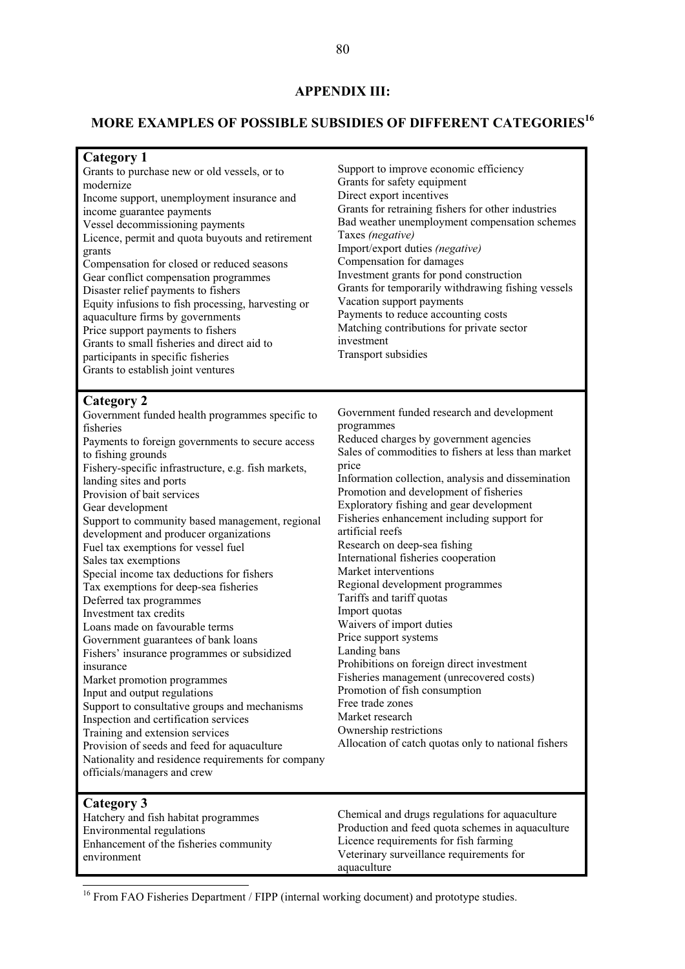## **APPENDIX III:**

# **MORE EXAMPLES OF POSSIBLE SUBSIDIES OF DIFFERENT CATEGORIES<sup>16</sup>**

| <b>Category 1</b><br>Grants to purchase new or old vessels, or to<br>modernize<br>Income support, unemployment insurance and<br>income guarantee payments<br>Vessel decommissioning payments<br>Licence, permit and quota buyouts and retirement<br>grants<br>Compensation for closed or reduced seasons<br>Gear conflict compensation programmes<br>Disaster relief payments to fishers<br>Equity infusions to fish processing, harvesting or<br>aquaculture firms by governments<br>Price support payments to fishers<br>Grants to small fisheries and direct aid to<br>participants in specific fisheries<br>Grants to establish joint ventures                                                                                                                                                                                                                                                                                                                                                                                                                          | Support to improve economic efficiency<br>Grants for safety equipment<br>Direct export incentives<br>Grants for retraining fishers for other industries<br>Bad weather unemployment compensation schemes<br>Taxes (negative)<br>Import/export duties (negative)<br>Compensation for damages<br>Investment grants for pond construction<br>Grants for temporarily withdrawing fishing vessels<br>Vacation support payments<br>Payments to reduce accounting costs<br>Matching contributions for private sector<br>investment<br>Transport subsidies                                                                                                                                                                                                                                                                                                                                       |
|-----------------------------------------------------------------------------------------------------------------------------------------------------------------------------------------------------------------------------------------------------------------------------------------------------------------------------------------------------------------------------------------------------------------------------------------------------------------------------------------------------------------------------------------------------------------------------------------------------------------------------------------------------------------------------------------------------------------------------------------------------------------------------------------------------------------------------------------------------------------------------------------------------------------------------------------------------------------------------------------------------------------------------------------------------------------------------|------------------------------------------------------------------------------------------------------------------------------------------------------------------------------------------------------------------------------------------------------------------------------------------------------------------------------------------------------------------------------------------------------------------------------------------------------------------------------------------------------------------------------------------------------------------------------------------------------------------------------------------------------------------------------------------------------------------------------------------------------------------------------------------------------------------------------------------------------------------------------------------|
| <b>Category 2</b><br>Government funded health programmes specific to<br>fisheries<br>Payments to foreign governments to secure access<br>to fishing grounds<br>Fishery-specific infrastructure, e.g. fish markets,<br>landing sites and ports<br>Provision of bait services<br>Gear development<br>Support to community based management, regional<br>development and producer organizations<br>Fuel tax exemptions for vessel fuel<br>Sales tax exemptions<br>Special income tax deductions for fishers<br>Tax exemptions for deep-sea fisheries<br>Deferred tax programmes<br>Investment tax credits<br>Loans made on favourable terms<br>Government guarantees of bank loans<br>Fishers' insurance programmes or subsidized<br>insurance<br>Market promotion programmes<br>Input and output regulations<br>Support to consultative groups and mechanisms<br>Inspection and certification services<br>Training and extension services<br>Provision of seeds and feed for aquaculture<br>Nationality and residence requirements for company<br>officials/managers and crew | Government funded research and development<br>programmes<br>Reduced charges by government agencies<br>Sales of commodities to fishers at less than market<br>price<br>Information collection, analysis and dissemination<br>Promotion and development of fisheries<br>Exploratory fishing and gear development<br>Fisheries enhancement including support for<br>artificial reefs<br>Research on deep-sea fishing<br>International fisheries cooperation<br>Market interventions<br>Regional development programmes<br>Tariffs and tariff quotas<br>Import quotas<br>Waivers of import duties<br>Price support systems<br>Landing bans<br>Prohibitions on foreign direct investment<br>Fisheries management (unrecovered costs)<br>Promotion of fish consumption<br>Free trade zones<br>Market research<br>Ownership restrictions<br>Allocation of catch quotas only to national fishers |
| Category 3<br>Hatchery and fish habitat programmes<br>Environmental regulations<br>Enhancement of the fisheries community<br>environment                                                                                                                                                                                                                                                                                                                                                                                                                                                                                                                                                                                                                                                                                                                                                                                                                                                                                                                                    | Chemical and drugs regulations for aquaculture<br>Production and feed quota schemes in aquaculture<br>Licence requirements for fish farming<br>Veterinary surveillance requirements for<br>aquaculture                                                                                                                                                                                                                                                                                                                                                                                                                                                                                                                                                                                                                                                                                   |

<sup>16</sup> From FAO Fisheries Department / FIPP (internal working document) and prototype studies.

 $\overline{a}$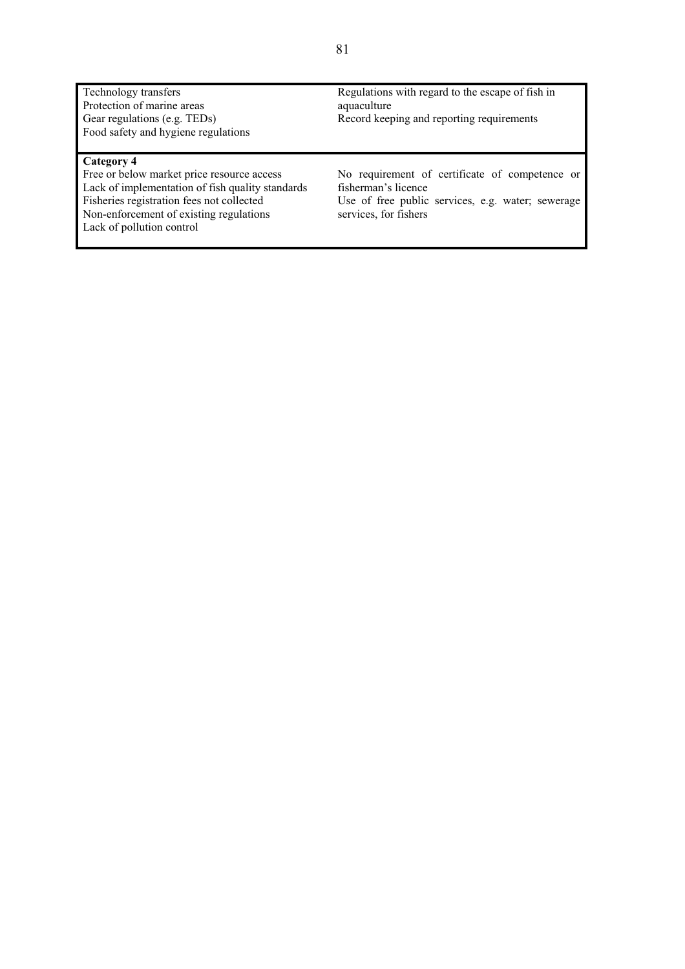Technology transfers Protection of marine areas Gear regulations (e.g. TEDs) Food safety and hygiene regulations

#### **Category 4**

Free or below market price resource access Lack of implementation of fish quality standards Fisheries registration fees not collected Non-enforcement of existing regulations Lack of pollution control

Regulations with regard to the escape of fish in aquaculture Record keeping and reporting requirements

No requirement of certificate of competence or fisherman's licence

Use of free public services, e.g. water; sewerage services, for fishers